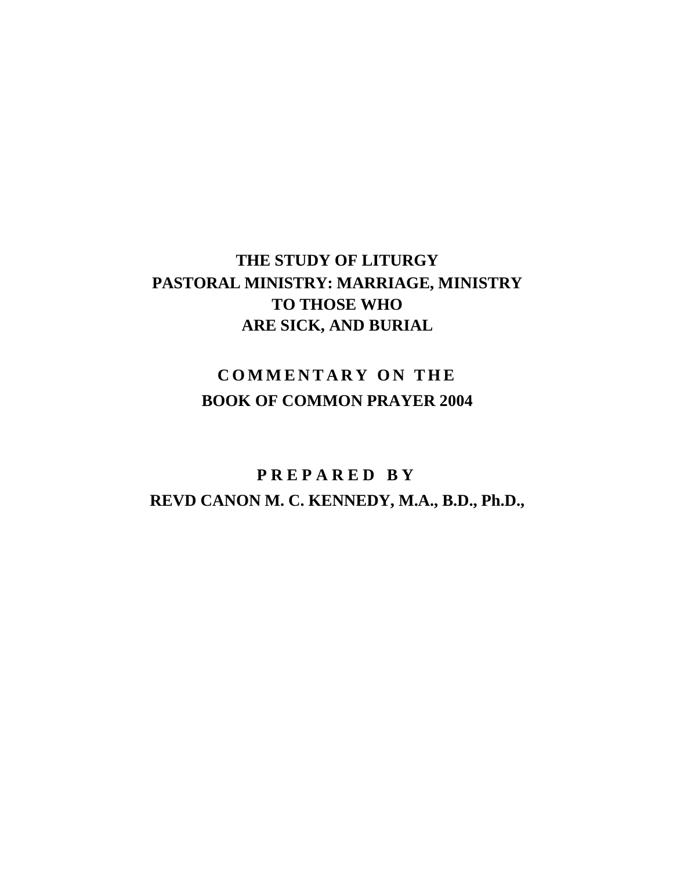# **THE STUDY OF LITURGY PASTORAL MINISTRY: MARRIAGE, MINISTRY TO THOSE WHO ARE SICK, AND BURIAL**

# **COMMENTARY ON THE BOOK OF COMMON PRAYER 2004**

# **P R E P A R E D B Y REVD CANON M. C. KENNEDY, M.A., B.D., Ph.D.,**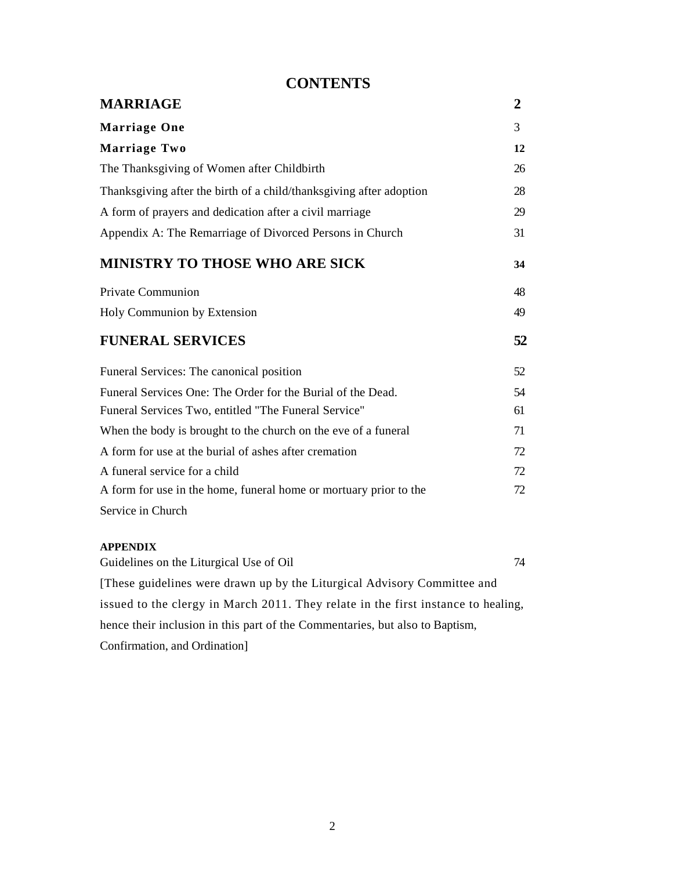# **CONTENTS**

| <b>MARRIAGE</b>                                                     | $\boldsymbol{2}$ |
|---------------------------------------------------------------------|------------------|
| <b>Marriage One</b>                                                 | 3                |
| Marriage Two                                                        | 12               |
| The Thanksgiving of Women after Childbirth                          | 26               |
| Thanksgiving after the birth of a child/thanksgiving after adoption | 28               |
| A form of prayers and dedication after a civil marriage             | 29               |
| Appendix A: The Remarriage of Divorced Persons in Church            | 31               |
| <b>MINISTRY TO THOSE WHO ARE SICK</b>                               | 34               |
| Private Communion                                                   | 48               |
| Holy Communion by Extension                                         | 49               |
| <b>FUNERAL SERVICES</b>                                             | 52               |
| Funeral Services: The canonical position                            | 52               |
| Funeral Services One: The Order for the Burial of the Dead.         | 54               |
| Funeral Services Two, entitled "The Funeral Service"                | 61               |
| When the body is brought to the church on the eve of a funeral      | 71               |
| A form for use at the burial of ashes after cremation               | 72               |
| A funeral service for a child                                       | 72               |
| A form for use in the home, funeral home or mortuary prior to the   | 72               |
| Service in Church                                                   |                  |

# **APPENDIX**

Guidelines on the Liturgical Use of Oil 74 [These guidelines were drawn up by the Liturgical Advisory Committee and issued to the clergy in March 2011. They relate in the first instance to healing, hence their inclusion in this part of the Commentaries, but also to Baptism, Confirmation, and Ordination]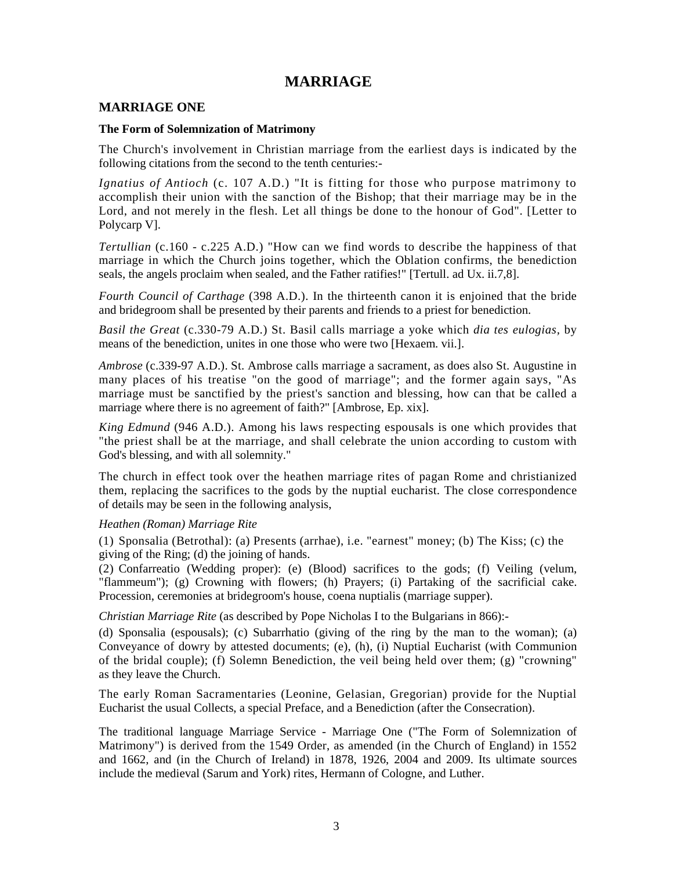# **MARRIAGE**

# **MARRIAGE ONE**

#### **The Form of Solemnization of Matrimony**

The Church's involvement in Christian marriage from the earliest days is indicated by the following citations from the second to the tenth centuries:-

*Ignatius of Antioch* (c. 107 A.D.) "It is fitting for those who purpose matrimony to accomplish their union with the sanction of the Bishop; that their marriage may be in the Lord, and not merely in the flesh. Let all things be done to the honour of God". [Letter to Polycarp V].

*Tertullian* (c.160 - c.225 A.D.) "How can we find words to describe the happiness of that marriage in which the Church joins together, which the Oblation confirms, the benediction seals, the angels proclaim when sealed, and the Father ratifies!" [Tertull. ad Ux. ii.7,8].

*Fourth Council of Carthage* (398 A.D.). In the thirteenth canon it is enjoined that the bride and bridegroom shall be presented by their parents and friends to a priest for benediction.

*Basil the Great* (c.330-79 A.D.) St. Basil calls marriage a yoke which *dia tes eulogias,* by means of the benediction, unites in one those who were two [Hexaem. vii.].

*Ambrose* (c.339-97 A.D.). St. Ambrose calls marriage a sacrament, as does also St. Augustine in many places of his treatise "on the good of marriage"; and the former again says, "As marriage must be sanctified by the priest's sanction and blessing, how can that be called a marriage where there is no agreement of faith?" [Ambrose, Ep. xix].

*King Edmund* (946 A.D.). Among his laws respecting espousals is one which provides that "the priest shall be at the marriage, and shall celebrate the union according to custom with God's blessing, and with all solemnity."

The church in effect took over the heathen marriage rites of pagan Rome and christianized them, replacing the sacrifices to the gods by the nuptial eucharist. The close correspondence of details may be seen in the following analysis,

# *Heathen (Roman) Marriage Rite*

(1) Sponsalia (Betrothal): (a) Presents (arrhae), i.e. "earnest" money; (b) The Kiss; (c) the giving of the Ring; (d) the joining of hands.

(2) Confarreatio (Wedding proper): (e) (Blood) sacrifices to the gods; (f) Veiling (velum, "flammeum"); (g) Crowning with flowers; (h) Prayers; (i) Partaking of the sacrificial cake. Procession, ceremonies at bridegroom's house, coena nuptialis (marriage supper).

*Christian Marriage Rite* (as described by Pope Nicholas I to the Bulgarians in 866):-

(d) Sponsalia (espousals); (c) Subarrhatio (giving of the ring by the man to the woman); (a) Conveyance of dowry by attested documents; (e), (h), (i) Nuptial Eucharist (with Communion of the bridal couple); (f) Solemn Benediction, the veil being held over them; (g) "crowning" as they leave the Church.

The early Roman Sacramentaries (Leonine, Gelasian, Gregorian) provide for the Nuptial Eucharist the usual Collects, a special Preface, and a Benediction (after the Consecration).

The traditional language Marriage Service - Marriage One ("The Form of Solemnization of Matrimony") is derived from the 1549 Order, as amended (in the Church of England) in 1552 and 1662, and (in the Church of Ireland) in 1878, 1926, 2004 and 2009. Its ultimate sources include the medieval (Sarum and York) rites, Hermann of Cologne, and Luther.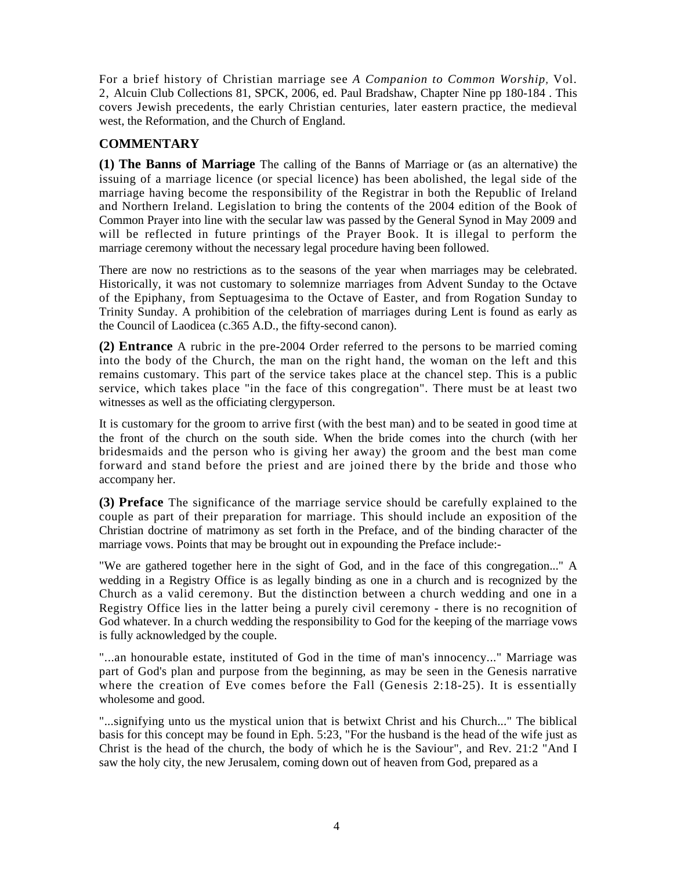For a brief history of Christian marriage see *A Companion to Common Worship,* Vol. 2, Alcuin Club Collections 81, SPCK, 2006, ed. Paul Bradshaw, Chapter Nine pp 180-184 . This covers Jewish precedents, the early Christian centuries, later eastern practice, the medieval west, the Reformation, and the Church of England.

# **COMMENTARY**

**(1) The Banns of Marriage** The calling of the Banns of Marriage or (as an alternative) the issuing of a marriage licence (or special licence) has been abolished, the legal side of the marriage having become the responsibility of the Registrar in both the Republic of Ireland and Northern Ireland. Legislation to bring the contents of the 2004 edition of the Book of Common Prayer into line with the secular law was passed by the General Synod in May 2009 and will be reflected in future printings of the Prayer Book. It is illegal to perform the marriage ceremony without the necessary legal procedure having been followed.

There are now no restrictions as to the seasons of the year when marriages may be celebrated. Historically, it was not customary to solemnize marriages from Advent Sunday to the Octave of the Epiphany, from Septuagesima to the Octave of Easter, and from Rogation Sunday to Trinity Sunday. A prohibition of the celebration of marriages during Lent is found as early as the Council of Laodicea (c.365 A.D., the fifty-second canon).

**(2) Entrance** A rubric in the pre-2004 Order referred to the persons to be married coming into the body of the Church, the man on the right hand, the woman on the left and this remains customary. This part of the service takes place at the chancel step. This is a public service, which takes place "in the face of this congregation". There must be at least two witnesses as well as the officiating clergyperson.

It is customary for the groom to arrive first (with the best man) and to be seated in good time at the front of the church on the south side. When the bride comes into the church (with her bridesmaids and the person who is giving her away) the groom and the best man come forward and stand before the priest and are joined there by the bride and those who accompany her.

**(3) Preface** The significance of the marriage service should be carefully explained to the couple as part of their preparation for marriage. This should include an exposition of the Christian doctrine of matrimony as set forth in the Preface, and of the binding character of the marriage vows. Points that may be brought out in expounding the Preface include:-

"We are gathered together here in the sight of God, and in the face of this congregation..." A wedding in a Registry Office is as legally binding as one in a church and is recognized by the Church as a valid ceremony. But the distinction between a church wedding and one in a Registry Office lies in the latter being a purely civil ceremony - there is no recognition of God whatever. In a church wedding the responsibility to God for the keeping of the marriage vows is fully acknowledged by the couple.

"...an honourable estate, instituted of God in the time of man's innocency..." Marriage was part of God's plan and purpose from the beginning, as may be seen in the Genesis narrative where the creation of Eve comes before the Fall (Genesis 2:18-25). It is essentially wholesome and good.

"...signifying unto us the mystical union that is betwixt Christ and his Church..." The biblical basis for this concept may be found in Eph. 5:23, "For the husband is the head of the wife just as Christ is the head of the church, the body of which he is the Saviour", and Rev. 21:2 "And I saw the holy city, the new Jerusalem, coming down out of heaven from God, prepared as a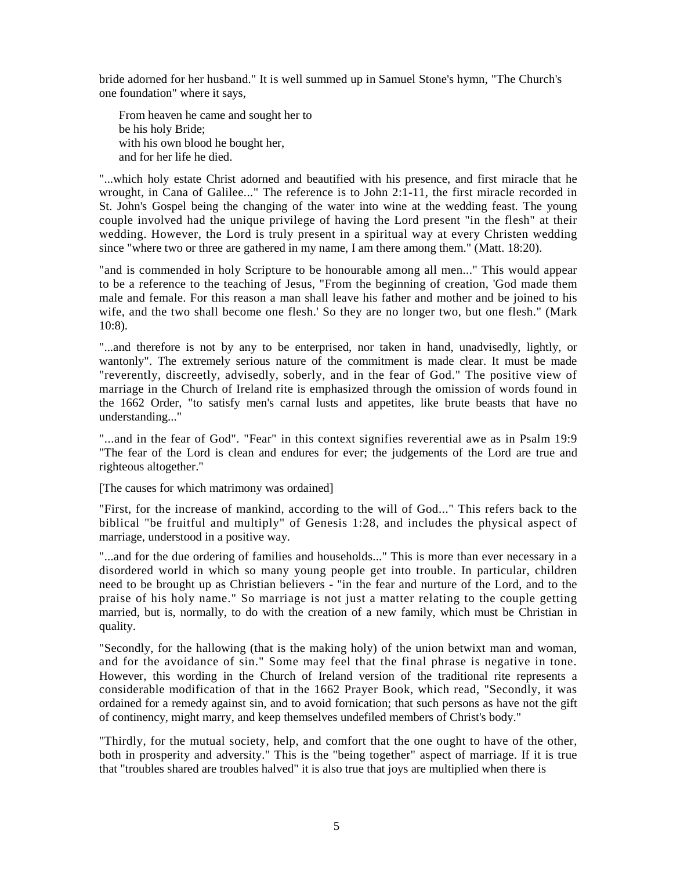bride adorned for her husband." It is well summed up in Samuel Stone's hymn, "The Church's one foundation" where it says,

From heaven he came and sought her to be his holy Bride; with his own blood he bought her, and for her life he died.

"...which holy estate Christ adorned and beautified with his presence, and first miracle that he wrought, in Cana of Galilee..." The reference is to John 2:1-11, the first miracle recorded in St. John's Gospel being the changing of the water into wine at the wedding feast. The young couple involved had the unique privilege of having the Lord present "in the flesh" at their wedding. However, the Lord is truly present in a spiritual way at every Christen wedding since "where two or three are gathered in my name, I am there among them." (Matt. 18:20).

"and is commended in holy Scripture to be honourable among all men..." This would appear to be a reference to the teaching of Jesus, "From the beginning of creation, 'God made them male and female. For this reason a man shall leave his father and mother and be joined to his wife, and the two shall become one flesh.' So they are no longer two, but one flesh." (Mark 10:8).

"...and therefore is not by any to be enterprised, nor taken in hand, unadvisedly, lightly, or wantonly". The extremely serious nature of the commitment is made clear. It must be made "reverently, discreetly, advisedly, soberly, and in the fear of God." The positive view of marriage in the Church of Ireland rite is emphasized through the omission of words found in the 1662 Order, "to satisfy men's carnal lusts and appetites, like brute beasts that have no understanding..."

"...and in the fear of God". "Fear" in this context signifies reverential awe as in Psalm 19:9 "The fear of the Lord is clean and endures for ever; the judgements of the Lord are true and righteous altogether."

[The causes for which matrimony was ordained]

"First, for the increase of mankind, according to the will of God..." This refers back to the biblical "be fruitful and multiply" of Genesis 1:28, and includes the physical aspect of marriage, understood in a positive way.

"...and for the due ordering of families and households..." This is more than ever necessary in a disordered world in which so many young people get into trouble. In particular, children need to be brought up as Christian believers - "in the fear and nurture of the Lord, and to the praise of his holy name." So marriage is not just a matter relating to the couple getting married, but is, normally, to do with the creation of a new family, which must be Christian in quality.

"Secondly, for the hallowing (that is the making holy) of the union betwixt man and woman, and for the avoidance of sin." Some may feel that the final phrase is negative in tone. However, this wording in the Church of Ireland version of the traditional rite represents a considerable modification of that in the 1662 Prayer Book, which read, "Secondly, it was ordained for a remedy against sin, and to avoid fornication; that such persons as have not the gift of continency, might marry, and keep themselves undefiled members of Christ's body."

"Thirdly, for the mutual society, help, and comfort that the one ought to have of the other, both in prosperity and adversity." This is the "being together" aspect of marriage. If it is true that "troubles shared are troubles halved" it is also true that joys are multiplied when there is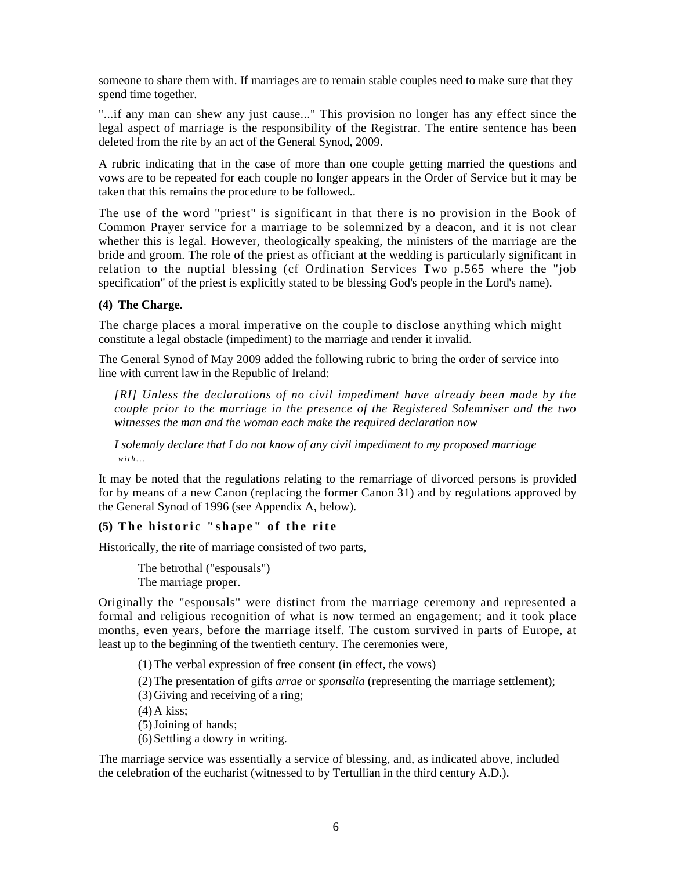someone to share them with. If marriages are to remain stable couples need to make sure that they spend time together.

"...if any man can shew any just cause..." This provision no longer has any effect since the legal aspect of marriage is the responsibility of the Registrar. The entire sentence has been deleted from the rite by an act of the General Synod, 2009.

A rubric indicating that in the case of more than one couple getting married the questions and vows are to be repeated for each couple no longer appears in the Order of Service but it may be taken that this remains the procedure to be followed..

The use of the word "priest" is significant in that there is no provision in the Book of Common Prayer service for a marriage to be solemnized by a deacon, and it is not clear whether this is legal. However, theologically speaking, the ministers of the marriage are the bride and groom. The role of the priest as officiant at the wedding is particularly significant in relation to the nuptial blessing (cf Ordination Services Two p.565 where the "job specification" of the priest is explicitly stated to be blessing God's people in the Lord's name).

# **(4) The Charge.**

The charge places a moral imperative on the couple to disclose anything which might constitute a legal obstacle (impediment) to the marriage and render it invalid.

The General Synod of May 2009 added the following rubric to bring the order of service into line with current law in the Republic of Ireland:

*[RI] Unless the declarations of no civil impediment have already been made by the couple prior to the marriage in the presence of the Registered Solemniser and the two witnesses the man and the woman each make the required declaration now* 

*I solemnly declare that I do not know of any civil impediment to my proposed marriage w i t h . . .* 

It may be noted that the regulations relating to the remarriage of divorced persons is provided for by means of a new Canon (replacing the former Canon 31) and by regulations approved by the General Synod of 1996 (see Appendix A, below).

# **(5)** The historic "shape" of the rite

Historically, the rite of marriage consisted of two parts,

The betrothal ("espousals") The marriage proper.

Originally the "espousals" were distinct from the marriage ceremony and represented a formal and religious recognition of what is now termed an engagement; and it took place months, even years, before the marriage itself. The custom survived in parts of Europe, at least up to the beginning of the twentieth century. The ceremonies were,

(1)The verbal expression of free consent (in effect, the vows)

(2)The presentation of gifts *arrae* or *sponsalia* (representing the marriage settlement);

- (3)Giving and receiving of a ring;
- $(4)$  A kiss;
- (5)Joining of hands;
- (6)Settling a dowry in writing.

The marriage service was essentially a service of blessing, and, as indicated above, included the celebration of the eucharist (witnessed to by Tertullian in the third century A.D.).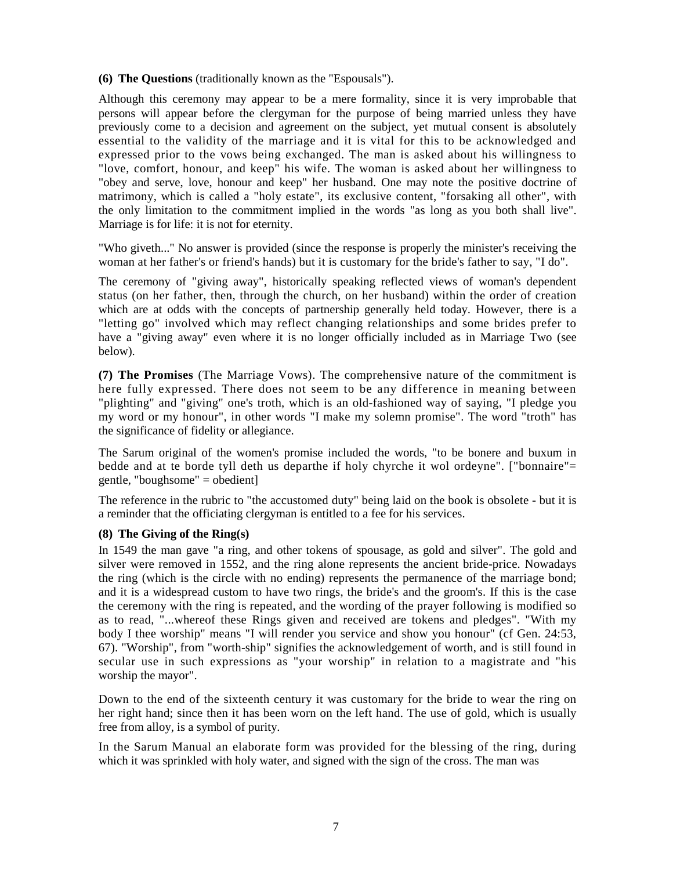# **(6) The Questions** (traditionally known as the "Espousals").

Although this ceremony may appear to be a mere formality, since it is very improbable that persons will appear before the clergyman for the purpose of being married unless they have previously come to a decision and agreement on the subject, yet mutual consent is absolutely essential to the validity of the marriage and it is vital for this to be acknowledged and expressed prior to the vows being exchanged. The man is asked about his willingness to "love, comfort, honour, and keep" his wife. The woman is asked about her willingness to "obey and serve, love, honour and keep" her husband. One may note the positive doctrine of matrimony, which is called a "holy estate", its exclusive content, "forsaking all other", with the only limitation to the commitment implied in the words "as long as you both shall live". Marriage is for life: it is not for eternity.

"Who giveth..." No answer is provided (since the response is properly the minister's receiving the woman at her father's or friend's hands) but it is customary for the bride's father to say, "I do".

The ceremony of "giving away", historically speaking reflected views of woman's dependent status (on her father, then, through the church, on her husband) within the order of creation which are at odds with the concepts of partnership generally held today. However, there is a "letting go" involved which may reflect changing relationships and some brides prefer to have a "giving away" even where it is no longer officially included as in Marriage Two (see below).

**(7) The Promises** (The Marriage Vows). The comprehensive nature of the commitment is here fully expressed. There does not seem to be any difference in meaning between "plighting" and "giving" one's troth, which is an old-fashioned way of saying, "I pledge you my word or my honour", in other words "I make my solemn promise". The word "troth" has the significance of fidelity or allegiance.

The Sarum original of the women's promise included the words, "to be bonere and buxum in bedde and at te borde tyll deth us departhe if holy chyrche it wol ordeyne". ["bonnaire"= gentle, "boughsome" = obedient]

The reference in the rubric to "the accustomed duty" being laid on the book is obsolete - but it is a reminder that the officiating clergyman is entitled to a fee for his services.

# **(8) The Giving of the Ring(s)**

In 1549 the man gave "a ring, and other tokens of spousage, as gold and silver". The gold and silver were removed in 1552, and the ring alone represents the ancient bride-price. Nowadays the ring (which is the circle with no ending) represents the permanence of the marriage bond; and it is a widespread custom to have two rings, the bride's and the groom's. If this is the case the ceremony with the ring is repeated, and the wording of the prayer following is modified so as to read, "...whereof these Rings given and received are tokens and pledges". "With my body I thee worship" means "I will render you service and show you honour" (cf Gen. 24:53, 67). "Worship", from "worth-ship" signifies the acknowledgement of worth, and is still found in secular use in such expressions as "your worship" in relation to a magistrate and "his worship the mayor".

Down to the end of the sixteenth century it was customary for the bride to wear the ring on her right hand; since then it has been worn on the left hand. The use of gold, which is usually free from alloy, is a symbol of purity.

In the Sarum Manual an elaborate form was provided for the blessing of the ring, during which it was sprinkled with holy water, and signed with the sign of the cross. The man was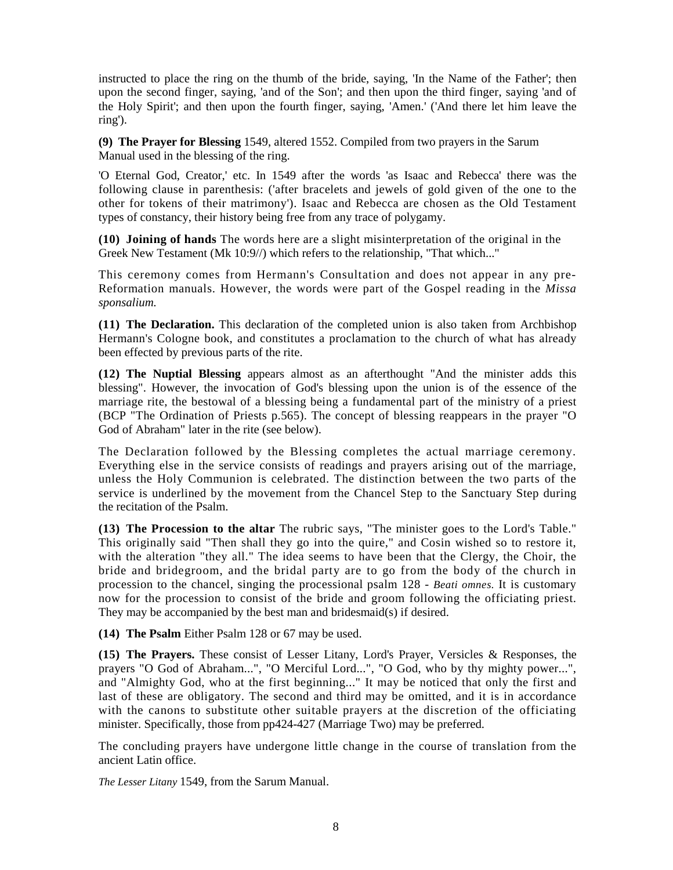instructed to place the ring on the thumb of the bride, saying, 'In the Name of the Father'; then upon the second finger, saying, 'and of the Son'; and then upon the third finger, saying 'and of the Holy Spirit'; and then upon the fourth finger, saying, 'Amen.' ('And there let him leave the ring').

**(9) The Prayer for Blessing** 1549, altered 1552. Compiled from two prayers in the Sarum Manual used in the blessing of the ring.

'O Eternal God, Creator,' etc. In 1549 after the words 'as Isaac and Rebecca' there was the following clause in parenthesis: ('after bracelets and jewels of gold given of the one to the other for tokens of their matrimony'). Isaac and Rebecca are chosen as the Old Testament types of constancy, their history being free from any trace of polygamy.

**(10) Joining of hands** The words here are a slight misinterpretation of the original in the Greek New Testament (Mk 10:9//) which refers to the relationship, "That which..."

This ceremony comes from Hermann's Consultation and does not appear in any pre-Reformation manuals. However, the words were part of the Gospel reading in the *Missa sponsalium.* 

**(11) The Declaration.** This declaration of the completed union is also taken from Archbishop Hermann's Cologne book, and constitutes a proclamation to the church of what has already been effected by previous parts of the rite.

**(12) The Nuptial Blessing** appears almost as an afterthought "And the minister adds this blessing". However, the invocation of God's blessing upon the union is of the essence of the marriage rite, the bestowal of a blessing being a fundamental part of the ministry of a priest (BCP "The Ordination of Priests p.565). The concept of blessing reappears in the prayer "O God of Abraham" later in the rite (see below).

The Declaration followed by the Blessing completes the actual marriage ceremony. Everything else in the service consists of readings and prayers arising out of the marriage, unless the Holy Communion is celebrated. The distinction between the two parts of the service is underlined by the movement from the Chancel Step to the Sanctuary Step during the recitation of the Psalm.

**(13) The Procession to the altar** The rubric says, "The minister goes to the Lord's Table." This originally said "Then shall they go into the quire," and Cosin wished so to restore it, with the alteration "they all." The idea seems to have been that the Clergy, the Choir, the bride and bridegroom, and the bridal party are to go from the body of the church in procession to the chancel, singing the processional psalm 128 - *Beati omnes.* It is customary now for the procession to consist of the bride and groom following the officiating priest. They may be accompanied by the best man and bridesmaid(s) if desired.

**(14) The Psalm** Either Psalm 128 or 67 may be used.

**(15) The Prayers.** These consist of Lesser Litany, Lord's Prayer, Versicles & Responses, the prayers "O God of Abraham...", "O Merciful Lord...", "O God, who by thy mighty power...", and "Almighty God, who at the first beginning..." It may be noticed that only the first and last of these are obligatory. The second and third may be omitted, and it is in accordance with the canons to substitute other suitable prayers at the discretion of the officiating minister. Specifically, those from pp424-427 (Marriage Two) may be preferred.

The concluding prayers have undergone little change in the course of translation from the ancient Latin office.

*The Lesser Litany* 1549, from the Sarum Manual.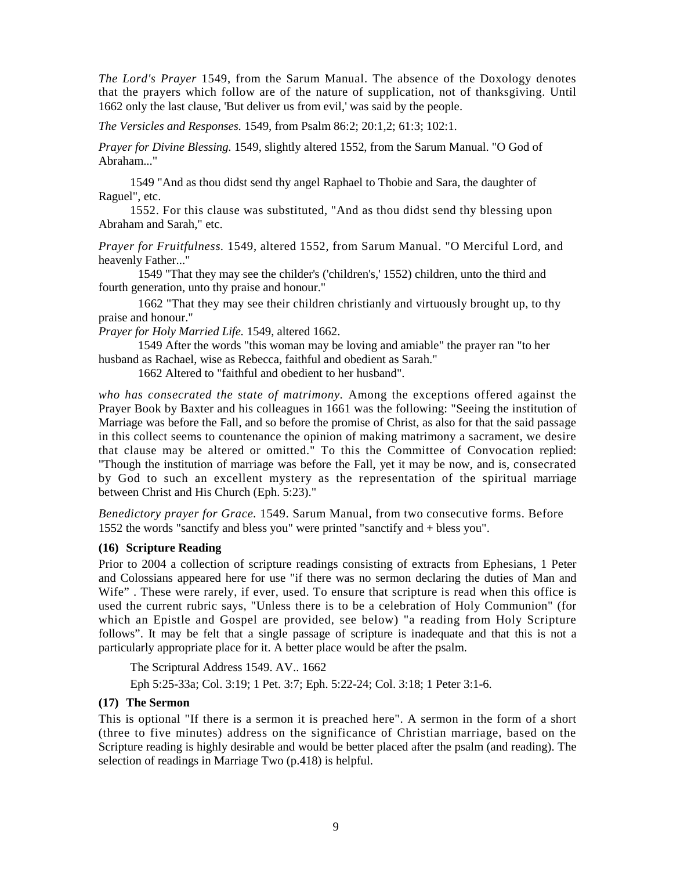*The Lord's Prayer* 1549, from the Sarum Manual. The absence of the Doxology denotes that the prayers which follow are of the nature of supplication, not of thanksgiving. Until 1662 only the last clause, 'But deliver us from evil,' was said by the people.

*The Versicles and Responses.* 1549, from Psalm 86:2; 20:1,2; 61:3; 102:1.

*Prayer for Divine Blessing.* 1549, slightly altered 1552, from the Sarum Manual. "O God of Abraham..."

1549 "And as thou didst send thy angel Raphael to Thobie and Sara, the daughter of Raguel", etc.

1552. For this clause was substituted, "And as thou didst send thy blessing upon Abraham and Sarah," etc.

*Prayer for Fruitfulness.* 1549, altered 1552, from Sarum Manual. "O Merciful Lord, and heavenly Father..."

1549 "That they may see the childer's ('children's,' 1552) children, unto the third and fourth generation, unto thy praise and honour."

1662 "That they may see their children christianly and virtuously brought up, to thy praise and honour."

*Prayer for Holy Married Life.* 1549, altered 1662.

1549 After the words "this woman may be loving and amiable" the prayer ran "to her husband as Rachael, wise as Rebecca, faithful and obedient as Sarah."

1662 Altered to "faithful and obedient to her husband".

*who has consecrated the state of matrimony.* Among the exceptions offered against the Prayer Book by Baxter and his colleagues in 1661 was the following: "Seeing the institution of Marriage was before the Fall, and so before the promise of Christ, as also for that the said passage in this collect seems to countenance the opinion of making matrimony a sacrament, we desire that clause may be altered or omitted." To this the Committee of Convocation replied: "Though the institution of marriage was before the Fall, yet it may be now, and is, consecrated by God to such an excellent mystery as the representation of the spiritual marriage between Christ and His Church (Eph. 5:23)."

*Benedictory prayer for Grace.* 1549. Sarum Manual, from two consecutive forms. Before 1552 the words "sanctify and bless you" were printed "sanctify and + bless you".

# **(16) Scripture Reading**

Prior to 2004 a collection of scripture readings consisting of extracts from Ephesians, 1 Peter and Colossians appeared here for use "if there was no sermon declaring the duties of Man and Wife". These were rarely, if ever, used. To ensure that scripture is read when this office is used the current rubric says, "Unless there is to be a celebration of Holy Communion" (for which an Epistle and Gospel are provided, see below) "a reading from Holy Scripture follows". It may be felt that a single passage of scripture is inadequate and that this is not a particularly appropriate place for it. A better place would be after the psalm.

The Scriptural Address 1549. AV.. 1662 Eph 5:25-33a; Col. 3:19; 1 Pet. 3:7; Eph. 5:22-24; Col. 3:18; 1 Peter 3:1-6.

# **(17) The Sermon**

This is optional "If there is a sermon it is preached here". A sermon in the form of a short (three to five minutes) address on the significance of Christian marriage, based on the Scripture reading is highly desirable and would be better placed after the psalm (and reading). The selection of readings in Marriage Two (p.418) is helpful.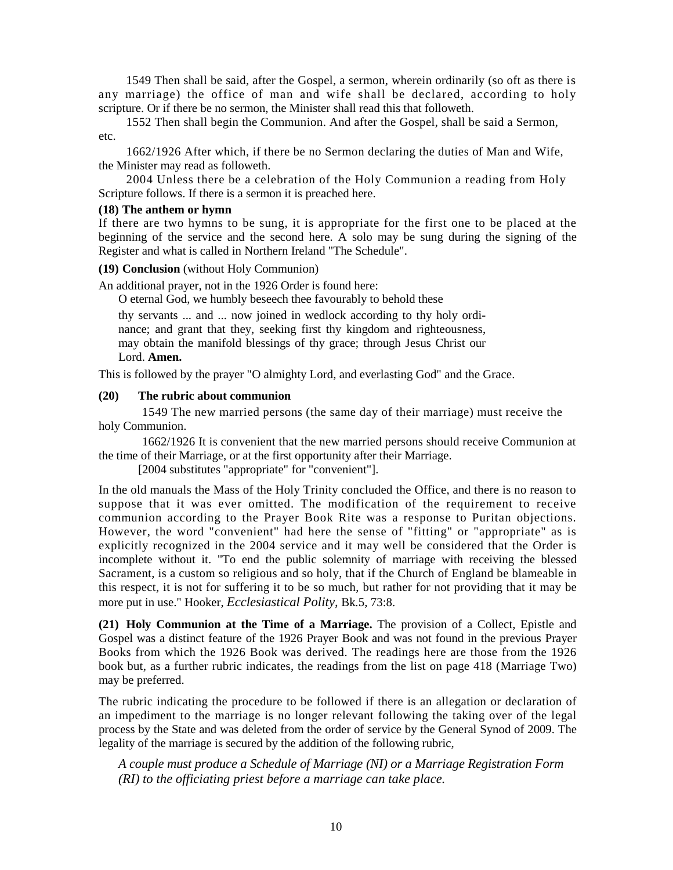1549 Then shall be said, after the Gospel, a sermon, wherein ordinarily (so oft as there is any marriage) the office of man and wife shall be declared, according to holy scripture. Or if there be no sermon, the Minister shall read this that followeth.

1552 Then shall begin the Communion. And after the Gospel, shall be said a Sermon, etc.

1662/1926 After which, if there be no Sermon declaring the duties of Man and Wife, the Minister may read as followeth.

2004 Unless there be a celebration of the Holy Communion a reading from Holy Scripture follows. If there is a sermon it is preached here.

#### **(18) The anthem or hymn**

If there are two hymns to be sung, it is appropriate for the first one to be placed at the beginning of the service and the second here. A solo may be sung during the signing of the Register and what is called in Northern Ireland "The Schedule".

#### **(19) Conclusion** (without Holy Communion)

An additional prayer, not in the 1926 Order is found here:

O eternal God, we humbly beseech thee favourably to behold these

thy servants ... and ... now joined in wedlock according to thy holy ordinance; and grant that they, seeking first thy kingdom and righteousness, may obtain the manifold blessings of thy grace; through Jesus Christ our Lord. **Amen.** 

This is followed by the prayer "O almighty Lord, and everlasting God" and the Grace.

#### **(20) The rubric about communion**

1549 The new married persons (the same day of their marriage) must receive the holy Communion.

1662/1926 It is convenient that the new married persons should receive Communion at the time of their Marriage, or at the first opportunity after their Marriage.

[2004 substitutes "appropriate" for "convenient"].

In the old manuals the Mass of the Holy Trinity concluded the Office, and there is no reason to suppose that it was ever omitted. The modification of the requirement to receive communion according to the Prayer Book Rite was a response to Puritan objections. However, the word "convenient" had here the sense of "fitting" or "appropriate" as is explicitly recognized in the 2004 service and it may well be considered that the Order is incomplete without it. "To end the public solemnity of marriage with receiving the blessed Sacrament, is a custom so religious and so holy, that if the Church of England be blameable in this respect, it is not for suffering it to be so much, but rather for not providing that it may be more put in use." Hooker, *Ecclesiastical Polity,* Bk.5, 73:8.

**(21) Holy Communion at the Time of a Marriage.** The provision of a Collect, Epistle and Gospel was a distinct feature of the 1926 Prayer Book and was not found in the previous Prayer Books from which the 1926 Book was derived. The readings here are those from the 1926 book but, as a further rubric indicates, the readings from the list on page 418 (Marriage Two) may be preferred.

The rubric indicating the procedure to be followed if there is an allegation or declaration of an impediment to the marriage is no longer relevant following the taking over of the legal process by the State and was deleted from the order of service by the General Synod of 2009. The legality of the marriage is secured by the addition of the following rubric,

*A couple must produce a Schedule of Marriage (NI) or a Marriage Registration Form (RI) to the officiating priest before a marriage can take place.*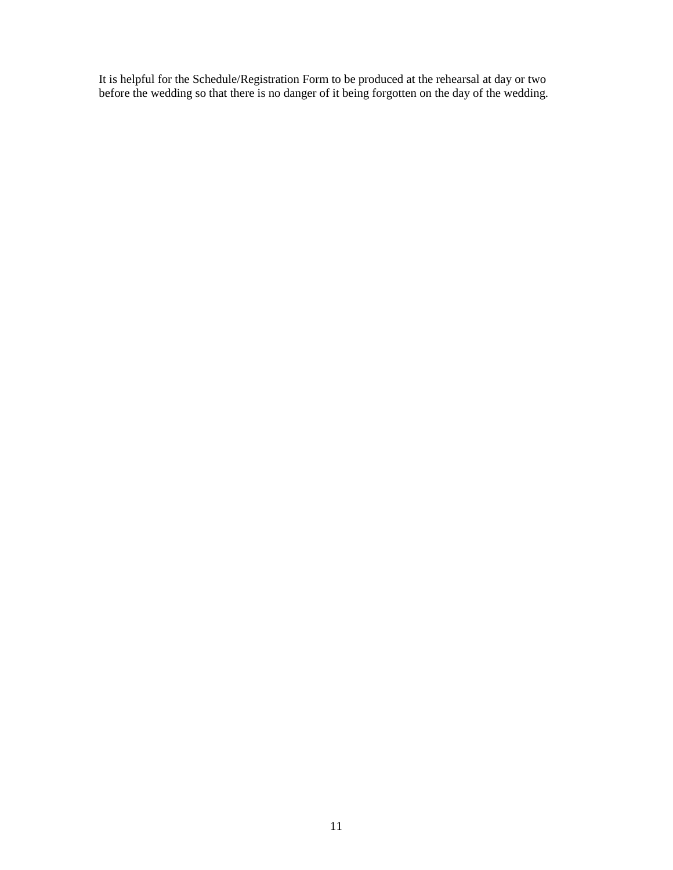It is helpful for the Schedule/Registration Form to be produced at the rehearsal at day or two before the wedding so that there is no danger of it being forgotten on the day of the wedding.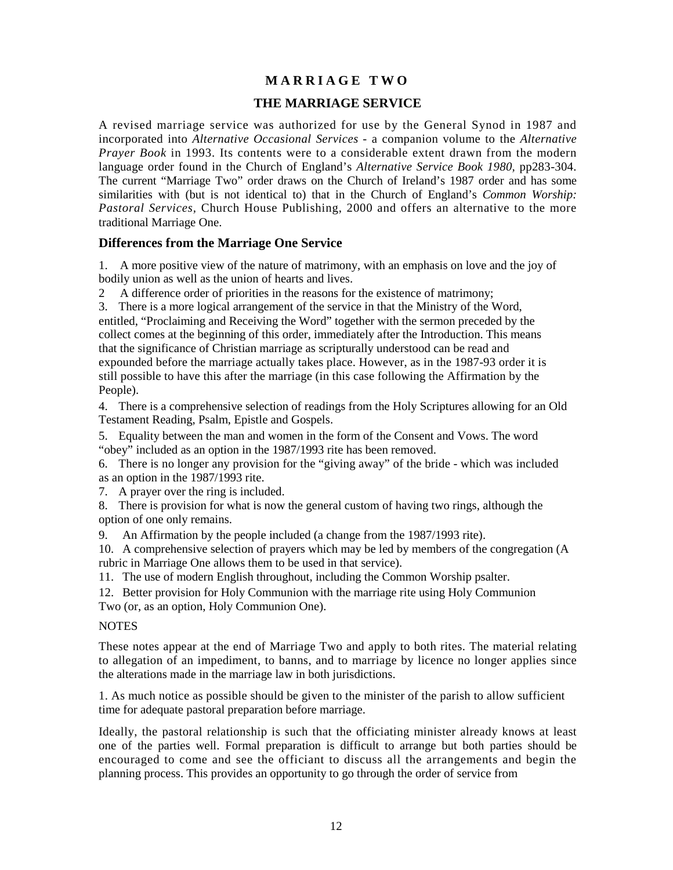# **M A R R I A G E T W O**

# **THE MARRIAGE SERVICE**

A revised marriage service was authorized for use by the General Synod in 1987 and incorporated into *Alternative Occasional Services -* a companion volume to the *Alternative Prayer Book* in 1993. Its contents were to a considerable extent drawn from the modern language order found in the Church of England's *Alternative Service Book 1980,* pp283-304. The current "Marriage Two" order draws on the Church of Ireland's 1987 order and has some similarities with (but is not identical to) that in the Church of England's *Common Worship: Pastoral Services,* Church House Publishing, 2000 and offers an alternative to the more traditional Marriage One.

# **Differences from the Marriage One Service**

1. A more positive view of the nature of matrimony, with an emphasis on love and the joy of bodily union as well as the union of hearts and lives.

2 A difference order of priorities in the reasons for the existence of matrimony;

3. There is a more logical arrangement of the service in that the Ministry of the Word, entitled, "Proclaiming and Receiving the Word" together with the sermon preceded by the collect comes at the beginning of this order, immediately after the Introduction. This means that the significance of Christian marriage as scripturally understood can be read and expounded before the marriage actually takes place. However, as in the 1987-93 order it is still possible to have this after the marriage (in this case following the Affirmation by the People).

4. There is a comprehensive selection of readings from the Holy Scriptures allowing for an Old Testament Reading, Psalm, Epistle and Gospels.

5. Equality between the man and women in the form of the Consent and Vows. The word "obey" included as an option in the 1987/1993 rite has been removed.

6. There is no longer any provision for the "giving away" of the bride - which was included as an option in the 1987/1993 rite.

7. A prayer over the ring is included.

8. There is provision for what is now the general custom of having two rings, although the option of one only remains.

9. An Affirmation by the people included (a change from the 1987/1993 rite).

10. A comprehensive selection of prayers which may be led by members of the congregation (A rubric in Marriage One allows them to be used in that service).

11. The use of modern English throughout, including the Common Worship psalter.

12. Better provision for Holy Communion with the marriage rite using Holy Communion Two (or, as an option, Holy Communion One).

#### **NOTES**

These notes appear at the end of Marriage Two and apply to both rites. The material relating to allegation of an impediment, to banns, and to marriage by licence no longer applies since the alterations made in the marriage law in both jurisdictions.

1. As much notice as possible should be given to the minister of the parish to allow sufficient time for adequate pastoral preparation before marriage.

Ideally, the pastoral relationship is such that the officiating minister already knows at least one of the parties well. Formal preparation is difficult to arrange but both parties should be encouraged to come and see the officiant to discuss all the arrangements and begin the planning process. This provides an opportunity to go through the order of service from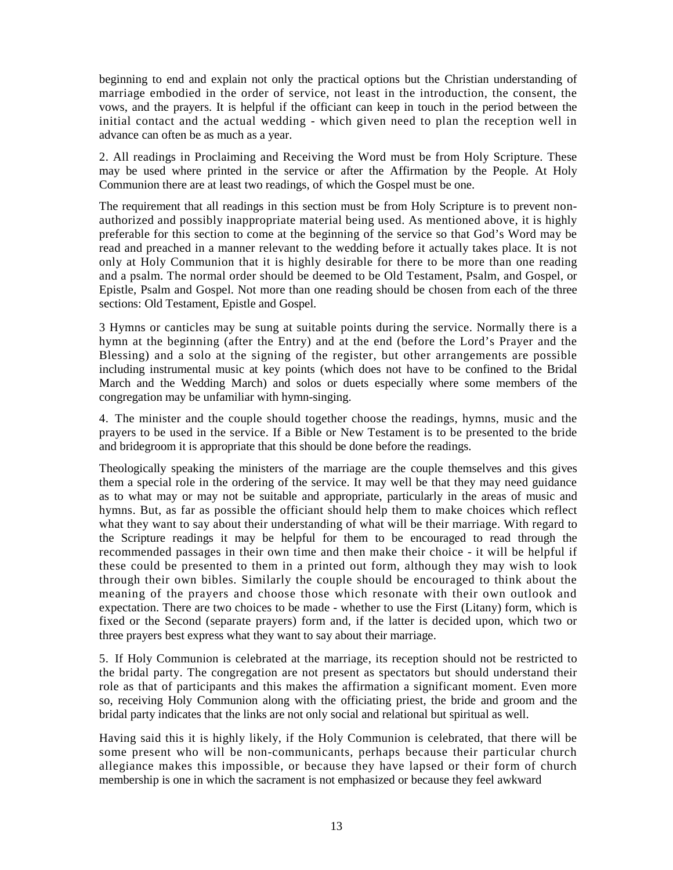beginning to end and explain not only the practical options but the Christian understanding of marriage embodied in the order of service, not least in the introduction, the consent, the vows, and the prayers. It is helpful if the officiant can keep in touch in the period between the initial contact and the actual wedding - which given need to plan the reception well in advance can often be as much as a year.

2. All readings in Proclaiming and Receiving the Word must be from Holy Scripture. These may be used where printed in the service or after the Affirmation by the People. At Holy Communion there are at least two readings, of which the Gospel must be one.

The requirement that all readings in this section must be from Holy Scripture is to prevent nonauthorized and possibly inappropriate material being used. As mentioned above, it is highly preferable for this section to come at the beginning of the service so that God's Word may be read and preached in a manner relevant to the wedding before it actually takes place. It is not only at Holy Communion that it is highly desirable for there to be more than one reading and a psalm. The normal order should be deemed to be Old Testament, Psalm, and Gospel, or Epistle, Psalm and Gospel. Not more than one reading should be chosen from each of the three sections: Old Testament, Epistle and Gospel.

3 Hymns or canticles may be sung at suitable points during the service. Normally there is a hymn at the beginning (after the Entry) and at the end (before the Lord's Prayer and the Blessing) and a solo at the signing of the register, but other arrangements are possible including instrumental music at key points (which does not have to be confined to the Bridal March and the Wedding March) and solos or duets especially where some members of the congregation may be unfamiliar with hymn-singing.

4. The minister and the couple should together choose the readings, hymns, music and the prayers to be used in the service. If a Bible or New Testament is to be presented to the bride and bridegroom it is appropriate that this should be done before the readings.

Theologically speaking the ministers of the marriage are the couple themselves and this gives them a special role in the ordering of the service. It may well be that they may need guidance as to what may or may not be suitable and appropriate, particularly in the areas of music and hymns. But, as far as possible the officiant should help them to make choices which reflect what they want to say about their understanding of what will be their marriage. With regard to the Scripture readings it may be helpful for them to be encouraged to read through the recommended passages in their own time and then make their choice - it will be helpful if these could be presented to them in a printed out form, although they may wish to look through their own bibles. Similarly the couple should be encouraged to think about the meaning of the prayers and choose those which resonate with their own outlook and expectation. There are two choices to be made - whether to use the First (Litany) form, which is fixed or the Second (separate prayers) form and, if the latter is decided upon, which two or three prayers best express what they want to say about their marriage.

5. If Holy Communion is celebrated at the marriage, its reception should not be restricted to the bridal party. The congregation are not present as spectators but should understand their role as that of participants and this makes the affirmation a significant moment. Even more so, receiving Holy Communion along with the officiating priest, the bride and groom and the bridal party indicates that the links are not only social and relational but spiritual as well.

Having said this it is highly likely, if the Holy Communion is celebrated, that there will be some present who will be non-communicants, perhaps because their particular church allegiance makes this impossible, or because they have lapsed or their form of church membership is one in which the sacrament is not emphasized or because they feel awkward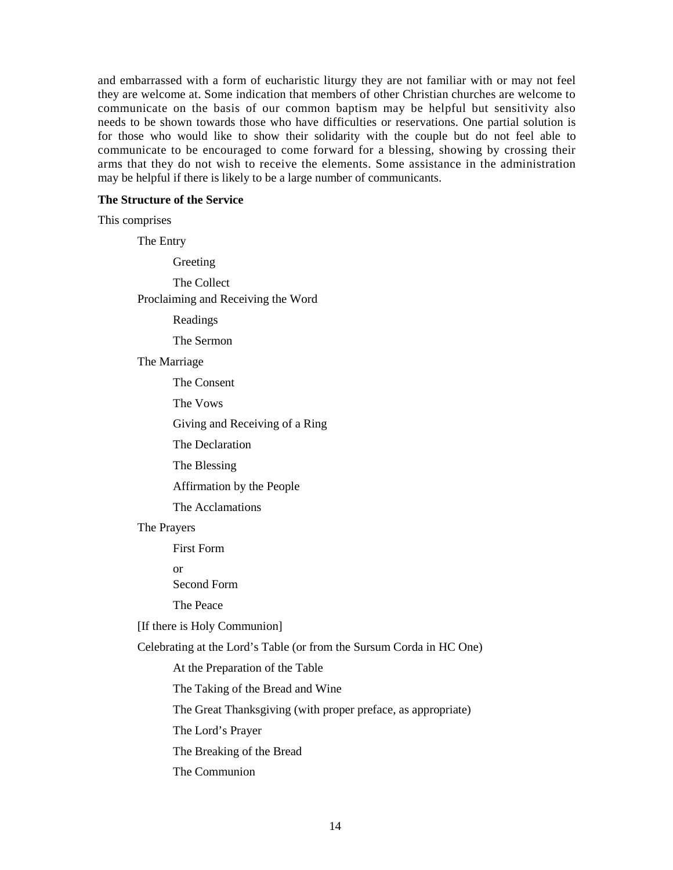and embarrassed with a form of eucharistic liturgy they are not familiar with or may not feel they are welcome at. Some indication that members of other Christian churches are welcome to communicate on the basis of our common baptism may be helpful but sensitivity also needs to be shown towards those who have difficulties or reservations. One partial solution is for those who would like to show their solidarity with the couple but do not feel able to communicate to be encouraged to come forward for a blessing, showing by crossing their arms that they do not wish to receive the elements. Some assistance in the administration may be helpful if there is likely to be a large number of communicants.

#### **The Structure of the Service**

This comprises

The Entry Greeting The Collect Proclaiming and Receiving the Word Readings The Sermon The Marriage The Consent The Vows Giving and Receiving of a Ring The Declaration The Blessing Affirmation by the People The Acclamations The Prayers First Form or Second Form The Peace [If there is Holy Communion] Celebrating at the Lord's Table (or from the Sursum Corda in HC One) At the Preparation of the Table The Taking of the Bread and Wine The Great Thanksgiving (with proper preface, as appropriate) The Lord's Prayer The Breaking of the Bread The Communion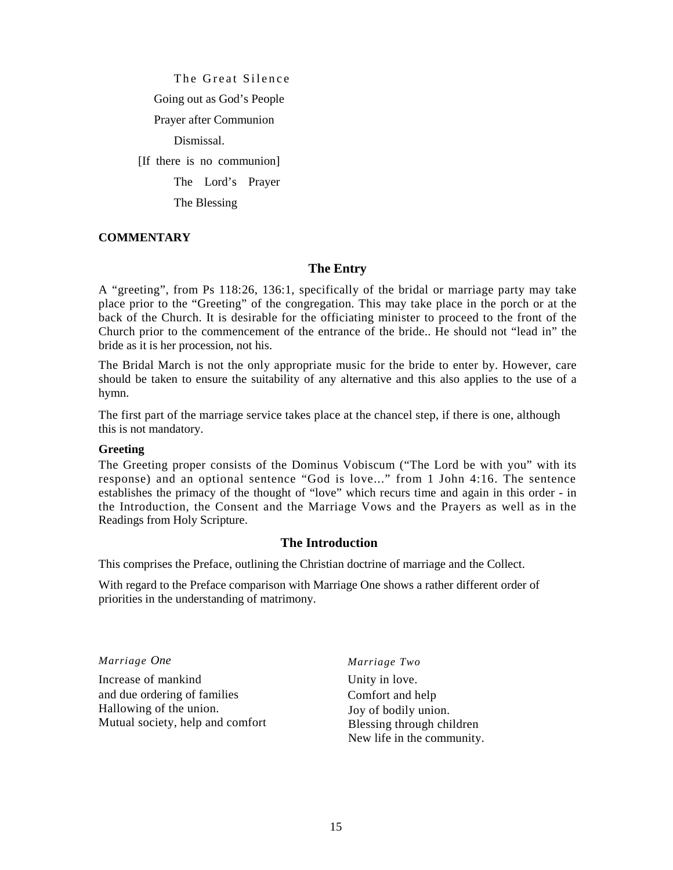The Great Silence Going out as God's People Prayer after Communion Dismissal. [If there is no communion] The Lord's Prayer The Blessing

#### **COMMENTARY**

# **The Entry**

A "greeting", from Ps 118:26, 136:1, specifically of the bridal or marriage party may take place prior to the "Greeting" of the congregation. This may take place in the porch or at the back of the Church. It is desirable for the officiating minister to proceed to the front of the Church prior to the commencement of the entrance of the bride.. He should not "lead in" the bride as it is her procession, not his.

The Bridal March is not the only appropriate music for the bride to enter by. However, care should be taken to ensure the suitability of any alternative and this also applies to the use of a hymn.

The first part of the marriage service takes place at the chancel step, if there is one, although this is not mandatory.

#### **Greeting**

The Greeting proper consists of the Dominus Vobiscum ("The Lord be with you" with its response) and an optional sentence "God is love..." from 1 John 4:16. The sentence establishes the primacy of the thought of "love" which recurs time and again in this order - in the Introduction, the Consent and the Marriage Vows and the Prayers as well as in the Readings from Holy Scripture.

#### **The Introduction**

This comprises the Preface, outlining the Christian doctrine of marriage and the Collect.

With regard to the Preface comparison with Marriage One shows a rather different order of priorities in the understanding of matrimony.

*Marriage One* 

Increase of mankind and due ordering of families Hallowing of the union. Mutual society, help and comfort *Marriage Two* 

Unity in love. Comfort and help Joy of bodily union. Blessing through children New life in the community.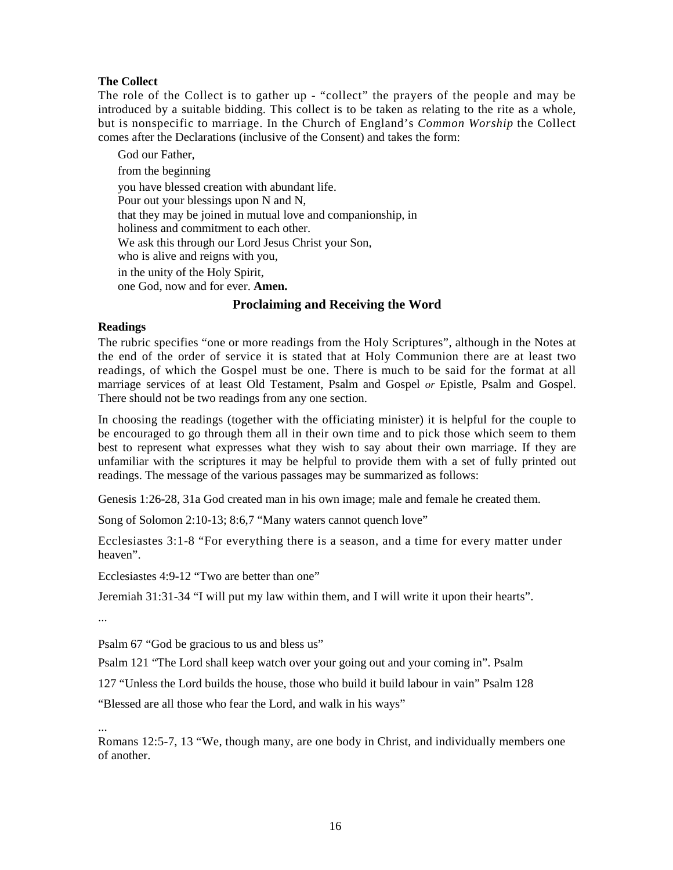# **The Collect**

The role of the Collect is to gather up - "collect" the prayers of the people and may be introduced by a suitable bidding. This collect is to be taken as relating to the rite as a whole, but is nonspecific to marriage. In the Church of England's *Common Worship* the Collect comes after the Declarations (inclusive of the Consent) and takes the form:

God our Father, from the beginning you have blessed creation with abundant life. Pour out your blessings upon N and N, that they may be joined in mutual love and companionship, in holiness and commitment to each other. We ask this through our Lord Jesus Christ your Son, who is alive and reigns with you, in the unity of the Holy Spirit, one God, now and for ever. **Amen.** 

# **Proclaiming and Receiving the Word**

# **Readings**

The rubric specifies "one or more readings from the Holy Scriptures", although in the Notes at the end of the order of service it is stated that at Holy Communion there are at least two readings, of which the Gospel must be one. There is much to be said for the format at all marriage services of at least Old Testament, Psalm and Gospel *or* Epistle, Psalm and Gospel. There should not be two readings from any one section.

In choosing the readings (together with the officiating minister) it is helpful for the couple to be encouraged to go through them all in their own time and to pick those which seem to them best to represent what expresses what they wish to say about their own marriage. If they are unfamiliar with the scriptures it may be helpful to provide them with a set of fully printed out readings. The message of the various passages may be summarized as follows:

Genesis 1:26-28, 31a God created man in his own image; male and female he created them.

Song of Solomon 2:10-13; 8:6,7 "Many waters cannot quench love"

Ecclesiastes 3:1-8 "For everything there is a season, and a time for every matter under heaven".

Ecclesiastes 4:9-12 "Two are better than one"

Jeremiah 31:31-34 "I will put my law within them, and I will write it upon their hearts".

...

Psalm 67 "God be gracious to us and bless us"

Psalm 121 "The Lord shall keep watch over your going out and your coming in". Psalm

127 "Unless the Lord builds the house, those who build it build labour in vain" Psalm 128

"Blessed are all those who fear the Lord, and walk in his ways"

... Romans 12:5-7, 13 "We, though many, are one body in Christ, and individually members one of another.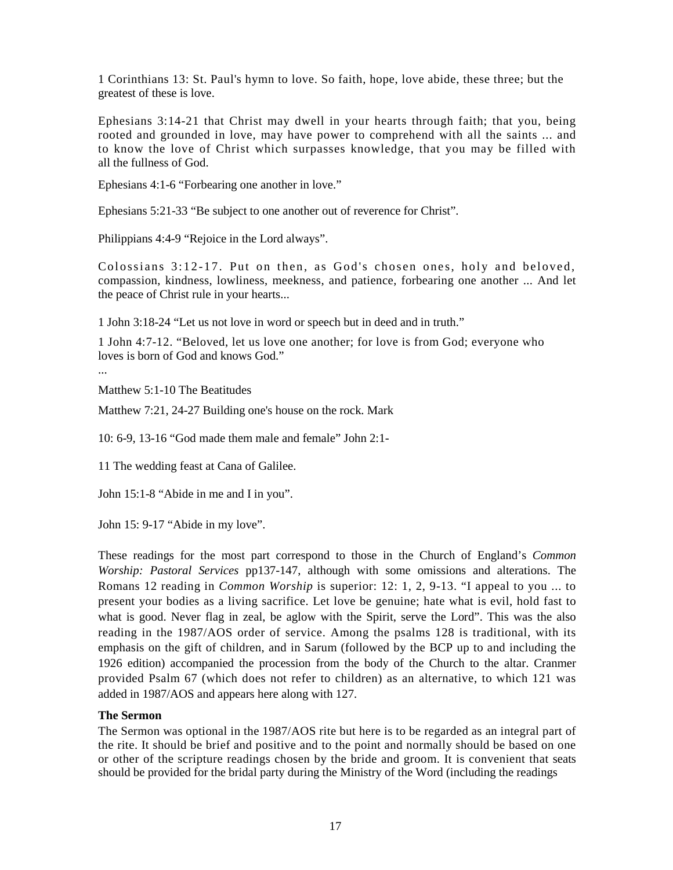1 Corinthians 13: St. Paul's hymn to love. So faith, hope, love abide, these three; but the greatest of these is love.

Ephesians 3:14-21 that Christ may dwell in your hearts through faith; that you, being rooted and grounded in love, may have power to comprehend with all the saints ... and to know the love of Christ which surpasses knowledge, that you may be filled with all the fullness of God.

Ephesians 4:1-6 "Forbearing one another in love."

Ephesians 5:21-33 "Be subject to one another out of reverence for Christ".

Philippians 4:4-9 "Rejoice in the Lord always".

Colossians 3:12-17. Put on then, as God's chosen ones, holy and beloved, compassion, kindness, lowliness, meekness, and patience, forbearing one another ... And let the peace of Christ rule in your hearts...

1 John 3:18-24 "Let us not love in word or speech but in deed and in truth."

1 John 4:7-12. "Beloved, let us love one another; for love is from God; everyone who loves is born of God and knows God."

...

Matthew 5:1-10 The Beatitudes

Matthew 7:21, 24-27 Building one's house on the rock. Mark

10: 6-9, 13-16 "God made them male and female" John 2:1-

11 The wedding feast at Cana of Galilee.

John 15:1-8 "Abide in me and I in you".

John 15: 9-17 "Abide in my love".

These readings for the most part correspond to those in the Church of England's *Common Worship: Pastoral Services* pp137-147, although with some omissions and alterations. The Romans 12 reading in *Common Worship* is superior: 12: 1, 2, 9-13. "I appeal to you ... to present your bodies as a living sacrifice. Let love be genuine; hate what is evil, hold fast to what is good. Never flag in zeal, be aglow with the Spirit, serve the Lord". This was the also reading in the 1987/AOS order of service. Among the psalms 128 is traditional, with its emphasis on the gift of children, and in Sarum (followed by the BCP up to and including the 1926 edition) accompanied the procession from the body of the Church to the altar. Cranmer provided Psalm 67 (which does not refer to children) as an alternative, to which 121 was added in 1987/AOS and appears here along with 127.

#### **The Sermon**

The Sermon was optional in the 1987/AOS rite but here is to be regarded as an integral part of the rite. It should be brief and positive and to the point and normally should be based on one or other of the scripture readings chosen by the bride and groom. It is convenient that seats should be provided for the bridal party during the Ministry of the Word (including the readings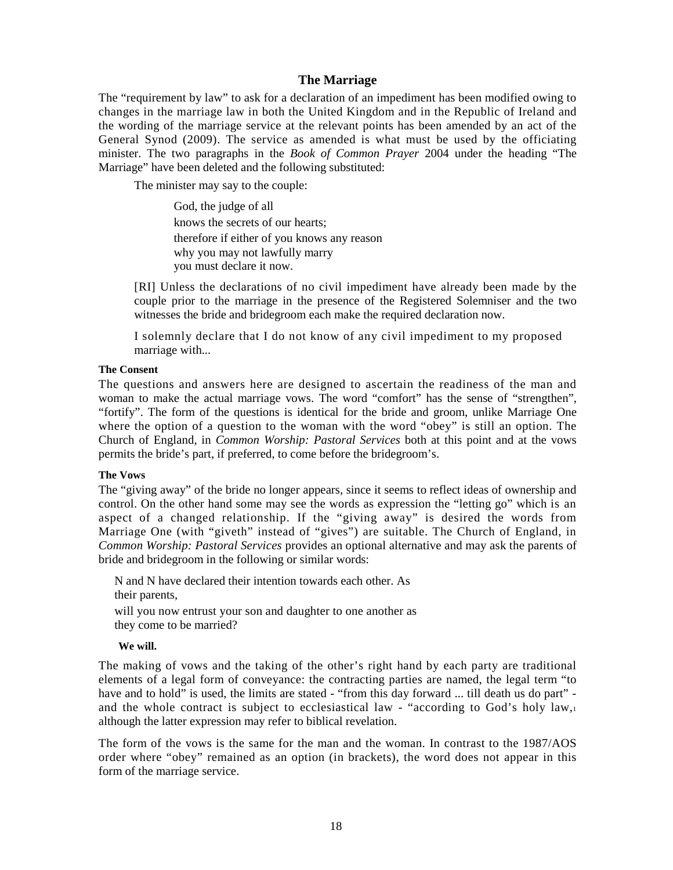#### **The Marriage**

The "requirement by law" to ask for a declaration of an impediment has been modified owing to changes in the marriage law in both the United Kingdom and in the Republic of Ireland and the wording of the marriage service at the relevant points has been amended by an act of the General Synod (2009). The service as amended is what must be used by the officiating minister. The two paragraphs in the *Book of Common Prayer* 2004 under the heading "The Marriage" have been deleted and the following substituted:

The minister may say to the couple:

God, the judge of all knows the secrets of our hearts; therefore if either of you knows any reason why you may not lawfully marry you must declare it now.

[RI] Unless the declarations of no civil impediment have already been made by the couple prior to the marriage in the presence of the Registered Solemniser and the two witnesses the bride and bridegroom each make the required declaration now.

I solemnly declare that I do not know of any civil impediment to my proposed marriage with...

#### **The Consent**

The questions and answers here are designed to ascertain the readiness of the man and woman to make the actual marriage vows. The word "comfort" has the sense of "strengthen", "fortify". The form of the questions is identical for the bride and groom, unlike Marriage One where the option of a question to the woman with the word "obey" is still an option. The Church of England, in *Common Worship: Pastoral Services* both at this point and at the vows permits the bride's part, if preferred, to come before the bridegroom's.

#### **The Vows**

The "giving away" of the bride no longer appears, since it seems to reflect ideas of ownership and control. On the other hand some may see the words as expression the "letting go" which is an aspect of a changed relationship. If the "giving away" is desired the words from Marriage One (with "giveth" instead of "gives") are suitable. The Church of England, in *Common Worship: Pastoral Services* provides an optional alternative and may ask the parents of bride and bridegroom in the following or similar words:

N and N have declared their intention towards each other. As their parents, will you now entrust your son and daughter to one another as they come to be married?

#### **We will.**

The making of vows and the taking of the other's right hand by each party are traditional elements of a legal form of conveyance: the contracting parties are named, the legal term "to have and to hold" is used, the limits are stated - "from this day forward ... till death us do part" and the whole contract is subject to ecclesiastical law - "according to God's holy law,<sup>1</sup> although the latter expression may refer to biblical revelation.

The form of the vows is the same for the man and the woman. In contrast to the 1987/AOS order where "obey" remained as an option (in brackets), the word does not appear in this form of the marriage service.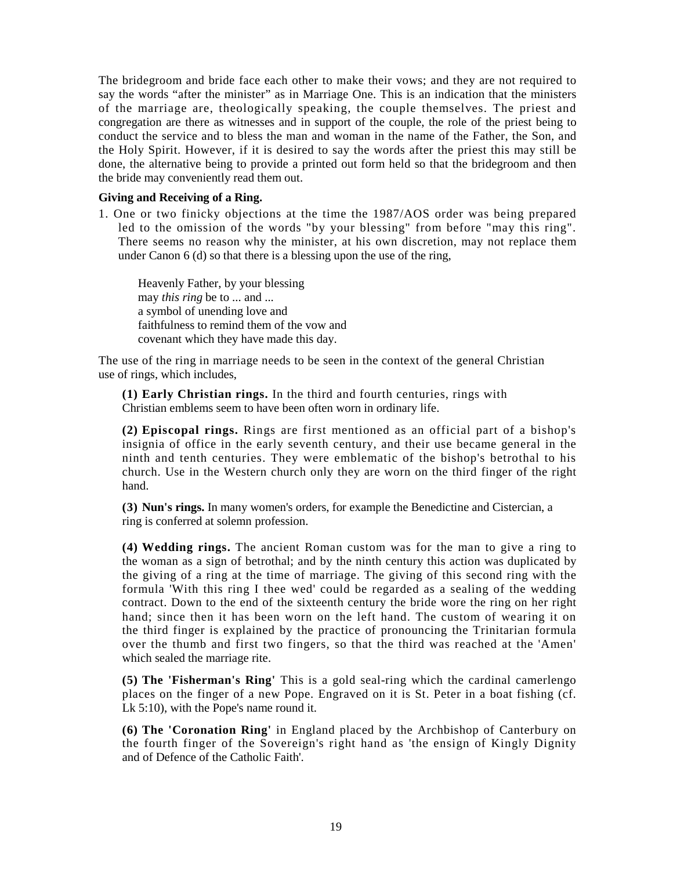The bridegroom and bride face each other to make their vows; and they are not required to say the words "after the minister" as in Marriage One. This is an indication that the ministers of the marriage are, theologically speaking, the couple themselves. The priest and congregation are there as witnesses and in support of the couple, the role of the priest being to conduct the service and to bless the man and woman in the name of the Father, the Son, and the Holy Spirit. However, if it is desired to say the words after the priest this may still be done, the alternative being to provide a printed out form held so that the bridegroom and then the bride may conveniently read them out.

# **Giving and Receiving of a Ring.**

1. One or two finicky objections at the time the 1987/AOS order was being prepared led to the omission of the words "by your blessing" from before "may this ring". There seems no reason why the minister, at his own discretion, may not replace them under Canon 6 (d) so that there is a blessing upon the use of the ring,

Heavenly Father, by your blessing may *this ring* be to ... and ... a symbol of unending love and faithfulness to remind them of the vow and covenant which they have made this day.

The use of the ring in marriage needs to be seen in the context of the general Christian use of rings, which includes,

**(1) Early Christian rings.** In the third and fourth centuries, rings with Christian emblems seem to have been often worn in ordinary life.

**(2) Episcopal rings.** Rings are first mentioned as an official part of a bishop's insignia of office in the early seventh century, and their use became general in the ninth and tenth centuries. They were emblematic of the bishop's betrothal to his church. Use in the Western church only they are worn on the third finger of the right hand.

**(3) Nun's rings.** In many women's orders, for example the Benedictine and Cistercian, a ring is conferred at solemn profession.

**(4) Wedding rings.** The ancient Roman custom was for the man to give a ring to the woman as a sign of betrothal; and by the ninth century this action was duplicated by the giving of a ring at the time of marriage. The giving of this second ring with the formula 'With this ring I thee wed' could be regarded as a sealing of the wedding contract. Down to the end of the sixteenth century the bride wore the ring on her right hand; since then it has been worn on the left hand. The custom of wearing it on the third finger is explained by the practice of pronouncing the Trinitarian formula over the thumb and first two fingers, so that the third was reached at the 'Amen' which sealed the marriage rite.

**(5) The 'Fisherman's Ring'** This is a gold seal-ring which the cardinal camerlengo places on the finger of a new Pope. Engraved on it is St. Peter in a boat fishing (cf. Lk 5:10), with the Pope's name round it.

**(6) The 'Coronation Ring'** in England placed by the Archbishop of Canterbury on the fourth finger of the Sovereign's right hand as 'the ensign of Kingly Dignity and of Defence of the Catholic Faith'.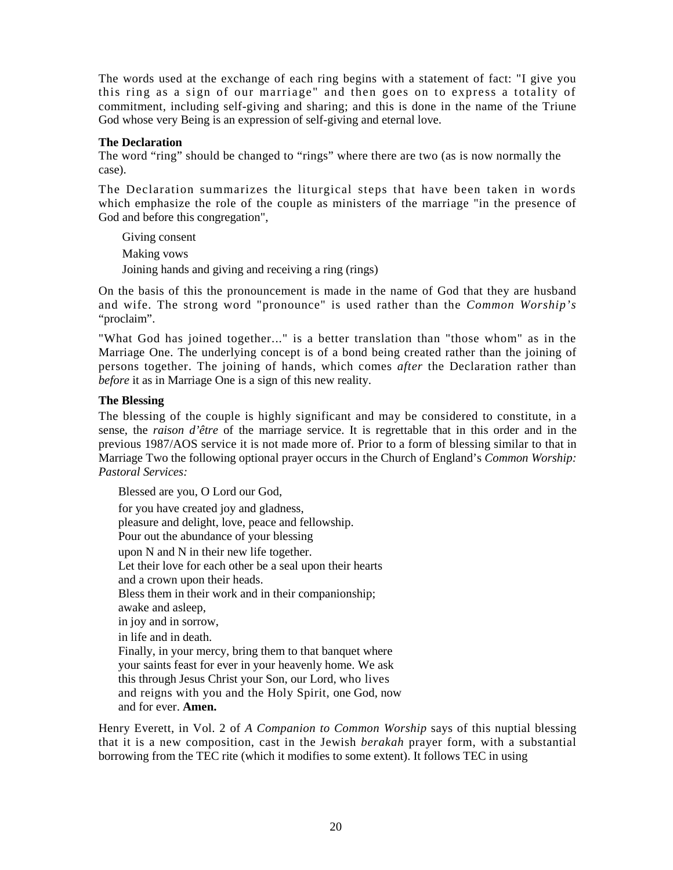The words used at the exchange of each ring begins with a statement of fact: "I give you this ring as a sign of our marriage" and then goes on to express a totality of commitment, including self-giving and sharing; and this is done in the name of the Triune God whose very Being is an expression of self-giving and eternal love.

# **The Declaration**

The word "ring" should be changed to "rings" where there are two (as is now normally the case).

The Declaration summarizes the liturgical steps that have been taken in words which emphasize the role of the couple as ministers of the marriage "in the presence of God and before this congregation",

Giving consent Making vows Joining hands and giving and receiving a ring (rings)

On the basis of this the pronouncement is made in the name of God that they are husband and wife. The strong word "pronounce" is used rather than the *Common Worship's*  "proclaim".

"What God has joined together..." is a better translation than "those whom" as in the Marriage One. The underlying concept is of a bond being created rather than the joining of persons together. The joining of hands, which comes *after* the Declaration rather than *before* it as in Marriage One is a sign of this new reality.

# **The Blessing**

The blessing of the couple is highly significant and may be considered to constitute, in a sense, the *raison d'être* of the marriage service. It is regrettable that in this order and in the previous 1987/AOS service it is not made more of. Prior to a form of blessing similar to that in Marriage Two the following optional prayer occurs in the Church of England's *Common Worship: Pastoral Services:* 

Blessed are you, O Lord our God, for you have created joy and gladness, pleasure and delight, love, peace and fellowship. Pour out the abundance of your blessing upon N and N in their new life together. Let their love for each other be a seal upon their hearts and a crown upon their heads. Bless them in their work and in their companionship; awake and asleep, in joy and in sorrow, in life and in death. Finally, in your mercy, bring them to that banquet where your saints feast for ever in your heavenly home. We ask this through Jesus Christ your Son, our Lord, who lives and reigns with you and the Holy Spirit, one God, now and for ever. **Amen.** 

Henry Everett, in Vol. 2 of *A Companion to Common Worship* says of this nuptial blessing that it is a new composition, cast in the Jewish *berakah* prayer form, with a substantial borrowing from the TEC rite (which it modifies to some extent). It follows TEC in using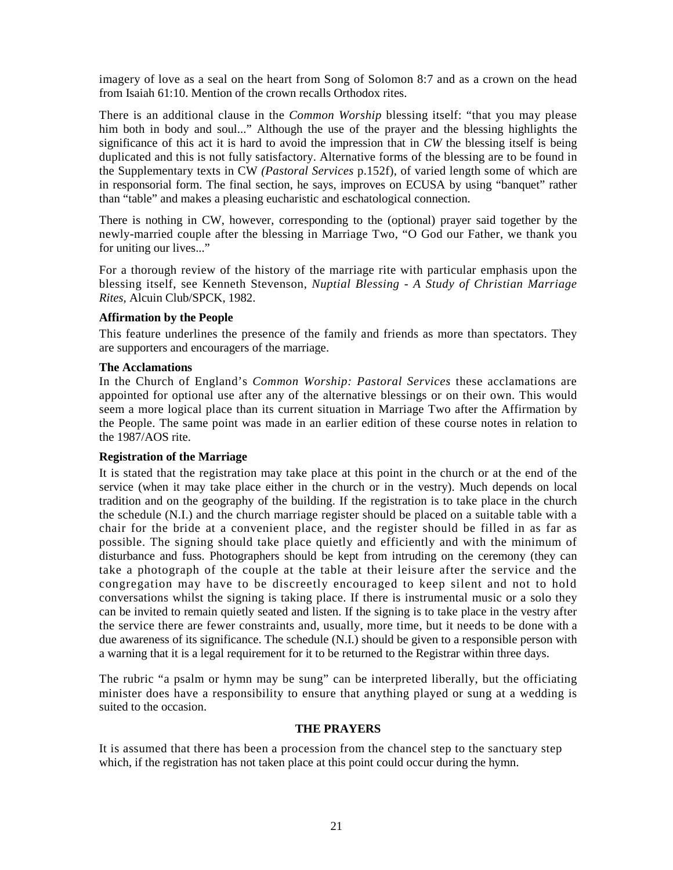imagery of love as a seal on the heart from Song of Solomon 8:7 and as a crown on the head from Isaiah 61:10. Mention of the crown recalls Orthodox rites.

There is an additional clause in the *Common Worship* blessing itself: "that you may please him both in body and soul..." Although the use of the prayer and the blessing highlights the significance of this act it is hard to avoid the impression that in *CW* the blessing itself is being duplicated and this is not fully satisfactory. Alternative forms of the blessing are to be found in the Supplementary texts in CW *(Pastoral Services* p.152f), of varied length some of which are in responsorial form. The final section, he says, improves on ECUSA by using "banquet" rather than "table" and makes a pleasing eucharistic and eschatological connection.

There is nothing in CW, however, corresponding to the (optional) prayer said together by the newly-married couple after the blessing in Marriage Two, "O God our Father, we thank you for uniting our lives..."

For a thorough review of the history of the marriage rite with particular emphasis upon the blessing itself, see Kenneth Stevenson, *Nuptial Blessing - A Study of Christian Marriage Rites,* Alcuin Club/SPCK, 1982.

# **Affirmation by the People**

This feature underlines the presence of the family and friends as more than spectators. They are supporters and encouragers of the marriage.

#### **The Acclamations**

In the Church of England's *Common Worship: Pastoral Services* these acclamations are appointed for optional use after any of the alternative blessings or on their own. This would seem a more logical place than its current situation in Marriage Two after the Affirmation by the People. The same point was made in an earlier edition of these course notes in relation to the 1987/AOS rite.

#### **Registration of the Marriage**

It is stated that the registration may take place at this point in the church or at the end of the service (when it may take place either in the church or in the vestry). Much depends on local tradition and on the geography of the building. If the registration is to take place in the church the schedule (N.I.) and the church marriage register should be placed on a suitable table with a chair for the bride at a convenient place, and the register should be filled in as far as possible. The signing should take place quietly and efficiently and with the minimum of disturbance and fuss. Photographers should be kept from intruding on the ceremony (they can take a photograph of the couple at the table at their leisure after the service and the congregation may have to be discreetly encouraged to keep silent and not to hold conversations whilst the signing is taking place. If there is instrumental music or a solo they can be invited to remain quietly seated and listen. If the signing is to take place in the vestry after the service there are fewer constraints and, usually, more time, but it needs to be done with a due awareness of its significance. The schedule (N.I.) should be given to a responsible person with a warning that it is a legal requirement for it to be returned to the Registrar within three days.

The rubric "a psalm or hymn may be sung" can be interpreted liberally, but the officiating minister does have a responsibility to ensure that anything played or sung at a wedding is suited to the occasion.

#### **THE PRAYERS**

It is assumed that there has been a procession from the chancel step to the sanctuary step which, if the registration has not taken place at this point could occur during the hymn.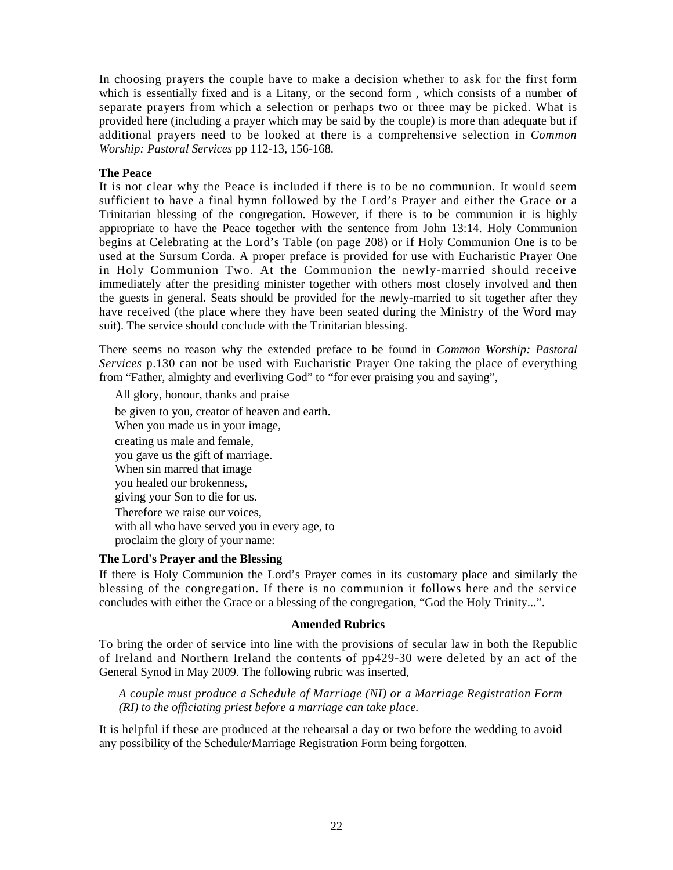In choosing prayers the couple have to make a decision whether to ask for the first form which is essentially fixed and is a Litany, or the second form , which consists of a number of separate prayers from which a selection or perhaps two or three may be picked. What is provided here (including a prayer which may be said by the couple) is more than adequate but if additional prayers need to be looked at there is a comprehensive selection in *Common Worship: Pastoral Services* pp 112-13, 156-168.

# **The Peace**

It is not clear why the Peace is included if there is to be no communion. It would seem sufficient to have a final hymn followed by the Lord's Prayer and either the Grace or a Trinitarian blessing of the congregation. However, if there is to be communion it is highly appropriate to have the Peace together with the sentence from John 13:14. Holy Communion begins at Celebrating at the Lord's Table (on page 208) or if Holy Communion One is to be used at the Sursum Corda. A proper preface is provided for use with Eucharistic Prayer One in Holy Communion Two. At the Communion the newly-married should receive immediately after the presiding minister together with others most closely involved and then the guests in general. Seats should be provided for the newly-married to sit together after they have received (the place where they have been seated during the Ministry of the Word may suit). The service should conclude with the Trinitarian blessing.

There seems no reason why the extended preface to be found in *Common Worship: Pastoral Services* p.130 can not be used with Eucharistic Prayer One taking the place of everything from "Father, almighty and everliving God" to "for ever praising you and saying",

All glory, honour, thanks and praise be given to you, creator of heaven and earth. When you made us in your image, creating us male and female, you gave us the gift of marriage. When sin marred that image you healed our brokenness, giving your Son to die for us. Therefore we raise our voices, with all who have served you in every age, to proclaim the glory of your name:

#### **The Lord's Prayer and the Blessing**

If there is Holy Communion the Lord's Prayer comes in its customary place and similarly the blessing of the congregation. If there is no communion it follows here and the service concludes with either the Grace or a blessing of the congregation, "God the Holy Trinity...".

#### **Amended Rubrics**

To bring the order of service into line with the provisions of secular law in both the Republic of Ireland and Northern Ireland the contents of pp429-30 were deleted by an act of the General Synod in May 2009. The following rubric was inserted,

*A couple must produce a Schedule of Marriage (NI) or a Marriage Registration Form (RI) to the officiating priest before a marriage can take place.* 

It is helpful if these are produced at the rehearsal a day or two before the wedding to avoid any possibility of the Schedule/Marriage Registration Form being forgotten.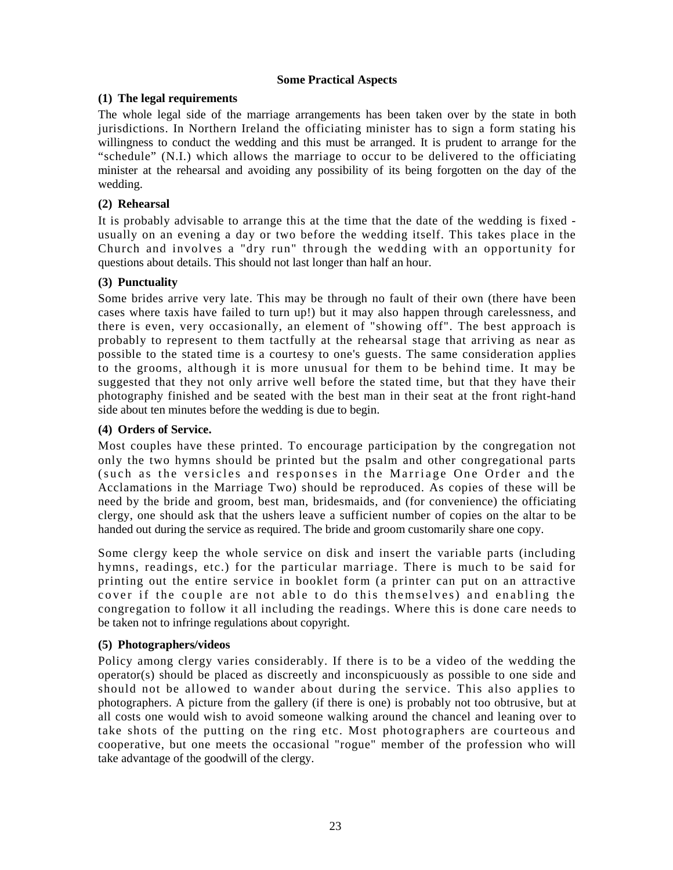# **Some Practical Aspects**

# **(1) The legal requirements**

The whole legal side of the marriage arrangements has been taken over by the state in both jurisdictions. In Northern Ireland the officiating minister has to sign a form stating his willingness to conduct the wedding and this must be arranged. It is prudent to arrange for the "schedule" (N.I.) which allows the marriage to occur to be delivered to the officiating minister at the rehearsal and avoiding any possibility of its being forgotten on the day of the wedding.

# **(2) Rehearsal**

It is probably advisable to arrange this at the time that the date of the wedding is fixed usually on an evening a day or two before the wedding itself. This takes place in the Church and involves a "dry run" through the wedding with an opportunity for questions about details. This should not last longer than half an hour.

# **(3) Punctuality**

Some brides arrive very late. This may be through no fault of their own (there have been cases where taxis have failed to turn up!) but it may also happen through carelessness, and there is even, very occasionally, an element of "showing off". The best approach is probably to represent to them tactfully at the rehearsal stage that arriving as near as possible to the stated time is a courtesy to one's guests. The same consideration applies to the grooms, although it is more unusual for them to be behind time. It may be suggested that they not only arrive well before the stated time, but that they have their photography finished and be seated with the best man in their seat at the front right-hand side about ten minutes before the wedding is due to begin.

# **(4) Orders of Service.**

Most couples have these printed. To encourage participation by the congregation not only the two hymns should be printed but the psalm and other congregational parts (such as the versicles and responses in the Marriage One Order and the Acclamations in the Marriage Two) should be reproduced. As copies of these will be need by the bride and groom, best man, bridesmaids, and (for convenience) the officiating clergy, one should ask that the ushers leave a sufficient number of copies on the altar to be handed out during the service as required. The bride and groom customarily share one copy.

Some clergy keep the whole service on disk and insert the variable parts (including hymns, readings, etc.) for the particular marriage. There is much to be said for printing out the entire service in booklet form (a printer can put on an attractive cover if the couple are not able to do this themselves) and enabling the congregation to follow it all including the readings. Where this is done care needs to be taken not to infringe regulations about copyright.

# **(5) Photographers/videos**

Policy among clergy varies considerably. If there is to be a video of the wedding the operator(s) should be placed as discreetly and inconspicuously as possible to one side and should not be allowed to wander about during the service. This also applies to photographers. A picture from the gallery (if there is one) is probably not too obtrusive, but at all costs one would wish to avoid someone walking around the chancel and leaning over to take shots of the putting on the ring etc. Most photographers are courteous and cooperative, but one meets the occasional "rogue" member of the profession who will take advantage of the goodwill of the clergy.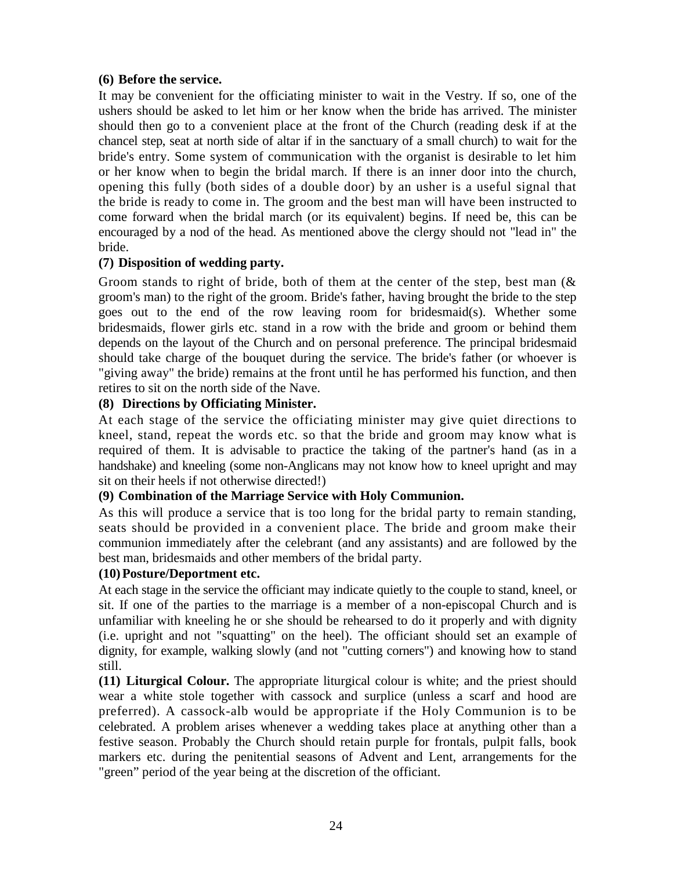# **(6) Before the service.**

It may be convenient for the officiating minister to wait in the Vestry. If so, one of the ushers should be asked to let him or her know when the bride has arrived. The minister should then go to a convenient place at the front of the Church (reading desk if at the chancel step, seat at north side of altar if in the sanctuary of a small church) to wait for the bride's entry. Some system of communication with the organist is desirable to let him or her know when to begin the bridal march. If there is an inner door into the church, opening this fully (both sides of a double door) by an usher is a useful signal that the bride is ready to come in. The groom and the best man will have been instructed to come forward when the bridal march (or its equivalent) begins. If need be, this can be encouraged by a nod of the head. As mentioned above the clergy should not "lead in" the bride.

# **(7) Disposition of wedding party.**

Groom stands to right of bride, both of them at the center of the step, best man  $\&$ groom's man) to the right of the groom. Bride's father, having brought the bride to the step goes out to the end of the row leaving room for bridesmaid(s). Whether some bridesmaids, flower girls etc. stand in a row with the bride and groom or behind them depends on the layout of the Church and on personal preference. The principal bridesmaid should take charge of the bouquet during the service. The bride's father (or whoever is "giving away" the bride) remains at the front until he has performed his function, and then retires to sit on the north side of the Nave.

# **(8) Directions by Officiating Minister.**

At each stage of the service the officiating minister may give quiet directions to kneel, stand, repeat the words etc. so that the bride and groom may know what is required of them. It is advisable to practice the taking of the partner's hand (as in a handshake) and kneeling (some non-Anglicans may not know how to kneel upright and may sit on their heels if not otherwise directed!)

# **(9) Combination of the Marriage Service with Holy Communion.**

As this will produce a service that is too long for the bridal party to remain standing, seats should be provided in a convenient place. The bride and groom make their communion immediately after the celebrant (and any assistants) and are followed by the best man, bridesmaids and other members of the bridal party.

# **(10)Posture/Deportment etc.**

At each stage in the service the officiant may indicate quietly to the couple to stand, kneel, or sit. If one of the parties to the marriage is a member of a non-episcopal Church and is unfamiliar with kneeling he or she should be rehearsed to do it properly and with dignity (i.e. upright and not "squatting" on the heel). The officiant should set an example of dignity, for example, walking slowly (and not "cutting corners") and knowing how to stand still.

**(11) Liturgical Colour.** The appropriate liturgical colour is white; and the priest should wear a white stole together with cassock and surplice (unless a scarf and hood are preferred). A cassock-alb would be appropriate if the Holy Communion is to be celebrated. A problem arises whenever a wedding takes place at anything other than a festive season. Probably the Church should retain purple for frontals, pulpit falls, book markers etc. during the penitential seasons of Advent and Lent, arrangements for the "green" period of the year being at the discretion of the officiant.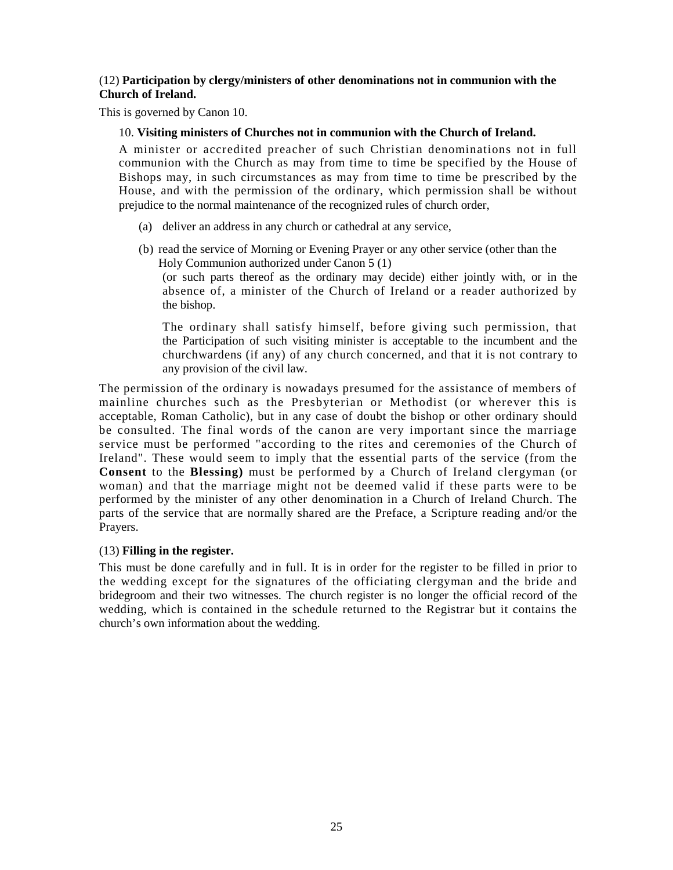# (12) **Participation by clergy/ministers of other denominations not in communion with the Church of Ireland.**

This is governed by Canon 10.

# 10. **Visiting ministers of Churches not in communion with the Church of Ireland.**

A minister or accredited preacher of such Christian denominations not in full communion with the Church as may from time to time be specified by the House of Bishops may, in such circumstances as may from time to time be prescribed by the House, and with the permission of the ordinary, which permission shall be without prejudice to the normal maintenance of the recognized rules of church order,

- (a) deliver an address in any church or cathedral at any service,
- (b) read the service of Morning or Evening Prayer or any other service (other than the Holy Communion authorized under Canon 5 (1) (or such parts thereof as the ordinary may decide) either jointly with, or in the absence of, a minister of the Church of Ireland or a reader authorized by the bishop.

The ordinary shall satisfy himself, before giving such permission, that the Participation of such visiting minister is acceptable to the incumbent and the churchwardens (if any) of any church concerned, and that it is not contrary to any provision of the civil law.

The permission of the ordinary is nowadays presumed for the assistance of members of mainline churches such as the Presbyterian or Methodist (or wherever this is acceptable, Roman Catholic), but in any case of doubt the bishop or other ordinary should be consulted. The final words of the canon are very important since the marriage service must be performed "according to the rites and ceremonies of the Church of Ireland". These would seem to imply that the essential parts of the service (from the **Consent** to the **Blessing)** must be performed by a Church of Ireland clergyman (or woman) and that the marriage might not be deemed valid if these parts were to be performed by the minister of any other denomination in a Church of Ireland Church. The parts of the service that are normally shared are the Preface, a Scripture reading and/or the Prayers.

# (13) **Filling in the register.**

This must be done carefully and in full. It is in order for the register to be filled in prior to the wedding except for the signatures of the officiating clergyman and the bride and bridegroom and their two witnesses. The church register is no longer the official record of the wedding, which is contained in the schedule returned to the Registrar but it contains the church's own information about the wedding.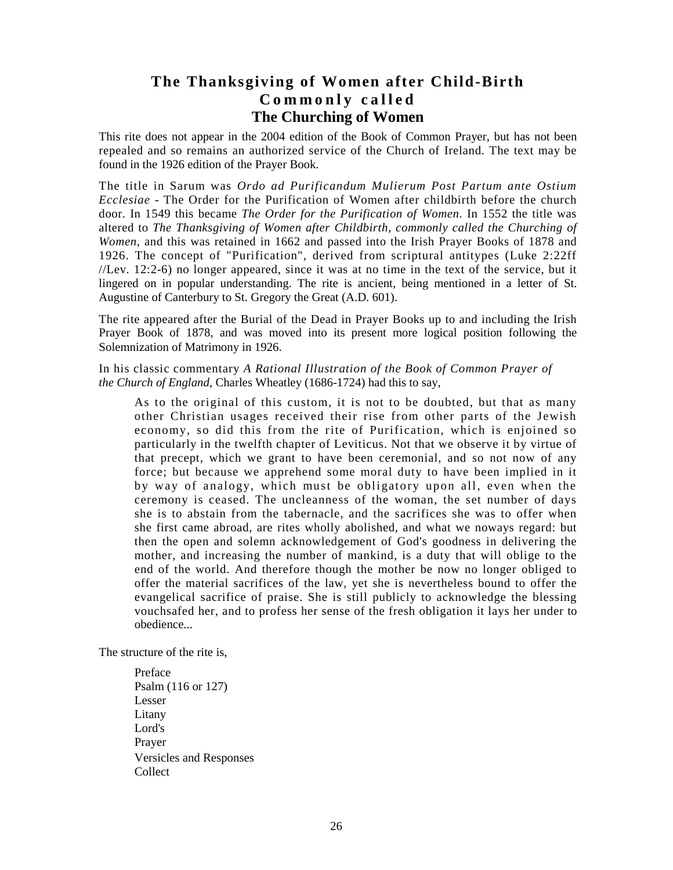# **The Thanksgiving of Women after Child-Birth C o m m o n l y c a l l e d The Churching of Women**

This rite does not appear in the 2004 edition of the Book of Common Prayer, but has not been repealed and so remains an authorized service of the Church of Ireland. The text may be found in the 1926 edition of the Prayer Book.

The title in Sarum was *Ordo ad Purificandum Mulierum Post Partum ante Ostium Ecclesiae* - The Order for the Purification of Women after childbirth before the church door. In 1549 this became *The Order for the Purification of Women.* In 1552 the title was altered to *The Thanksgiving of Women after Childbirth, commonly called the Churching of Women,* and this was retained in 1662 and passed into the Irish Prayer Books of 1878 and 1926. The concept of "Purification", derived from scriptural antitypes (Luke 2:22ff //Lev. 12:2-6) no longer appeared, since it was at no time in the text of the service, but it lingered on in popular understanding. The rite is ancient, being mentioned in a letter of St. Augustine of Canterbury to St. Gregory the Great (A.D. 601).

The rite appeared after the Burial of the Dead in Prayer Books up to and including the Irish Prayer Book of 1878, and was moved into its present more logical position following the Solemnization of Matrimony in 1926.

In his classic commentary *A Rational Illustration of the Book of Common Prayer of the Church of England,* Charles Wheatley (1686-1724) had this to say,

As to the original of this custom, it is not to be doubted, but that as many other Christian usages received their rise from other parts of the Jewish economy, so did this from the rite of Purification, which is enjoined so particularly in the twelfth chapter of Leviticus. Not that we observe it by virtue of that precept, which we grant to have been ceremonial, and so not now of any force; but because we apprehend some moral duty to have been implied in it by way of analogy, which must be obligatory upon all, even when the ceremony is ceased. The uncleanness of the woman, the set number of days she is to abstain from the tabernacle, and the sacrifices she was to offer when she first came abroad, are rites wholly abolished, and what we noways regard: but then the open and solemn acknowledgement of God's goodness in delivering the mother, and increasing the number of mankind, is a duty that will oblige to the end of the world. And therefore though the mother be now no longer obliged to offer the material sacrifices of the law, yet she is nevertheless bound to offer the evangelical sacrifice of praise. She is still publicly to acknowledge the blessing vouchsafed her, and to profess her sense of the fresh obligation it lays her under to obedience...

The structure of the rite is,

Preface Psalm (116 or 127) Lesser Litany Lord's Prayer Versicles and Responses Collect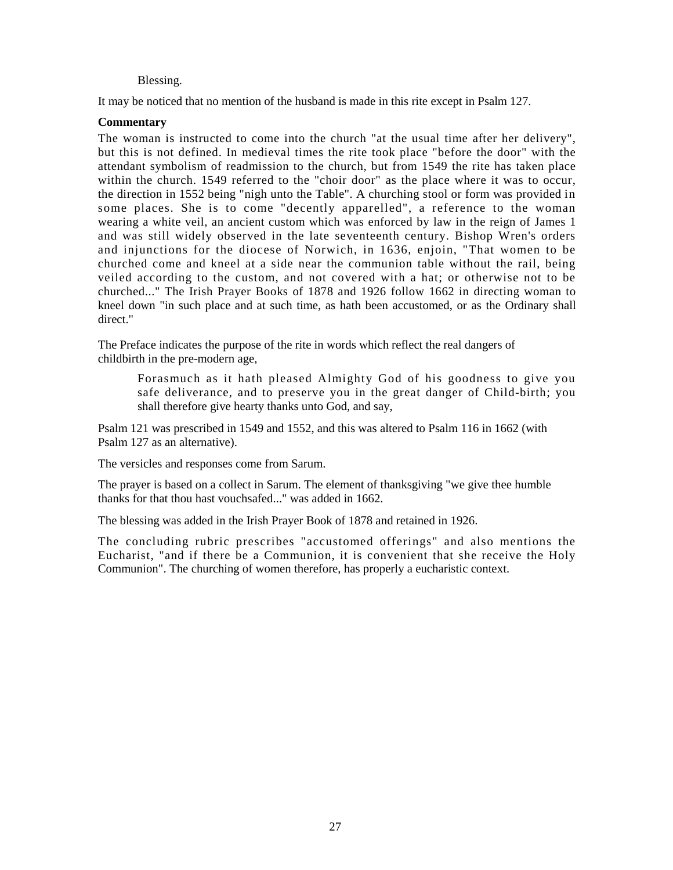#### Blessing.

It may be noticed that no mention of the husband is made in this rite except in Psalm 127.

#### **Commentary**

The woman is instructed to come into the church "at the usual time after her delivery", but this is not defined. In medieval times the rite took place "before the door" with the attendant symbolism of readmission to the church, but from 1549 the rite has taken place within the church. 1549 referred to the "choir door" as the place where it was to occur, the direction in 1552 being "nigh unto the Table". A churching stool or form was provided in some places. She is to come "decently apparelled", a reference to the woman wearing a white veil, an ancient custom which was enforced by law in the reign of James 1 and was still widely observed in the late seventeenth century. Bishop Wren's orders and injunctions for the diocese of Norwich, in 1636, enjoin, "That women to be churched come and kneel at a side near the communion table without the rail, being veiled according to the custom, and not covered with a hat; or otherwise not to be churched..." The Irish Prayer Books of 1878 and 1926 follow 1662 in directing woman to kneel down "in such place and at such time, as hath been accustomed, or as the Ordinary shall direct."

The Preface indicates the purpose of the rite in words which reflect the real dangers of childbirth in the pre-modern age,

Forasmuch as it hath pleased Almighty God of his goodness to give you safe deliverance, and to preserve you in the great danger of Child-birth; you shall therefore give hearty thanks unto God, and say,

Psalm 121 was prescribed in 1549 and 1552, and this was altered to Psalm 116 in 1662 (with Psalm 127 as an alternative).

The versicles and responses come from Sarum.

The prayer is based on a collect in Sarum. The element of thanksgiving "we give thee humble thanks for that thou hast vouchsafed..." was added in 1662.

The blessing was added in the Irish Prayer Book of 1878 and retained in 1926.

The concluding rubric prescribes "accustomed offerings" and also mentions the Eucharist, "and if there be a Communion, it is convenient that she receive the Holy Communion". The churching of women therefore, has properly a eucharistic context.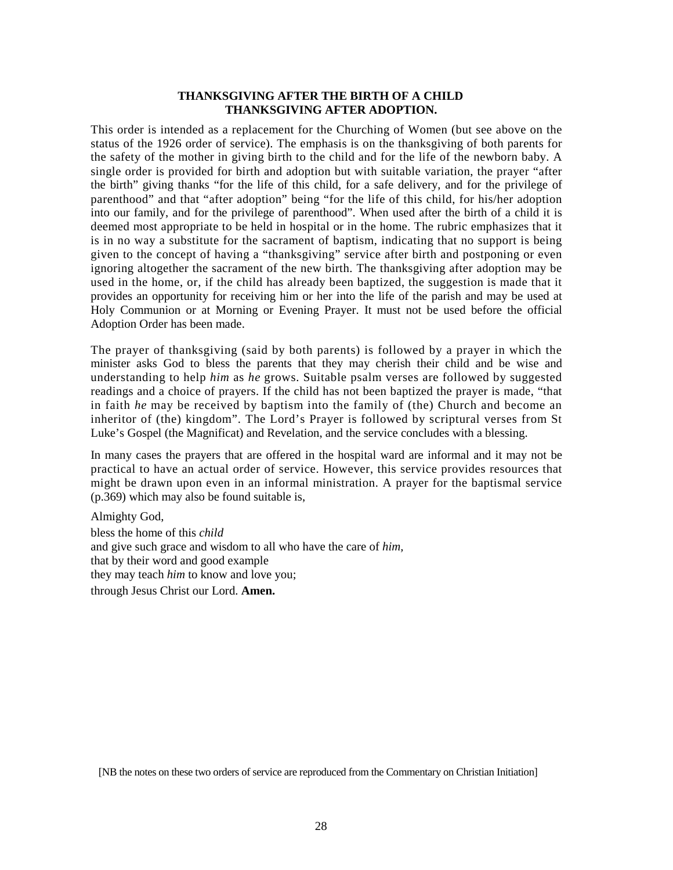#### **THANKSGIVING AFTER THE BIRTH OF A CHILD THANKSGIVING AFTER ADOPTION.**

This order is intended as a replacement for the Churching of Women (but see above on the status of the 1926 order of service). The emphasis is on the thanksgiving of both parents for the safety of the mother in giving birth to the child and for the life of the newborn baby. A single order is provided for birth and adoption but with suitable variation, the prayer "after the birth" giving thanks "for the life of this child, for a safe delivery, and for the privilege of parenthood" and that "after adoption" being "for the life of this child, for his/her adoption into our family, and for the privilege of parenthood". When used after the birth of a child it is deemed most appropriate to be held in hospital or in the home. The rubric emphasizes that it is in no way a substitute for the sacrament of baptism, indicating that no support is being given to the concept of having a "thanksgiving" service after birth and postponing or even ignoring altogether the sacrament of the new birth. The thanksgiving after adoption may be used in the home, or, if the child has already been baptized, the suggestion is made that it provides an opportunity for receiving him or her into the life of the parish and may be used at Holy Communion or at Morning or Evening Prayer. It must not be used before the official Adoption Order has been made.

The prayer of thanksgiving (said by both parents) is followed by a prayer in which the minister asks God to bless the parents that they may cherish their child and be wise and understanding to help *him* as *he* grows. Suitable psalm verses are followed by suggested readings and a choice of prayers. If the child has not been baptized the prayer is made, "that in faith *he* may be received by baptism into the family of (the) Church and become an inheritor of (the) kingdom". The Lord's Prayer is followed by scriptural verses from St Luke's Gospel (the Magnificat) and Revelation, and the service concludes with a blessing.

In many cases the prayers that are offered in the hospital ward are informal and it may not be practical to have an actual order of service. However, this service provides resources that might be drawn upon even in an informal ministration. A prayer for the baptismal service (p.369) which may also be found suitable is,

Almighty God,

bless the home of this *child*  and give such grace and wisdom to all who have the care of *him,*  that by their word and good example they may teach *him* to know and love you; through Jesus Christ our Lord. **Amen.** 

[NB the notes on these two orders of service are reproduced from the Commentary on Christian Initiation]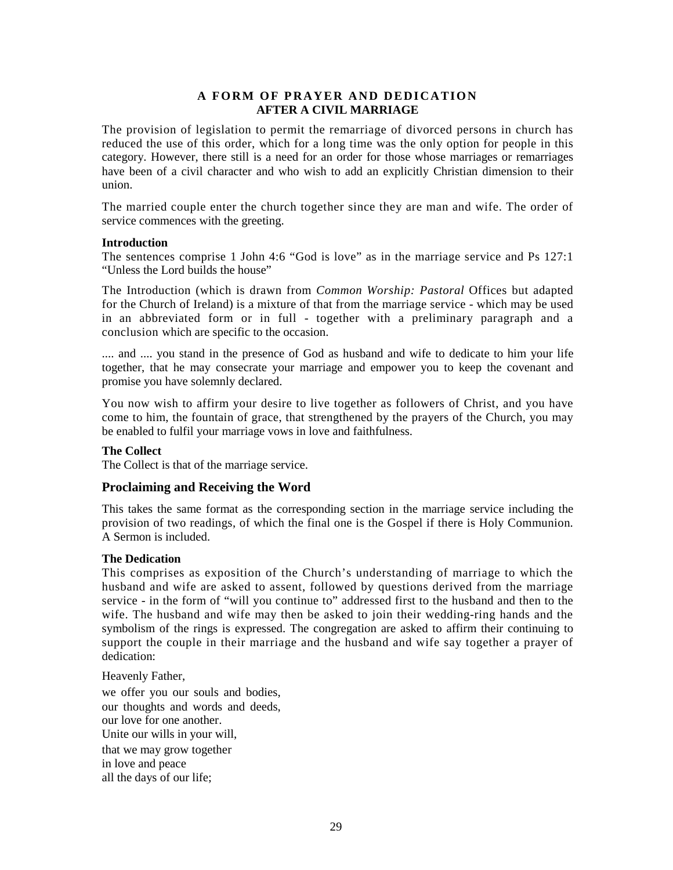# **A FORM OF PRAYER AND DEDICATION AFTER A CIVIL MARRIAGE**

The provision of legislation to permit the remarriage of divorced persons in church has reduced the use of this order, which for a long time was the only option for people in this category. However, there still is a need for an order for those whose marriages or remarriages have been of a civil character and who wish to add an explicitly Christian dimension to their union.

The married couple enter the church together since they are man and wife. The order of service commences with the greeting.

#### **Introduction**

The sentences comprise 1 John 4:6 "God is love" as in the marriage service and Ps 127:1 "Unless the Lord builds the house"

The Introduction (which is drawn from *Common Worship: Pastoral* Offices but adapted for the Church of Ireland) is a mixture of that from the marriage service - which may be used in an abbreviated form or in full - together with a preliminary paragraph and a conclusion which are specific to the occasion.

.... and .... you stand in the presence of God as husband and wife to dedicate to him your life together, that he may consecrate your marriage and empower you to keep the covenant and promise you have solemnly declared.

You now wish to affirm your desire to live together as followers of Christ, and you have come to him, the fountain of grace, that strengthened by the prayers of the Church, you may be enabled to fulfil your marriage vows in love and faithfulness.

#### **The Collect**

The Collect is that of the marriage service.

# **Proclaiming and Receiving the Word**

This takes the same format as the corresponding section in the marriage service including the provision of two readings, of which the final one is the Gospel if there is Holy Communion. A Sermon is included.

#### **The Dedication**

This comprises as exposition of the Church's understanding of marriage to which the husband and wife are asked to assent, followed by questions derived from the marriage service - in the form of "will you continue to" addressed first to the husband and then to the wife. The husband and wife may then be asked to join their wedding-ring hands and the symbolism of the rings is expressed. The congregation are asked to affirm their continuing to support the couple in their marriage and the husband and wife say together a prayer of dedication:

Heavenly Father,

we offer you our souls and bodies, our thoughts and words and deeds, our love for one another. Unite our wills in your will, that we may grow together in love and peace all the days of our life;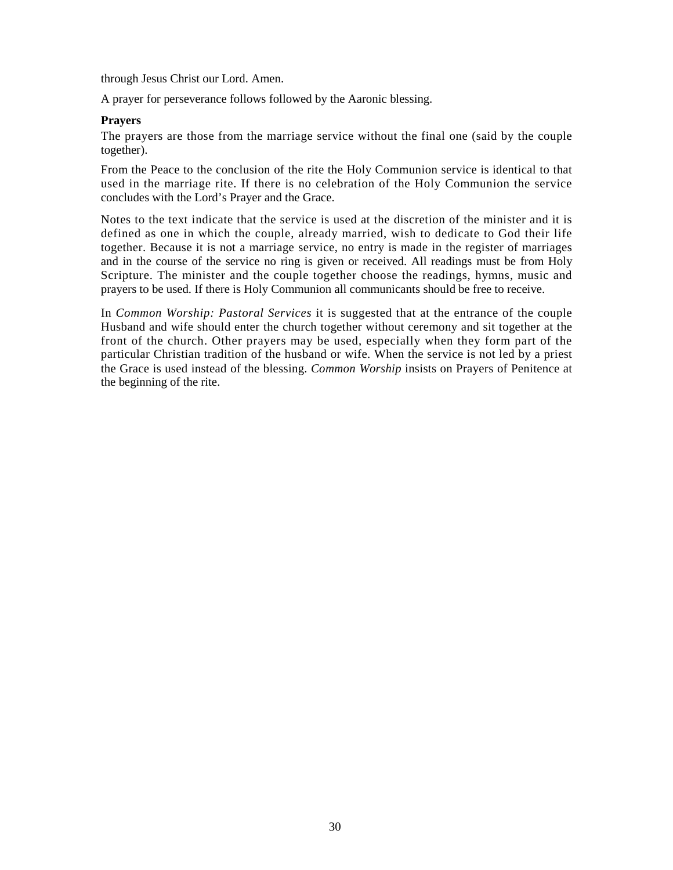through Jesus Christ our Lord. Amen.

A prayer for perseverance follows followed by the Aaronic blessing.

#### **Prayers**

The prayers are those from the marriage service without the final one (said by the couple together).

From the Peace to the conclusion of the rite the Holy Communion service is identical to that used in the marriage rite. If there is no celebration of the Holy Communion the service concludes with the Lord's Prayer and the Grace.

Notes to the text indicate that the service is used at the discretion of the minister and it is defined as one in which the couple, already married, wish to dedicate to God their life together. Because it is not a marriage service, no entry is made in the register of marriages and in the course of the service no ring is given or received. All readings must be from Holy Scripture. The minister and the couple together choose the readings, hymns, music and prayers to be used. If there is Holy Communion all communicants should be free to receive.

In *Common Worship: Pastoral Services* it is suggested that at the entrance of the couple Husband and wife should enter the church together without ceremony and sit together at the front of the church. Other prayers may be used, especially when they form part of the particular Christian tradition of the husband or wife. When the service is not led by a priest the Grace is used instead of the blessing. *Common Worship* insists on Prayers of Penitence at the beginning of the rite.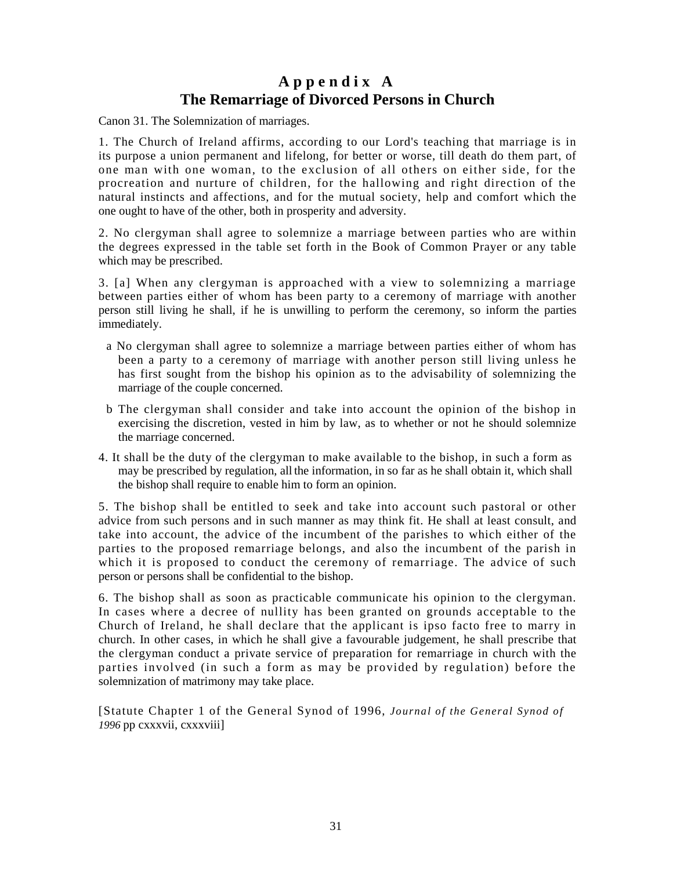# **A p p e n d i x A The Remarriage of Divorced Persons in Church**

Canon 31. The Solemnization of marriages.

1. The Church of Ireland affirms, according to our Lord's teaching that marriage is in its purpose a union permanent and lifelong, for better or worse, till death do them part, of one man with one woman, to the exclusion of all others on either side, for the procreation and nurture of children, for the hallowing and right direction of the natural instincts and affections, and for the mutual society, help and comfort which the one ought to have of the other, both in prosperity and adversity.

2. No clergyman shall agree to solemnize a marriage between parties who are within the degrees expressed in the table set forth in the Book of Common Prayer or any table which may be prescribed.

3. [a] When any clergyman is approached with a view to solemnizing a marriage between parties either of whom has been party to a ceremony of marriage with another person still living he shall, if he is unwilling to perform the ceremony, so inform the parties immediately.

- a No clergyman shall agree to solemnize a marriage between parties either of whom has been a party to a ceremony of marriage with another person still living unless he has first sought from the bishop his opinion as to the advisability of solemnizing the marriage of the couple concerned.
- b The clergyman shall consider and take into account the opinion of the bishop in exercising the discretion, vested in him by law, as to whether or not he should solemnize the marriage concerned.
- 4. It shall be the duty of the clergyman to make available to the bishop, in such a form as may be prescribed by regulation, all the information, in so far as he shall obtain it, which shall the bishop shall require to enable him to form an opinion.

5. The bishop shall be entitled to seek and take into account such pastoral or other advice from such persons and in such manner as may think fit. He shall at least consult, and take into account, the advice of the incumbent of the parishes to which either of the parties to the proposed remarriage belongs, and also the incumbent of the parish in which it is proposed to conduct the ceremony of remarriage. The advice of such person or persons shall be confidential to the bishop.

6. The bishop shall as soon as practicable communicate his opinion to the clergyman. In cases where a decree of nullity has been granted on grounds acceptable to the Church of Ireland, he shall declare that the applicant is ipso facto free to marry in church. In other cases, in which he shall give a favourable judgement, he shall prescribe that the clergyman conduct a private service of preparation for remarriage in church with the parties involved (in such a form as may be provided by regulation) before the solemnization of matrimony may take place.

[Statute Chapter 1 of the General Synod of 1996, *Journal of the General Synod of 1996* pp cxxxvii, cxxxviii]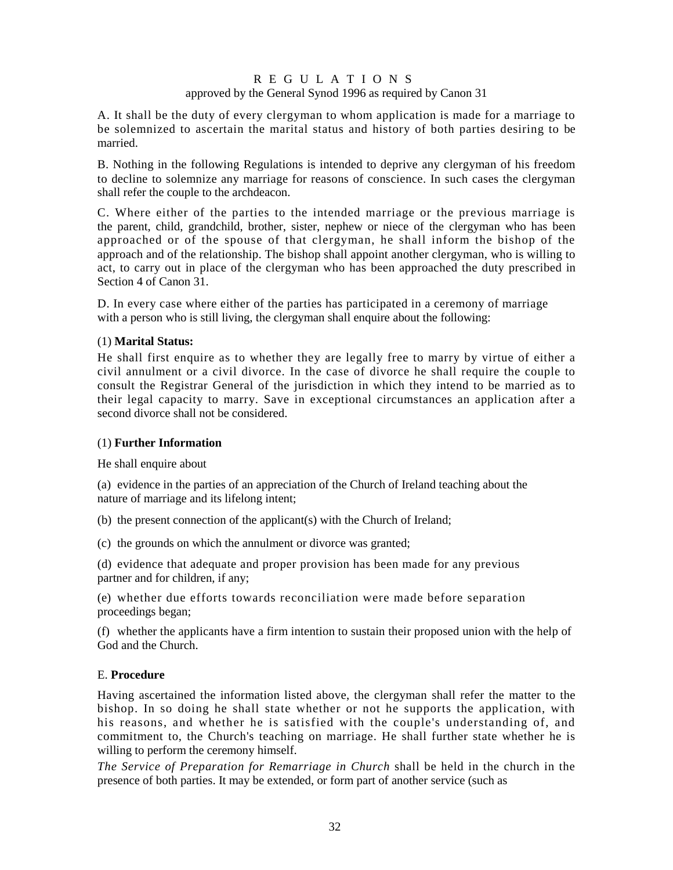# R E G U L A T I O N S approved by the General Synod 1996 as required by Canon 31

A. It shall be the duty of every clergyman to whom application is made for a marriage to be solemnized to ascertain the marital status and history of both parties desiring to be married.

B. Nothing in the following Regulations is intended to deprive any clergyman of his freedom to decline to solemnize any marriage for reasons of conscience. In such cases the clergyman shall refer the couple to the archdeacon.

C. Where either of the parties to the intended marriage or the previous marriage is the parent, child, grandchild, brother, sister, nephew or niece of the clergyman who has been approached or of the spouse of that clergyman, he shall inform the bishop of the approach and of the relationship. The bishop shall appoint another clergyman, who is willing to act, to carry out in place of the clergyman who has been approached the duty prescribed in Section 4 of Canon 31.

D. In every case where either of the parties has participated in a ceremony of marriage with a person who is still living, the clergyman shall enquire about the following:

# (1) **Marital Status:**

He shall first enquire as to whether they are legally free to marry by virtue of either a civil annulment or a civil divorce. In the case of divorce he shall require the couple to consult the Registrar General of the jurisdiction in which they intend to be married as to their legal capacity to marry. Save in exceptional circumstances an application after a second divorce shall not be considered.

# (1) **Further Information**

He shall enquire about

(a) evidence in the parties of an appreciation of the Church of Ireland teaching about the nature of marriage and its lifelong intent;

(b) the present connection of the applicant(s) with the Church of Ireland;

(c) the grounds on which the annulment or divorce was granted;

(d) evidence that adequate and proper provision has been made for any previous partner and for children, if any;

(e) whether due efforts towards reconciliation were made before separation proceedings began;

(f) whether the applicants have a firm intention to sustain their proposed union with the help of God and the Church.

# E. **Procedure**

Having ascertained the information listed above, the clergyman shall refer the matter to the bishop. In so doing he shall state whether or not he supports the application, with his reasons, and whether he is satisfied with the couple's understanding of, and commitment to, the Church's teaching on marriage. He shall further state whether he is willing to perform the ceremony himself.

*The Service of Preparation for Remarriage in Church* shall be held in the church in the presence of both parties. It may be extended, or form part of another service (such as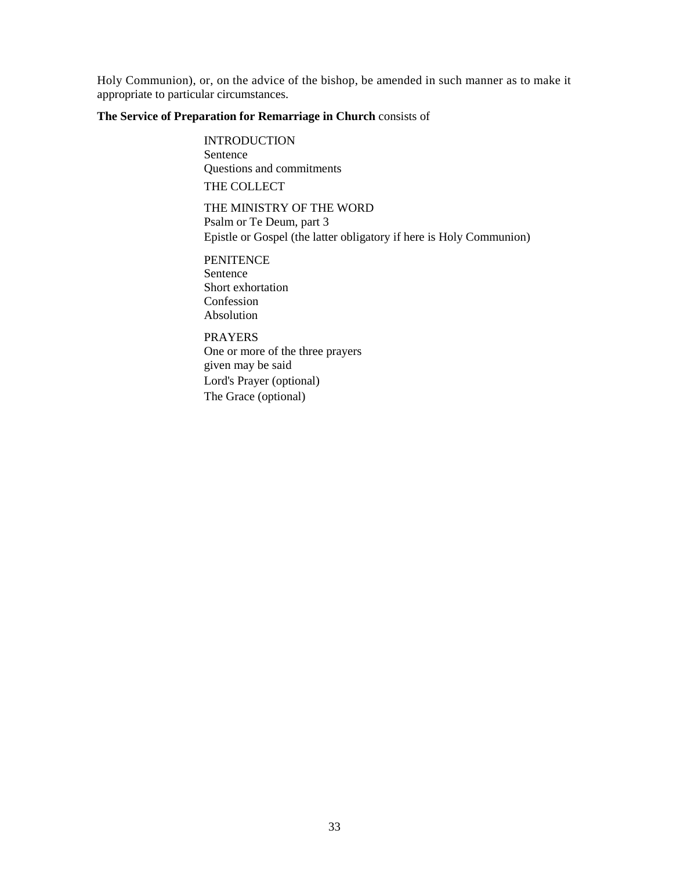Holy Communion), or, on the advice of the bishop, be amended in such manner as to make it appropriate to particular circumstances.

# **The Service of Preparation for Remarriage in Church** consists of

**INTRODUCTION** Sentence Questions and commitments THE COLLECT

THE MINISTRY OF THE WORD Psalm or Te Deum, part 3 Epistle or Gospel (the latter obligatory if here is Holy Communion)

**PENITENCE** Sentence Short exhortation Confession Absolution

PRAYERS One or more of the three prayers given may be said Lord's Prayer (optional) The Grace (optional)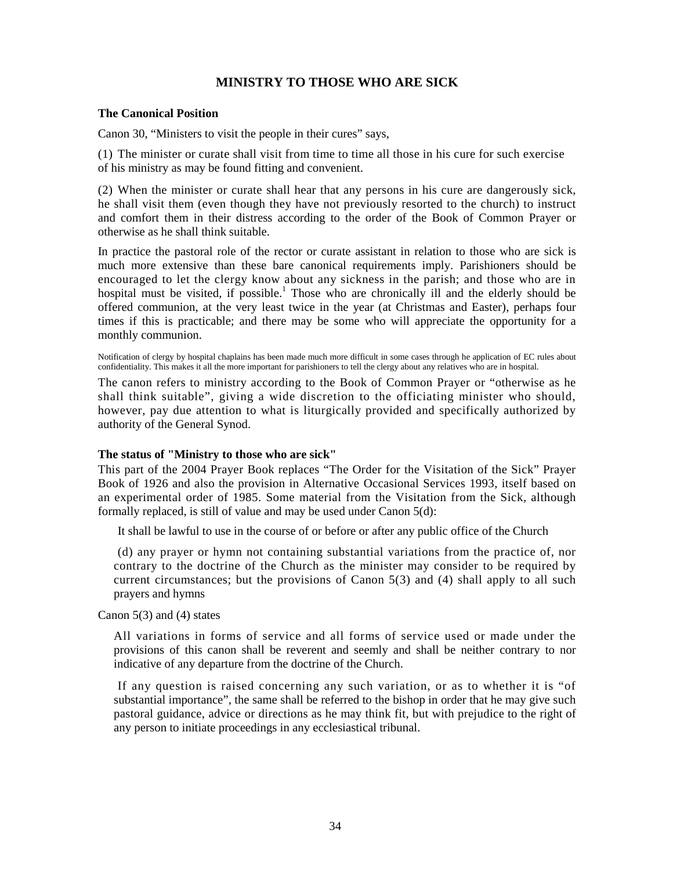# **MINISTRY TO THOSE WHO ARE SICK**

#### **The Canonical Position**

Canon 30, "Ministers to visit the people in their cures" says,

(1) The minister or curate shall visit from time to time all those in his cure for such exercise of his ministry as may be found fitting and convenient.

(2) When the minister or curate shall hear that any persons in his cure are dangerously sick, he shall visit them (even though they have not previously resorted to the church) to instruct and comfort them in their distress according to the order of the Book of Common Prayer or otherwise as he shall think suitable.

In practice the pastoral role of the rector or curate assistant in relation to those who are sick is much more extensive than these bare canonical requirements imply. Parishioners should be encouraged to let the clergy know about any sickness in the parish; and those who are in hospital must be visited, if possible.<sup>1</sup> Those who are chronically ill and the elderly should be offered communion, at the very least twice in the year (at Christmas and Easter), perhaps four times if this is practicable; and there may be some who will appreciate the opportunity for a monthly communion.

Notification of clergy by hospital chaplains has been made much more difficult in some cases through he application of EC rules about confidentiality. This makes it all the more important for parishioners to tell the clergy about any relatives who are in hospital.

The canon refers to ministry according to the Book of Common Prayer or "otherwise as he shall think suitable", giving a wide discretion to the officiating minister who should, however, pay due attention to what is liturgically provided and specifically authorized by authority of the General Synod.

# **The status of "Ministry to those who are sick"**

This part of the 2004 Prayer Book replaces "The Order for the Visitation of the Sick" Prayer Book of 1926 and also the provision in Alternative Occasional Services 1993, itself based on an experimental order of 1985. Some material from the Visitation from the Sick, although formally replaced, is still of value and may be used under Canon 5(d):

It shall be lawful to use in the course of or before or after any public office of the Church

(d) any prayer or hymn not containing substantial variations from the practice of, nor contrary to the doctrine of the Church as the minister may consider to be required by current circumstances; but the provisions of Canon 5(3) and (4) shall apply to all such prayers and hymns

Canon 5(3) and (4) states

All variations in forms of service and all forms of service used or made under the provisions of this canon shall be reverent and seemly and shall be neither contrary to nor indicative of any departure from the doctrine of the Church.

If any question is raised concerning any such variation, or as to whether it is "of substantial importance", the same shall be referred to the bishop in order that he may give such pastoral guidance, advice or directions as he may think fit, but with prejudice to the right of any person to initiate proceedings in any ecclesiastical tribunal.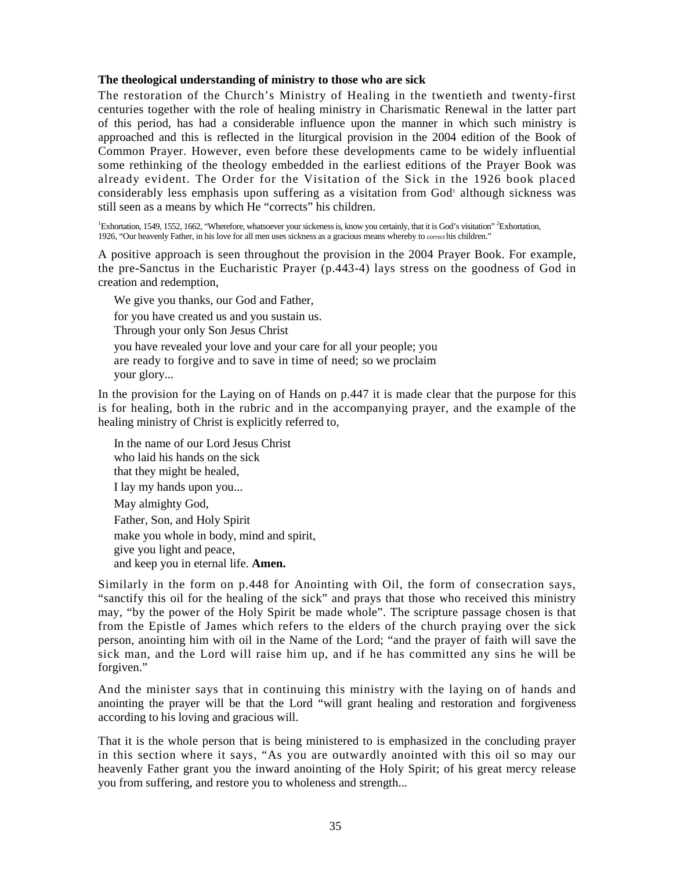#### **The theological understanding of ministry to those who are sick**

The restoration of the Church's Ministry of Healing in the twentieth and twenty-first centuries together with the role of healing ministry in Charismatic Renewal in the latter part of this period, has had a considerable influence upon the manner in which such ministry is approached and this is reflected in the liturgical provision in the 2004 edition of the Book of Common Prayer. However, even before these developments came to be widely influential some rethinking of the theology embedded in the earliest editions of the Prayer Book was already evident. The Order for the Visitation of the Sick in the 1926 book placed considerably less emphasis upon suffering as a visitation from God<sup>1</sup> although sickness was still seen as a means by which He "corrects" his children.

<sup>1</sup>Exhortation, 1549, 1552, 1662, "Wherefore, whatsoever your sickeness is, know you certainly, that it is God's visitation" <sup>2</sup>Exhortation, 1926, "Our heavenly Father, in his love for all men uses sickness as a gracious means whereby to *correct* his children."

A positive approach is seen throughout the provision in the 2004 Prayer Book. For example, the pre-Sanctus in the Eucharistic Prayer (p.443-4) lays stress on the goodness of God in creation and redemption,

We give you thanks, our God and Father, for you have created us and you sustain us. Through your only Son Jesus Christ you have revealed your love and your care for all your people; you are ready to forgive and to save in time of need; so we proclaim your glory...

In the provision for the Laying on of Hands on p.447 it is made clear that the purpose for this is for healing, both in the rubric and in the accompanying prayer, and the example of the healing ministry of Christ is explicitly referred to,

In the name of our Lord Jesus Christ who laid his hands on the sick that they might be healed, I lay my hands upon you... May almighty God, Father, Son, and Holy Spirit make you whole in body, mind and spirit, give you light and peace, and keep you in eternal life. **Amen.** 

Similarly in the form on p.448 for Anointing with Oil, the form of consecration says, "sanctify this oil for the healing of the sick" and prays that those who received this ministry may, "by the power of the Holy Spirit be made whole". The scripture passage chosen is that from the Epistle of James which refers to the elders of the church praying over the sick person, anointing him with oil in the Name of the Lord; "and the prayer of faith will save the sick man, and the Lord will raise him up, and if he has committed any sins he will be forgiven."

And the minister says that in continuing this ministry with the laying on of hands and anointing the prayer will be that the Lord "will grant healing and restoration and forgiveness according to his loving and gracious will.

That it is the whole person that is being ministered to is emphasized in the concluding prayer in this section where it says, "As you are outwardly anointed with this oil so may our heavenly Father grant you the inward anointing of the Holy Spirit; of his great mercy release you from suffering, and restore you to wholeness and strength...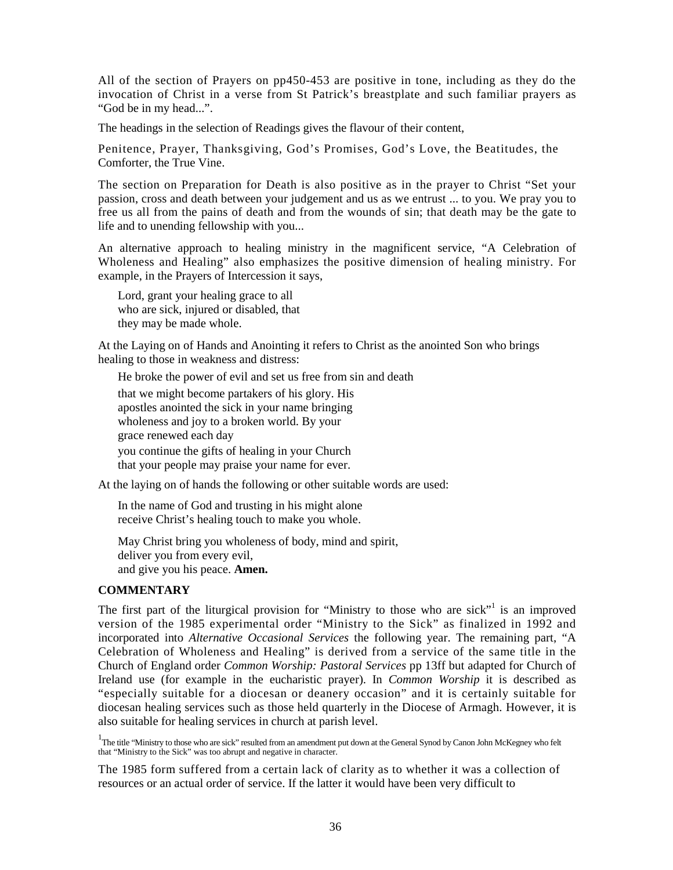All of the section of Prayers on pp450-453 are positive in tone, including as they do the invocation of Christ in a verse from St Patrick's breastplate and such familiar prayers as "God be in my head...".

The headings in the selection of Readings gives the flavour of their content,

Penitence, Prayer, Thanksgiving, God's Promises, God's Love, the Beatitudes, the Comforter, the True Vine.

The section on Preparation for Death is also positive as in the prayer to Christ "Set your passion, cross and death between your judgement and us as we entrust ... to you. We pray you to free us all from the pains of death and from the wounds of sin; that death may be the gate to life and to unending fellowship with you...

An alternative approach to healing ministry in the magnificent service, "A Celebration of Wholeness and Healing" also emphasizes the positive dimension of healing ministry. For example, in the Prayers of Intercession it says,

Lord, grant your healing grace to all who are sick, injured or disabled, that they may be made whole.

At the Laying on of Hands and Anointing it refers to Christ as the anointed Son who brings healing to those in weakness and distress:

He broke the power of evil and set us free from sin and death

that we might become partakers of his glory. His apostles anointed the sick in your name bringing wholeness and joy to a broken world. By your grace renewed each day you continue the gifts of healing in your Church that your people may praise your name for ever.

At the laying on of hands the following or other suitable words are used:

In the name of God and trusting in his might alone receive Christ's healing touch to make you whole.

May Christ bring you wholeness of body, mind and spirit, deliver you from every evil, and give you his peace. **Amen.** 

# **COMMENTARY**

The first part of the liturgical provision for "Ministry to those who are sick"<sup>1</sup> is an improved version of the 1985 experimental order "Ministry to the Sick" as finalized in 1992 and incorporated into *Alternative Occasional Services* the following year. The remaining part, "A Celebration of Wholeness and Healing" is derived from a service of the same title in the Church of England order *Common Worship: Pastoral Services* pp 13ff but adapted for Church of Ireland use (for example in the eucharistic prayer). In *Common Worship* it is described as "especially suitable for a diocesan or deanery occasion" and it is certainly suitable for diocesan healing services such as those held quarterly in the Diocese of Armagh. However, it is also suitable for healing services in church at parish level.

<sup>1</sup>The title "Ministry to those who are sick" resulted from an amendment put down at the General Synod by Canon John McKegney who felt that "Ministry to the Sick" was too abrupt and negative in character.

The 1985 form suffered from a certain lack of clarity as to whether it was a collection of resources or an actual order of service. If the latter it would have been very difficult to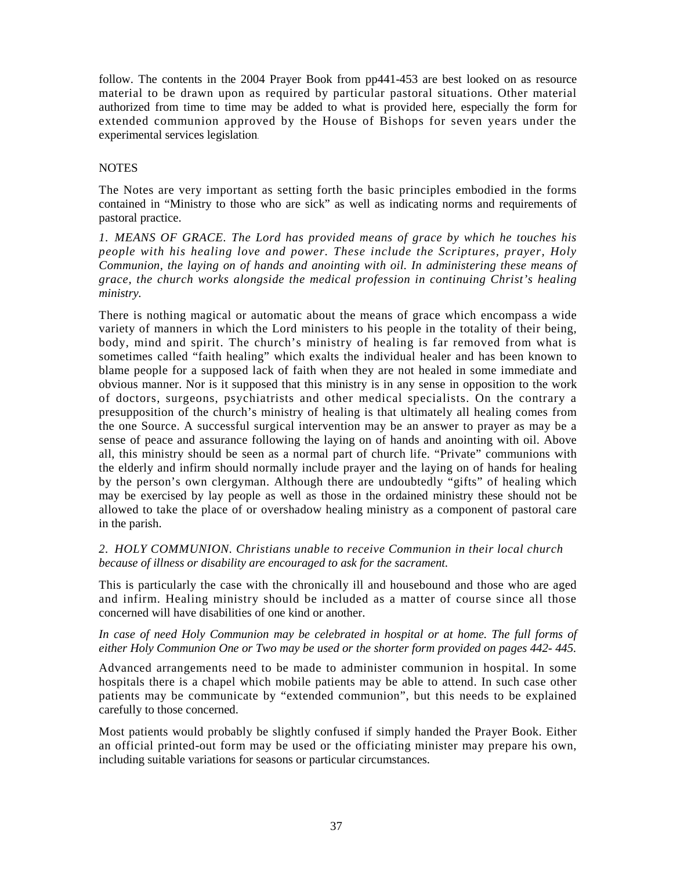follow. The contents in the 2004 Prayer Book from pp441-453 are best looked on as resource material to be drawn upon as required by particular pastoral situations. Other material authorized from time to time may be added to what is provided here, especially the form for extended communion approved by the House of Bishops for seven years under the experimental services legislation.

### **NOTES**

The Notes are very important as setting forth the basic principles embodied in the forms contained in "Ministry to those who are sick" as well as indicating norms and requirements of pastoral practice.

*1. MEANS OF GRACE. The Lord has provided means of grace by which he touches his people with his healing love and power. These include the Scriptures, prayer, Holy Communion, the laying on of hands and anointing with oil. In administering these means of grace, the church works alongside the medical profession in continuing Christ's healing ministry.* 

There is nothing magical or automatic about the means of grace which encompass a wide variety of manners in which the Lord ministers to his people in the totality of their being, body, mind and spirit. The church's ministry of healing is far removed from what is sometimes called "faith healing" which exalts the individual healer and has been known to blame people for a supposed lack of faith when they are not healed in some immediate and obvious manner. Nor is it supposed that this ministry is in any sense in opposition to the work of doctors, surgeons, psychiatrists and other medical specialists. On the contrary a presupposition of the church's ministry of healing is that ultimately all healing comes from the one Source. A successful surgical intervention may be an answer to prayer as may be a sense of peace and assurance following the laying on of hands and anointing with oil. Above all, this ministry should be seen as a normal part of church life. "Private" communions with the elderly and infirm should normally include prayer and the laying on of hands for healing by the person's own clergyman. Although there are undoubtedly "gifts" of healing which may be exercised by lay people as well as those in the ordained ministry these should not be allowed to take the place of or overshadow healing ministry as a component of pastoral care in the parish.

# *2. HOLY COMMUNION. Christians unable to receive Communion in their local church because of illness or disability are encouraged to ask for the sacrament.*

This is particularly the case with the chronically ill and housebound and those who are aged and infirm. Healing ministry should be included as a matter of course since all those concerned will have disabilities of one kind or another.

### In case of need Holy Communion may be celebrated in hospital or at home. The full forms of *either Holy Communion One or Two may be used or the shorter form provided on pages 442- 445.*

Advanced arrangements need to be made to administer communion in hospital. In some hospitals there is a chapel which mobile patients may be able to attend. In such case other patients may be communicate by "extended communion", but this needs to be explained carefully to those concerned.

Most patients would probably be slightly confused if simply handed the Prayer Book. Either an official printed-out form may be used or the officiating minister may prepare his own, including suitable variations for seasons or particular circumstances.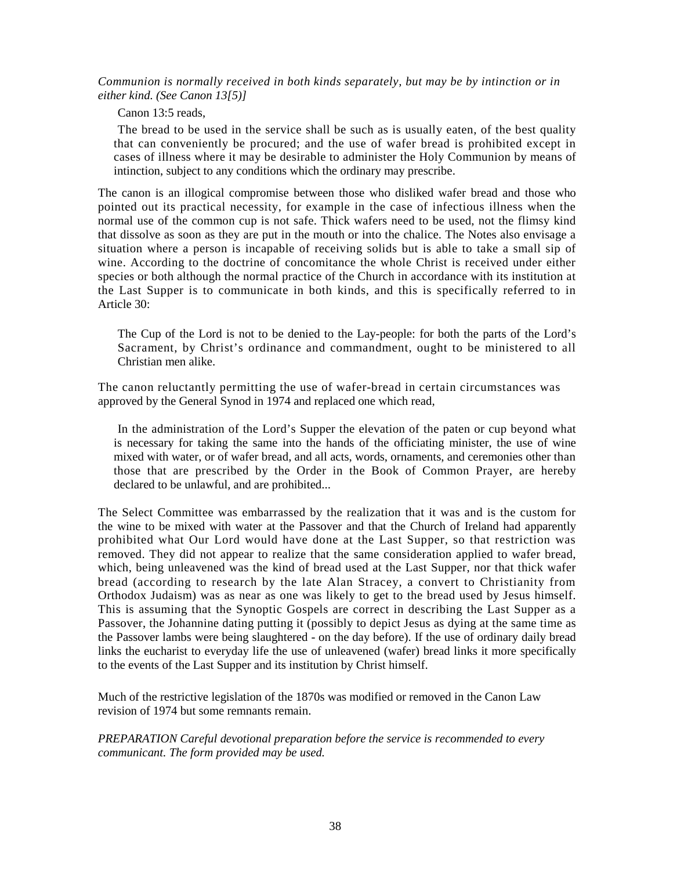*Communion is normally received in both kinds separately, but may be by intinction or in either kind. (See Canon 13[5)]* 

Canon 13:5 reads,

The bread to be used in the service shall be such as is usually eaten, of the best quality that can conveniently be procured; and the use of wafer bread is prohibited except in cases of illness where it may be desirable to administer the Holy Communion by means of intinction, subject to any conditions which the ordinary may prescribe.

The canon is an illogical compromise between those who disliked wafer bread and those who pointed out its practical necessity, for example in the case of infectious illness when the normal use of the common cup is not safe. Thick wafers need to be used, not the flimsy kind that dissolve as soon as they are put in the mouth or into the chalice. The Notes also envisage a situation where a person is incapable of receiving solids but is able to take a small sip of wine. According to the doctrine of concomitance the whole Christ is received under either species or both although the normal practice of the Church in accordance with its institution at the Last Supper is to communicate in both kinds, and this is specifically referred to in Article 30:

The Cup of the Lord is not to be denied to the Lay-people: for both the parts of the Lord's Sacrament, by Christ's ordinance and commandment, ought to be ministered to all Christian men alike.

The canon reluctantly permitting the use of wafer-bread in certain circumstances was approved by the General Synod in 1974 and replaced one which read,

In the administration of the Lord's Supper the elevation of the paten or cup beyond what is necessary for taking the same into the hands of the officiating minister, the use of wine mixed with water, or of wafer bread, and all acts, words, ornaments, and ceremonies other than those that are prescribed by the Order in the Book of Common Prayer, are hereby declared to be unlawful, and are prohibited...

The Select Committee was embarrassed by the realization that it was and is the custom for the wine to be mixed with water at the Passover and that the Church of Ireland had apparently prohibited what Our Lord would have done at the Last Supper, so that restriction was removed. They did not appear to realize that the same consideration applied to wafer bread, which, being unleavened was the kind of bread used at the Last Supper, nor that thick wafer bread (according to research by the late Alan Stracey, a convert to Christianity from Orthodox Judaism) was as near as one was likely to get to the bread used by Jesus himself. This is assuming that the Synoptic Gospels are correct in describing the Last Supper as a Passover, the Johannine dating putting it (possibly to depict Jesus as dying at the same time as the Passover lambs were being slaughtered - on the day before). If the use of ordinary daily bread links the eucharist to everyday life the use of unleavened (wafer) bread links it more specifically to the events of the Last Supper and its institution by Christ himself.

Much of the restrictive legislation of the 1870s was modified or removed in the Canon Law revision of 1974 but some remnants remain.

*PREPARATION Careful devotional preparation before the service is recommended to every communicant. The form provided may be used.*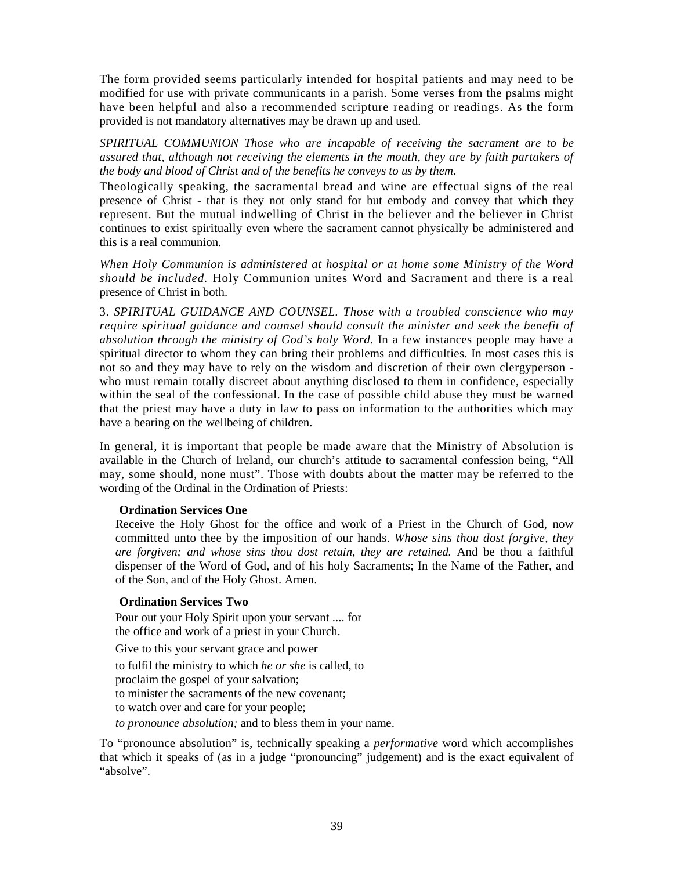The form provided seems particularly intended for hospital patients and may need to be modified for use with private communicants in a parish. Some verses from the psalms might have been helpful and also a recommended scripture reading or readings. As the form provided is not mandatory alternatives may be drawn up and used.

*SPIRITUAL COMMUNION Those who are incapable of receiving the sacrament are to be assured that, although not receiving the elements in the mouth, they are by faith partakers of the body and blood of Christ and of the benefits he conveys to us by them.* 

Theologically speaking, the sacramental bread and wine are effectual signs of the real presence of Christ - that is they not only stand for but embody and convey that which they represent. But the mutual indwelling of Christ in the believer and the believer in Christ continues to exist spiritually even where the sacrament cannot physically be administered and this is a real communion.

*When Holy Communion is administered at hospital or at home some Ministry of the Word should be included.* Holy Communion unites Word and Sacrament and there is a real presence of Christ in both.

3. *SPIRITUAL GUIDANCE AND COUNSEL. Those with a troubled conscience who may require spiritual guidance and counsel should consult the minister and seek the benefit of absolution through the ministry of God's holy Word.* In a few instances people may have a spiritual director to whom they can bring their problems and difficulties. In most cases this is not so and they may have to rely on the wisdom and discretion of their own clergyperson who must remain totally discreet about anything disclosed to them in confidence, especially within the seal of the confessional. In the case of possible child abuse they must be warned that the priest may have a duty in law to pass on information to the authorities which may have a bearing on the wellbeing of children.

In general, it is important that people be made aware that the Ministry of Absolution is available in the Church of Ireland, our church's attitude to sacramental confession being, "All may, some should, none must". Those with doubts about the matter may be referred to the wording of the Ordinal in the Ordination of Priests:

# **Ordination Services One**

Receive the Holy Ghost for the office and work of a Priest in the Church of God, now committed unto thee by the imposition of our hands. *Whose sins thou dost forgive, they are forgiven; and whose sins thou dost retain, they are retained.* And be thou a faithful dispenser of the Word of God, and of his holy Sacraments; In the Name of the Father, and of the Son, and of the Holy Ghost. Amen.

# **Ordination Services Two**

Pour out your Holy Spirit upon your servant .... for the office and work of a priest in your Church.

Give to this your servant grace and power to fulfil the ministry to which *he or she* is called, to proclaim the gospel of your salvation; to minister the sacraments of the new covenant; to watch over and care for your people; *to pronounce absolution;* and to bless them in your name.

To "pronounce absolution" is, technically speaking a *performative* word which accomplishes that which it speaks of (as in a judge "pronouncing" judgement) and is the exact equivalent of "absolve".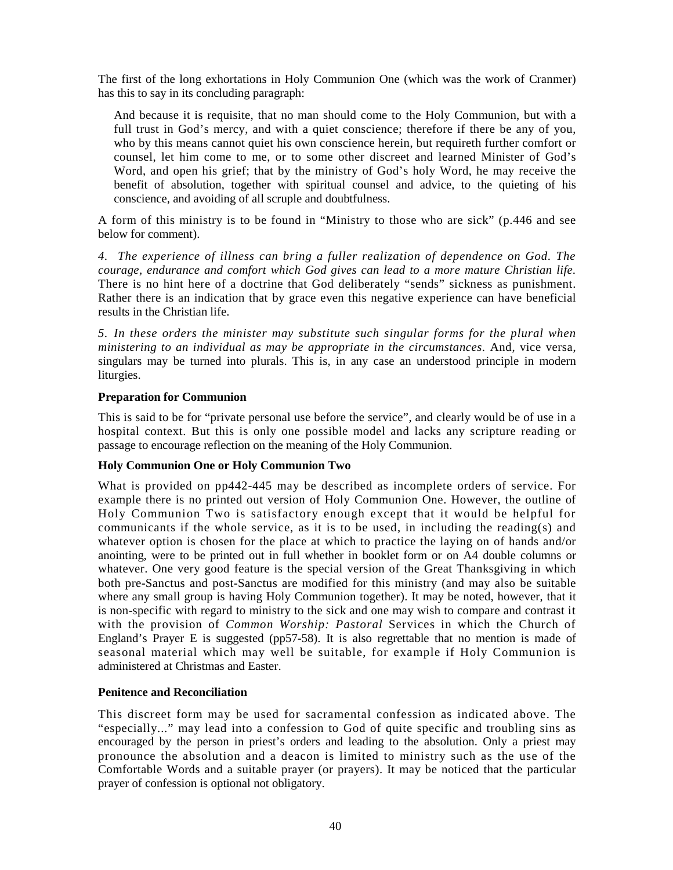The first of the long exhortations in Holy Communion One (which was the work of Cranmer) has this to say in its concluding paragraph:

And because it is requisite, that no man should come to the Holy Communion, but with a full trust in God's mercy, and with a quiet conscience; therefore if there be any of you, who by this means cannot quiet his own conscience herein, but requireth further comfort or counsel, let him come to me, or to some other discreet and learned Minister of God's Word, and open his grief; that by the ministry of God's holy Word, he may receive the benefit of absolution, together with spiritual counsel and advice, to the quieting of his conscience, and avoiding of all scruple and doubtfulness.

A form of this ministry is to be found in "Ministry to those who are sick" (p.446 and see below for comment).

*4. The experience of illness can bring a fuller realization of dependence on God. The courage, endurance and comfort which God gives can lead to a more mature Christian life.*  There is no hint here of a doctrine that God deliberately "sends" sickness as punishment. Rather there is an indication that by grace even this negative experience can have beneficial results in the Christian life.

*5. In these orders the minister may substitute such singular forms for the plural when ministering to an individual as may be appropriate in the circumstances.* And, vice versa, singulars may be turned into plurals. This is, in any case an understood principle in modern liturgies.

# **Preparation for Communion**

This is said to be for "private personal use before the service", and clearly would be of use in a hospital context. But this is only one possible model and lacks any scripture reading or passage to encourage reflection on the meaning of the Holy Communion.

# **Holy Communion One or Holy Communion Two**

What is provided on pp442-445 may be described as incomplete orders of service. For example there is no printed out version of Holy Communion One. However, the outline of Holy Communion Two is satisfactory enough except that it would be helpful for communicants if the whole service, as it is to be used, in including the reading(s) and whatever option is chosen for the place at which to practice the laying on of hands and/or anointing, were to be printed out in full whether in booklet form or on A4 double columns or whatever. One very good feature is the special version of the Great Thanksgiving in which both pre-Sanctus and post-Sanctus are modified for this ministry (and may also be suitable where any small group is having Holy Communion together). It may be noted, however, that it is non-specific with regard to ministry to the sick and one may wish to compare and contrast it with the provision of *Common Worship: Pastoral* Services in which the Church of England's Prayer E is suggested (pp57-58). It is also regrettable that no mention is made of seasonal material which may well be suitable, for example if Holy Communion is administered at Christmas and Easter.

# **Penitence and Reconciliation**

This discreet form may be used for sacramental confession as indicated above. The "especially..." may lead into a confession to God of quite specific and troubling sins as encouraged by the person in priest's orders and leading to the absolution. Only a priest may pronounce the absolution and a deacon is limited to ministry such as the use of the Comfortable Words and a suitable prayer (or prayers). It may be noticed that the particular prayer of confession is optional not obligatory.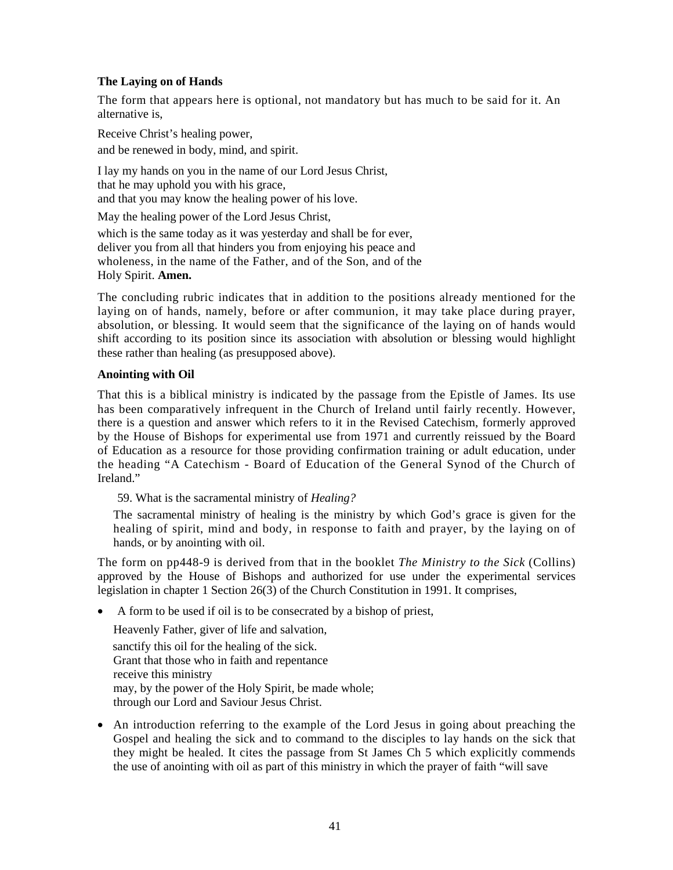# **The Laying on of Hands**

The form that appears here is optional, not mandatory but has much to be said for it. An alternative is,

Receive Christ's healing power, and be renewed in body, mind, and spirit.

I lay my hands on you in the name of our Lord Jesus Christ, that he may uphold you with his grace, and that you may know the healing power of his love.

May the healing power of the Lord Jesus Christ,

which is the same today as it was yesterday and shall be for ever, deliver you from all that hinders you from enjoying his peace and wholeness, in the name of the Father, and of the Son, and of the Holy Spirit. **Amen.** 

The concluding rubric indicates that in addition to the positions already mentioned for the laying on of hands, namely, before or after communion, it may take place during prayer, absolution, or blessing. It would seem that the significance of the laying on of hands would shift according to its position since its association with absolution or blessing would highlight these rather than healing (as presupposed above).

# **Anointing with Oil**

That this is a biblical ministry is indicated by the passage from the Epistle of James. Its use has been comparatively infrequent in the Church of Ireland until fairly recently. However, there is a question and answer which refers to it in the Revised Catechism, formerly approved by the House of Bishops for experimental use from 1971 and currently reissued by the Board of Education as a resource for those providing confirmation training or adult education, under the heading "A Catechism - Board of Education of the General Synod of the Church of Ireland."

59. What is the sacramental ministry of *Healing?*

The sacramental ministry of healing is the ministry by which God's grace is given for the healing of spirit, mind and body, in response to faith and prayer, by the laying on of hands, or by anointing with oil.

The form on pp448-9 is derived from that in the booklet *The Ministry to the Sick* (Collins) approved by the House of Bishops and authorized for use under the experimental services legislation in chapter 1 Section 26(3) of the Church Constitution in 1991. It comprises,

• A form to be used if oil is to be consecrated by a bishop of priest,

Heavenly Father, giver of life and salvation, sanctify this oil for the healing of the sick. Grant that those who in faith and repentance receive this ministry may, by the power of the Holy Spirit, be made whole; through our Lord and Saviour Jesus Christ.

• An introduction referring to the example of the Lord Jesus in going about preaching the Gospel and healing the sick and to command to the disciples to lay hands on the sick that they might be healed. It cites the passage from St James Ch 5 which explicitly commends the use of anointing with oil as part of this ministry in which the prayer of faith "will save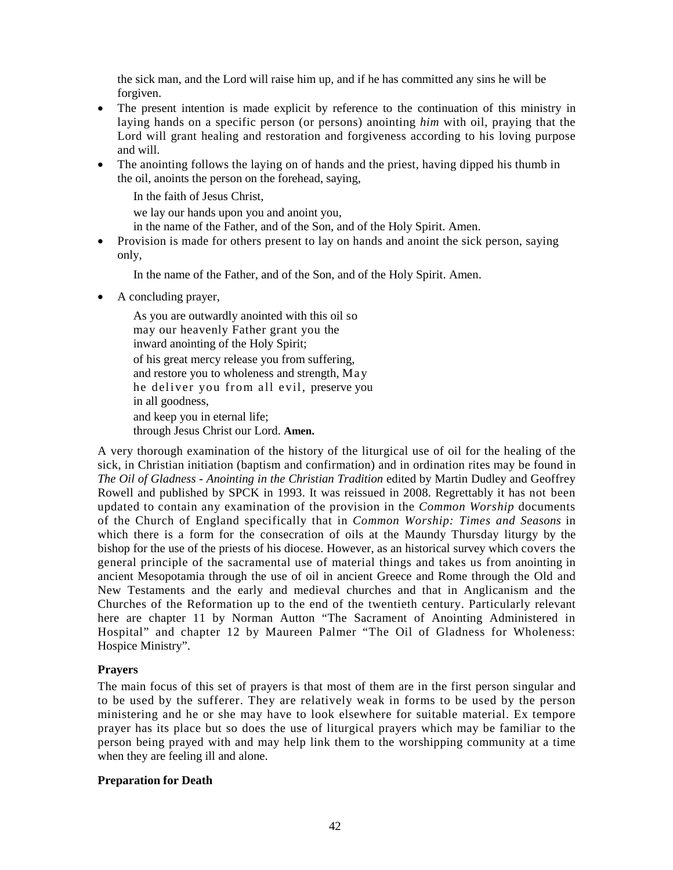the sick man, and the Lord will raise him up, and if he has committed any sins he will be forgiven.

- The present intention is made explicit by reference to the continuation of this ministry in laying hands on a specific person (or persons) anointing *him* with oil, praying that the Lord will grant healing and restoration and forgiveness according to his loving purpose and will.
- The anointing follows the laying on of hands and the priest, having dipped his thumb in the oil, anoints the person on the forehead, saying,

In the faith of Jesus Christ,

we lay our hands upon you and anoint you,

- in the name of the Father, and of the Son, and of the Holy Spirit. Amen.
- Provision is made for others present to lay on hands and anoint the sick person, saying only,

In the name of the Father, and of the Son, and of the Holy Spirit. Amen.

• A concluding prayer,

As you are outwardly anointed with this oil so may our heavenly Father grant you the inward anointing of the Holy Spirit; of his great mercy release you from suffering, and restore you to wholeness and strength, May he deliver you from all evil, preserve you in all goodness, and keep you in eternal life; through Jesus Christ our Lord. **Amen.** 

A very thorough examination of the history of the liturgical use of oil for the healing of the sick, in Christian initiation (baptism and confirmation) and in ordination rites may be found in *The Oil of Gladness - Anointing in the Christian Tradition* edited by Martin Dudley and Geoffrey Rowell and published by SPCK in 1993. It was reissued in 2008. Regrettably it has not been updated to contain any examination of the provision in the *Common Worship* documents of the Church of England specifically that in *Common Worship: Times and Seasons* in which there is a form for the consecration of oils at the Maundy Thursday liturgy by the bishop for the use of the priests of his diocese. However, as an historical survey which covers the general principle of the sacramental use of material things and takes us from anointing in ancient Mesopotamia through the use of oil in ancient Greece and Rome through the Old and New Testaments and the early and medieval churches and that in Anglicanism and the Churches of the Reformation up to the end of the twentieth century. Particularly relevant here are chapter 11 by Norman Autton "The Sacrament of Anointing Administered in Hospital" and chapter 12 by Maureen Palmer "The Oil of Gladness for Wholeness: Hospice Ministry".

# **Prayers**

The main focus of this set of prayers is that most of them are in the first person singular and to be used by the sufferer. They are relatively weak in forms to be used by the person ministering and he or she may have to look elsewhere for suitable material. Ex tempore prayer has its place but so does the use of liturgical prayers which may be familiar to the person being prayed with and may help link them to the worshipping community at a time when they are feeling ill and alone.

# **Preparation for Death**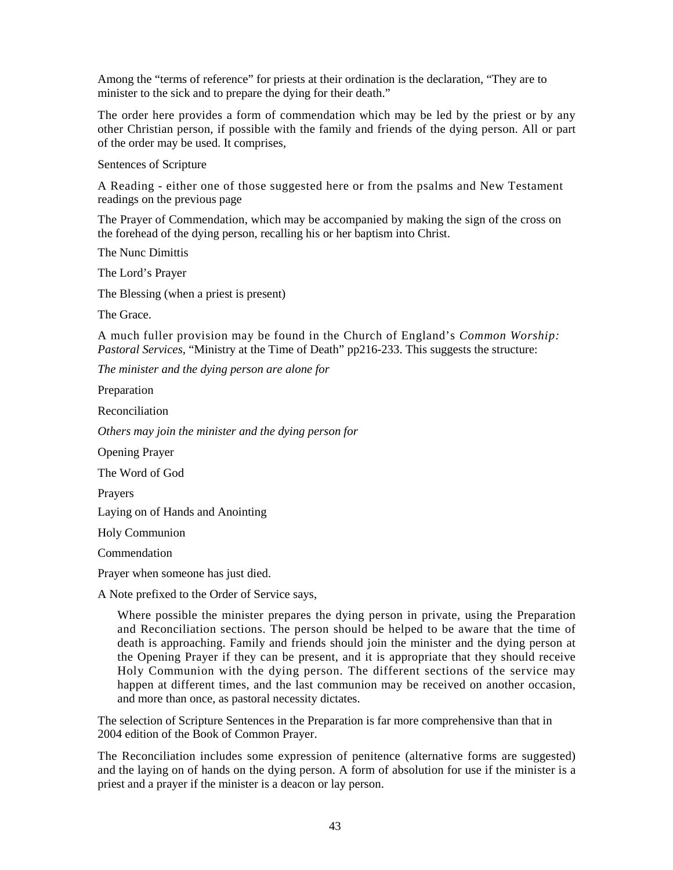Among the "terms of reference" for priests at their ordination is the declaration, "They are to minister to the sick and to prepare the dying for their death."

The order here provides a form of commendation which may be led by the priest or by any other Christian person, if possible with the family and friends of the dying person. All or part of the order may be used. It comprises,

Sentences of Scripture

A Reading - either one of those suggested here or from the psalms and New Testament readings on the previous page

The Prayer of Commendation, which may be accompanied by making the sign of the cross on the forehead of the dying person, recalling his or her baptism into Christ.

The Nunc Dimittis

The Lord's Prayer

The Blessing (when a priest is present)

The Grace.

A much fuller provision may be found in the Church of England's *Common Worship: Pastoral Services,* "Ministry at the Time of Death" pp216-233. This suggests the structure:

*The minister and the dying person are alone for* 

Preparation

Reconciliation

*Others may join the minister and the dying person for* 

Opening Prayer

The Word of God

Prayers

Laying on of Hands and Anointing

Holy Communion

**Commendation** 

Prayer when someone has just died.

A Note prefixed to the Order of Service says,

Where possible the minister prepares the dying person in private, using the Preparation and Reconciliation sections. The person should be helped to be aware that the time of death is approaching. Family and friends should join the minister and the dying person at the Opening Prayer if they can be present, and it is appropriate that they should receive Holy Communion with the dying person. The different sections of the service may happen at different times, and the last communion may be received on another occasion, and more than once, as pastoral necessity dictates.

The selection of Scripture Sentences in the Preparation is far more comprehensive than that in 2004 edition of the Book of Common Prayer.

The Reconciliation includes some expression of penitence (alternative forms are suggested) and the laying on of hands on the dying person. A form of absolution for use if the minister is a priest and a prayer if the minister is a deacon or lay person.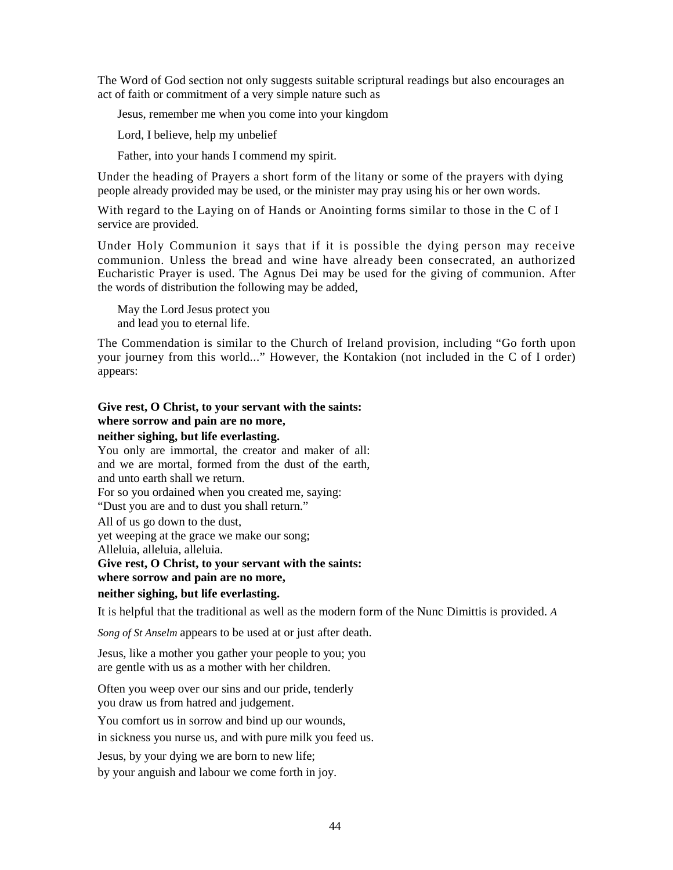The Word of God section not only suggests suitable scriptural readings but also encourages an act of faith or commitment of a very simple nature such as

Jesus, remember me when you come into your kingdom

Lord, I believe, help my unbelief

Father, into your hands I commend my spirit.

Under the heading of Prayers a short form of the litany or some of the prayers with dying people already provided may be used, or the minister may pray using his or her own words.

With regard to the Laying on of Hands or Anointing forms similar to those in the C of I service are provided.

Under Holy Communion it says that if it is possible the dying person may receive communion. Unless the bread and wine have already been consecrated, an authorized Eucharistic Prayer is used. The Agnus Dei may be used for the giving of communion. After the words of distribution the following may be added,

May the Lord Jesus protect you and lead you to eternal life.

The Commendation is similar to the Church of Ireland provision, including "Go forth upon your journey from this world..." However, the Kontakion (not included in the C of I order) appears:

# **Give rest, O Christ, to your servant with the saints: where sorrow and pain are no more,**

#### **neither sighing, but life everlasting.**

You only are immortal, the creator and maker of all: and we are mortal, formed from the dust of the earth, and unto earth shall we return. For so you ordained when you created me, saying: "Dust you are and to dust you shall return."

All of us go down to the dust,

yet weeping at the grace we make our song;

Alleluia, alleluia, alleluia.

### **Give rest, O Christ, to your servant with the saints:**

# **where sorrow and pain are no more,**

# **neither sighing, but life everlasting.**

It is helpful that the traditional as well as the modern form of the Nunc Dimittis is provided. *A* 

*Song of St Anselm* appears to be used at or just after death.

Jesus, like a mother you gather your people to you; you are gentle with us as a mother with her children.

Often you weep over our sins and our pride, tenderly you draw us from hatred and judgement.

You comfort us in sorrow and bind up our wounds,

in sickness you nurse us, and with pure milk you feed us.

Jesus, by your dying we are born to new life;

by your anguish and labour we come forth in joy.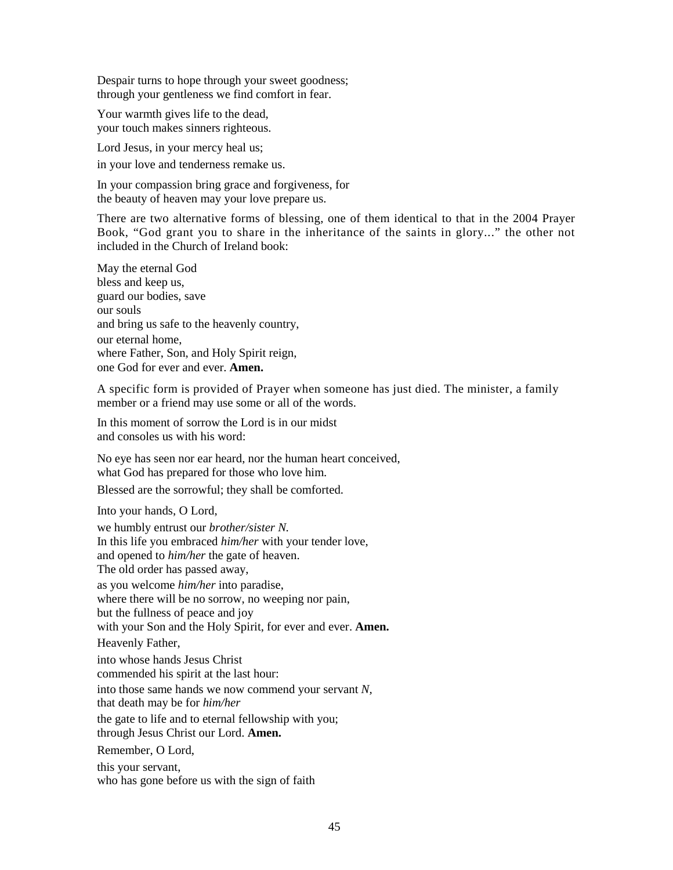Despair turns to hope through your sweet goodness; through your gentleness we find comfort in fear.

Your warmth gives life to the dead, your touch makes sinners righteous.

Lord Jesus, in your mercy heal us; in your love and tenderness remake us.

In your compassion bring grace and forgiveness, for the beauty of heaven may your love prepare us.

There are two alternative forms of blessing, one of them identical to that in the 2004 Prayer Book, "God grant you to share in the inheritance of the saints in glory..." the other not included in the Church of Ireland book:

May the eternal God bless and keep us, guard our bodies, save our souls and bring us safe to the heavenly country, our eternal home, where Father, Son, and Holy Spirit reign, one God for ever and ever. **Amen.** 

A specific form is provided of Prayer when someone has just died. The minister, a family member or a friend may use some or all of the words.

In this moment of sorrow the Lord is in our midst and consoles us with his word:

No eye has seen nor ear heard, nor the human heart conceived, what God has prepared for those who love him.

Blessed are the sorrowful; they shall be comforted.

Into your hands, O Lord,

we humbly entrust our *brother/sister N.*  In this life you embraced *him/her* with your tender love, and opened to *him/her* the gate of heaven. The old order has passed away, as you welcome *him/her* into paradise, where there will be no sorrow, no weeping nor pain, but the fullness of peace and joy with your Son and the Holy Spirit, for ever and ever. **Amen.**  Heavenly Father, into whose hands Jesus Christ commended his spirit at the last hour: into those same hands we now commend your servant *N,*  that death may be for *him/her*  the gate to life and to eternal fellowship with you; through Jesus Christ our Lord. **Amen.**  Remember, O Lord, this your servant, who has gone before us with the sign of faith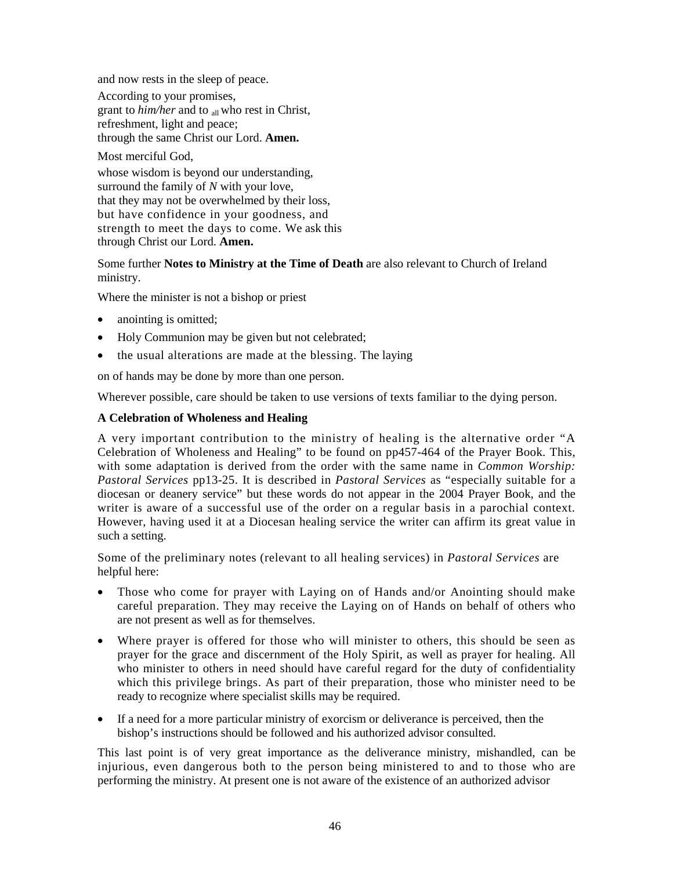and now rests in the sleep of peace.

According to your promises, grant to *him/her* and to <sub>all</sub> who rest in Christ, refreshment, light and peace; through the same Christ our Lord. **Amen.** 

Most merciful God, whose wisdom is beyond our understanding, surround the family of *N* with your love, that they may not be overwhelmed by their loss, but have confidence in your goodness, and strength to meet the days to come. We ask this through Christ our Lord. **Amen.** 

Some further **Notes to Ministry at the Time of Death** are also relevant to Church of Ireland ministry.

Where the minister is not a bishop or priest

- anointing is omitted;
- Holy Communion may be given but not celebrated;
- the usual alterations are made at the blessing. The laying

on of hands may be done by more than one person.

Wherever possible, care should be taken to use versions of texts familiar to the dying person.

# **A Celebration of Wholeness and Healing**

A very important contribution to the ministry of healing is the alternative order "A Celebration of Wholeness and Healing" to be found on pp457-464 of the Prayer Book. This, with some adaptation is derived from the order with the same name in *Common Worship: Pastoral Services* pp13-25. It is described in *Pastoral Services* as "especially suitable for a diocesan or deanery service" but these words do not appear in the 2004 Prayer Book, and the writer is aware of a successful use of the order on a regular basis in a parochial context. However, having used it at a Diocesan healing service the writer can affirm its great value in such a setting.

Some of the preliminary notes (relevant to all healing services) in *Pastoral Services* are helpful here:

- Those who come for prayer with Laying on of Hands and/or Anointing should make careful preparation. They may receive the Laying on of Hands on behalf of others who are not present as well as for themselves.
- Where prayer is offered for those who will minister to others, this should be seen as prayer for the grace and discernment of the Holy Spirit, as well as prayer for healing. All who minister to others in need should have careful regard for the duty of confidentiality which this privilege brings. As part of their preparation, those who minister need to be ready to recognize where specialist skills may be required.
- If a need for a more particular ministry of exorcism or deliverance is perceived, then the bishop's instructions should be followed and his authorized advisor consulted.

This last point is of very great importance as the deliverance ministry, mishandled, can be injurious, even dangerous both to the person being ministered to and to those who are performing the ministry. At present one is not aware of the existence of an authorized advisor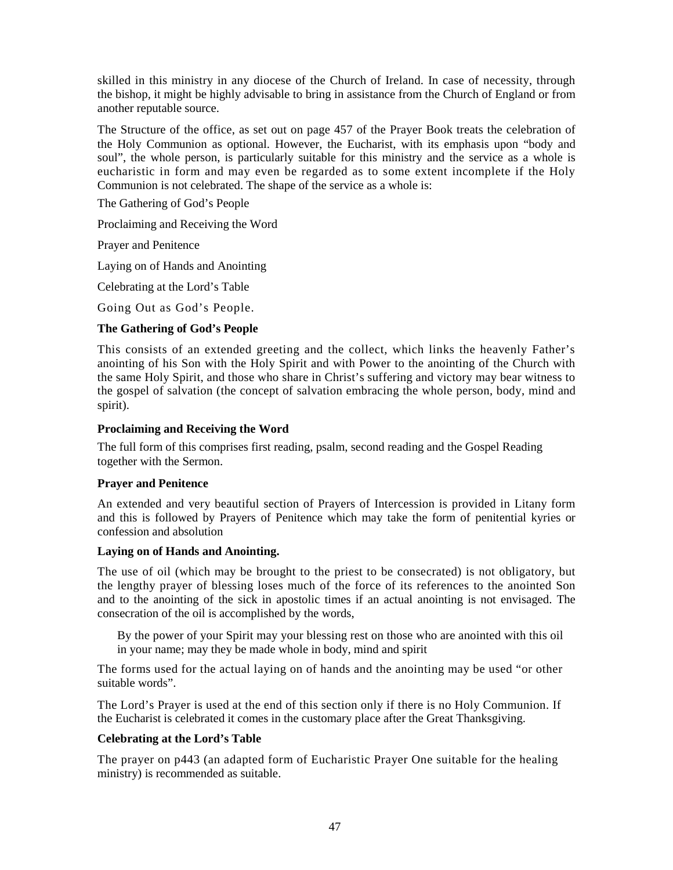skilled in this ministry in any diocese of the Church of Ireland. In case of necessity, through the bishop, it might be highly advisable to bring in assistance from the Church of England or from another reputable source.

The Structure of the office, as set out on page 457 of the Prayer Book treats the celebration of the Holy Communion as optional. However, the Eucharist, with its emphasis upon "body and soul", the whole person, is particularly suitable for this ministry and the service as a whole is eucharistic in form and may even be regarded as to some extent incomplete if the Holy Communion is not celebrated. The shape of the service as a whole is:

The Gathering of God's People

Proclaiming and Receiving the Word

Prayer and Penitence

Laying on of Hands and Anointing

Celebrating at the Lord's Table

Going Out as God's People.

# **The Gathering of God's People**

This consists of an extended greeting and the collect, which links the heavenly Father's anointing of his Son with the Holy Spirit and with Power to the anointing of the Church with the same Holy Spirit, and those who share in Christ's suffering and victory may bear witness to the gospel of salvation (the concept of salvation embracing the whole person, body, mind and spirit).

# **Proclaiming and Receiving the Word**

The full form of this comprises first reading, psalm, second reading and the Gospel Reading together with the Sermon.

# **Prayer and Penitence**

An extended and very beautiful section of Prayers of Intercession is provided in Litany form and this is followed by Prayers of Penitence which may take the form of penitential kyries or confession and absolution

# **Laying on of Hands and Anointing.**

The use of oil (which may be brought to the priest to be consecrated) is not obligatory, but the lengthy prayer of blessing loses much of the force of its references to the anointed Son and to the anointing of the sick in apostolic times if an actual anointing is not envisaged. The consecration of the oil is accomplished by the words,

By the power of your Spirit may your blessing rest on those who are anointed with this oil in your name; may they be made whole in body, mind and spirit

The forms used for the actual laying on of hands and the anointing may be used "or other suitable words".

The Lord's Prayer is used at the end of this section only if there is no Holy Communion. If the Eucharist is celebrated it comes in the customary place after the Great Thanksgiving.

# **Celebrating at the Lord's Table**

The prayer on p443 (an adapted form of Eucharistic Prayer One suitable for the healing ministry) is recommended as suitable.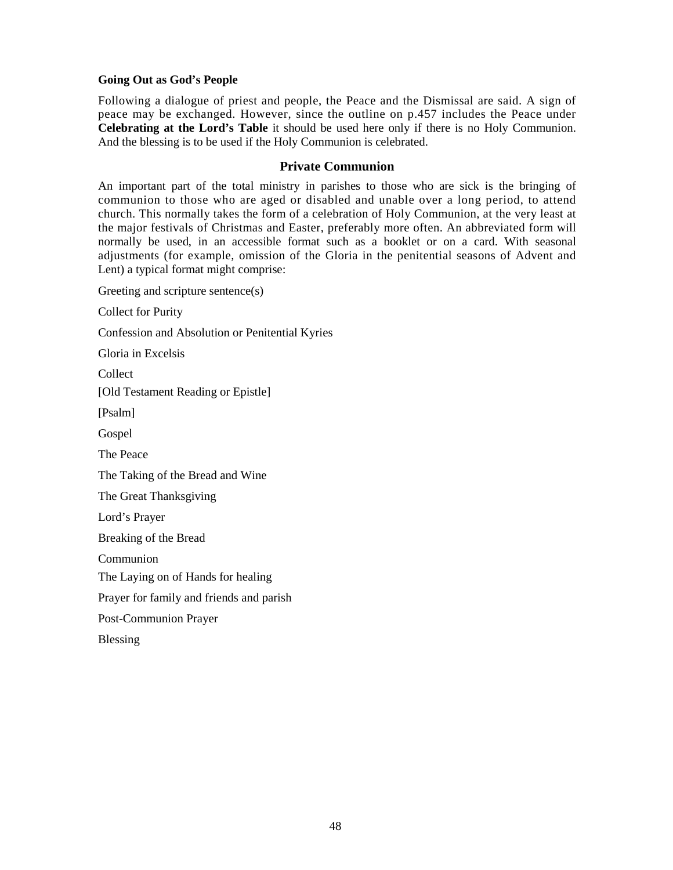### **Going Out as God's People**

Following a dialogue of priest and people, the Peace and the Dismissal are said. A sign of peace may be exchanged. However, since the outline on p.457 includes the Peace under **Celebrating at the Lord's Table** it should be used here only if there is no Holy Communion. And the blessing is to be used if the Holy Communion is celebrated.

### **Private Communion**

An important part of the total ministry in parishes to those who are sick is the bringing of communion to those who are aged or disabled and unable over a long period, to attend church. This normally takes the form of a celebration of Holy Communion, at the very least at the major festivals of Christmas and Easter, preferably more often. An abbreviated form will normally be used, in an accessible format such as a booklet or on a card. With seasonal adjustments (for example, omission of the Gloria in the penitential seasons of Advent and Lent) a typical format might comprise:

Greeting and scripture sentence(s)

Collect for Purity

Confession and Absolution or Penitential Kyries

Gloria in Excelsis

Collect

[Old Testament Reading or Epistle]

[Psalm]

Gospel

The Peace

The Taking of the Bread and Wine

The Great Thanksgiving

Lord's Prayer

Breaking of the Bread

Communion

The Laying on of Hands for healing

Prayer for family and friends and parish

Post-Communion Prayer

Blessing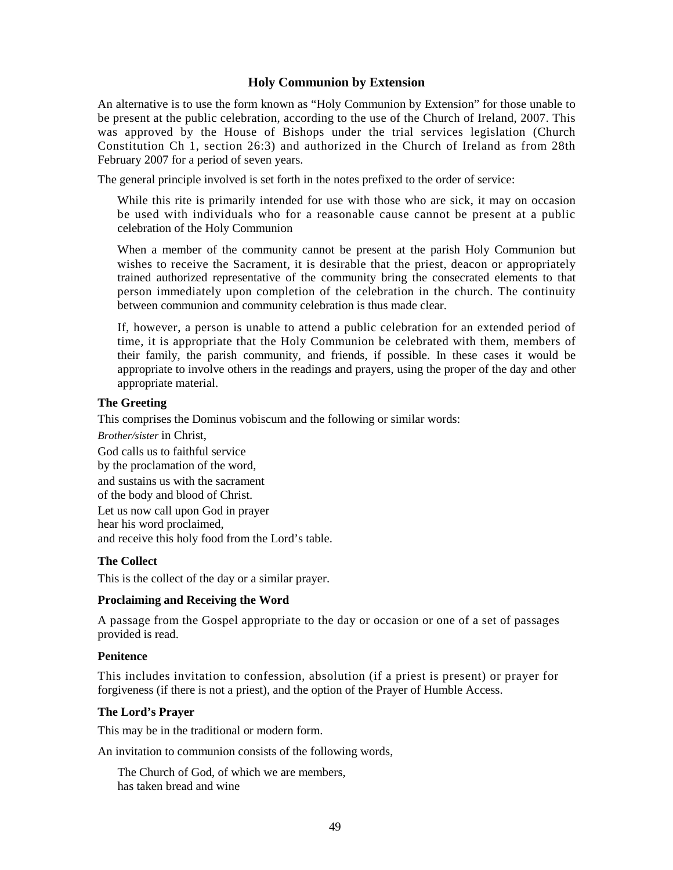# **Holy Communion by Extension**

An alternative is to use the form known as "Holy Communion by Extension" for those unable to be present at the public celebration, according to the use of the Church of Ireland, 2007. This was approved by the House of Bishops under the trial services legislation (Church Constitution Ch 1, section 26:3) and authorized in the Church of Ireland as from 28th February 2007 for a period of seven years.

The general principle involved is set forth in the notes prefixed to the order of service:

While this rite is primarily intended for use with those who are sick, it may on occasion be used with individuals who for a reasonable cause cannot be present at a public celebration of the Holy Communion

When a member of the community cannot be present at the parish Holy Communion but wishes to receive the Sacrament, it is desirable that the priest, deacon or appropriately trained authorized representative of the community bring the consecrated elements to that person immediately upon completion of the celebration in the church. The continuity between communion and community celebration is thus made clear.

If, however, a person is unable to attend a public celebration for an extended period of time, it is appropriate that the Holy Communion be celebrated with them, members of their family, the parish community, and friends, if possible. In these cases it would be appropriate to involve others in the readings and prayers, using the proper of the day and other appropriate material.

#### **The Greeting**

This comprises the Dominus vobiscum and the following or similar words:

*Brother/sister* in Christ,

God calls us to faithful service by the proclamation of the word, and sustains us with the sacrament of the body and blood of Christ. Let us now call upon God in prayer hear his word proclaimed, and receive this holy food from the Lord's table.

# **The Collect**

This is the collect of the day or a similar prayer.

#### **Proclaiming and Receiving the Word**

A passage from the Gospel appropriate to the day or occasion or one of a set of passages provided is read.

#### **Penitence**

This includes invitation to confession, absolution (if a priest is present) or prayer for forgiveness (if there is not a priest), and the option of the Prayer of Humble Access.

#### **The Lord's Prayer**

This may be in the traditional or modern form.

An invitation to communion consists of the following words,

The Church of God, of which we are members, has taken bread and wine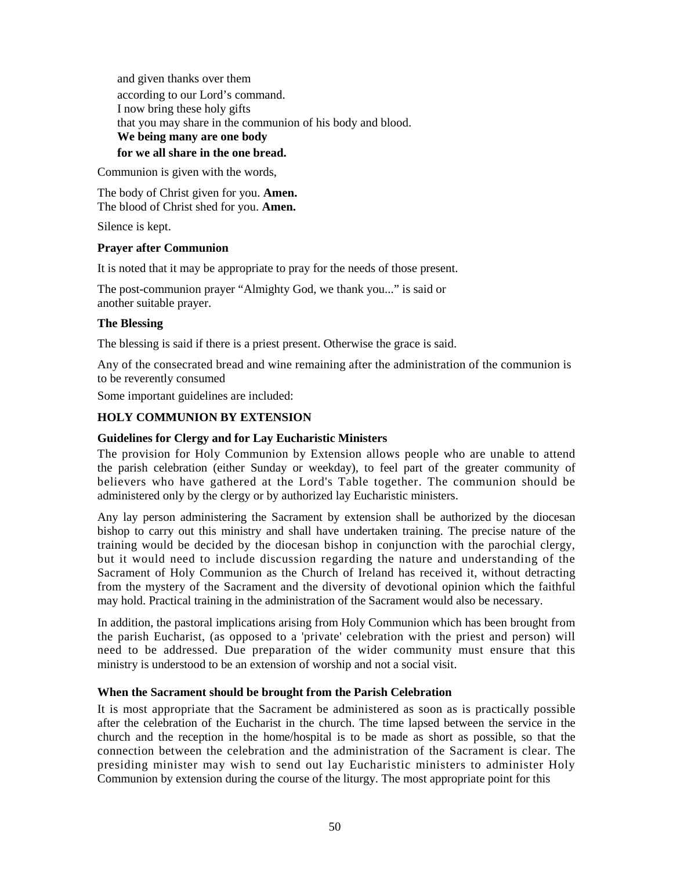and given thanks over them according to our Lord's command. I now bring these holy gifts that you may share in the communion of his body and blood. **We being many are one body for we all share in the one bread.** 

Communion is given with the words,

The body of Christ given for you. **Amen.**  The blood of Christ shed for you. **Amen.** 

Silence is kept.

# **Prayer after Communion**

It is noted that it may be appropriate to pray for the needs of those present.

The post-communion prayer "Almighty God, we thank you..." is said or another suitable prayer.

# **The Blessing**

The blessing is said if there is a priest present. Otherwise the grace is said.

Any of the consecrated bread and wine remaining after the administration of the communion is to be reverently consumed

Some important guidelines are included:

# **HOLY COMMUNION BY EXTENSION**

# **Guidelines for Clergy and for Lay Eucharistic Ministers**

The provision for Holy Communion by Extension allows people who are unable to attend the parish celebration (either Sunday or weekday), to feel part of the greater community of believers who have gathered at the Lord's Table together. The communion should be administered only by the clergy or by authorized lay Eucharistic ministers.

Any lay person administering the Sacrament by extension shall be authorized by the diocesan bishop to carry out this ministry and shall have undertaken training. The precise nature of the training would be decided by the diocesan bishop in conjunction with the parochial clergy, but it would need to include discussion regarding the nature and understanding of the Sacrament of Holy Communion as the Church of Ireland has received it, without detracting from the mystery of the Sacrament and the diversity of devotional opinion which the faithful may hold. Practical training in the administration of the Sacrament would also be necessary.

In addition, the pastoral implications arising from Holy Communion which has been brought from the parish Eucharist, (as opposed to a 'private' celebration with the priest and person) will need to be addressed. Due preparation of the wider community must ensure that this ministry is understood to be an extension of worship and not a social visit.

# **When the Sacrament should be brought from the Parish Celebration**

It is most appropriate that the Sacrament be administered as soon as is practically possible after the celebration of the Eucharist in the church. The time lapsed between the service in the church and the reception in the home/hospital is to be made as short as possible, so that the connection between the celebration and the administration of the Sacrament is clear. The presiding minister may wish to send out lay Eucharistic ministers to administer Holy Communion by extension during the course of the liturgy. The most appropriate point for this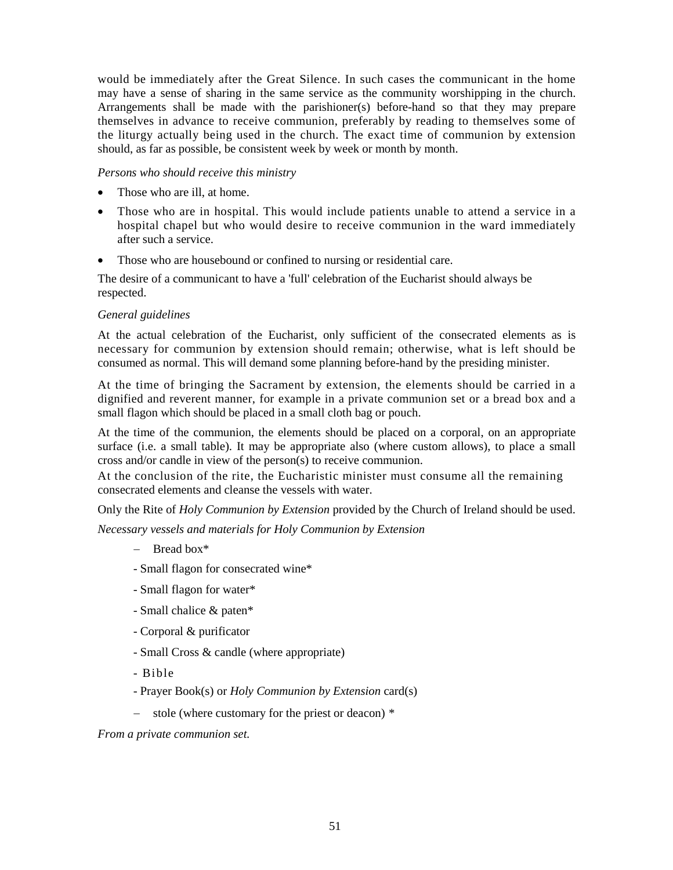would be immediately after the Great Silence. In such cases the communicant in the home may have a sense of sharing in the same service as the community worshipping in the church. Arrangements shall be made with the parishioner(s) before-hand so that they may prepare themselves in advance to receive communion, preferably by reading to themselves some of the liturgy actually being used in the church. The exact time of communion by extension should, as far as possible, be consistent week by week or month by month.

### *Persons who should receive this ministry*

- Those who are ill, at home.
- Those who are in hospital. This would include patients unable to attend a service in a hospital chapel but who would desire to receive communion in the ward immediately after such a service.
- Those who are housebound or confined to nursing or residential care.

The desire of a communicant to have a 'full' celebration of the Eucharist should always be respected.

### *General guidelines*

At the actual celebration of the Eucharist, only sufficient of the consecrated elements as is necessary for communion by extension should remain; otherwise, what is left should be consumed as normal. This will demand some planning before-hand by the presiding minister.

At the time of bringing the Sacrament by extension, the elements should be carried in a dignified and reverent manner, for example in a private communion set or a bread box and a small flagon which should be placed in a small cloth bag or pouch.

At the time of the communion, the elements should be placed on a corporal, on an appropriate surface (i.e. a small table). It may be appropriate also (where custom allows), to place a small cross and/or candle in view of the person(s) to receive communion.

At the conclusion of the rite, the Eucharistic minister must consume all the remaining consecrated elements and cleanse the vessels with water.

Only the Rite of *Holy Communion by Extension* provided by the Church of Ireland should be used.

*Necessary vessels and materials for Holy Communion by Extension* 

- − Bread box\*
- Small flagon for consecrated wine\*
- Small flagon for water\*
- Small chalice & paten\*
- Corporal & purificator
- Small Cross & candle (where appropriate)
- Bible
- Prayer Book(s) or *Holy Communion by Extension* card(s)
- − stole (where customary for the priest or deacon) *\**

*From a private communion set.*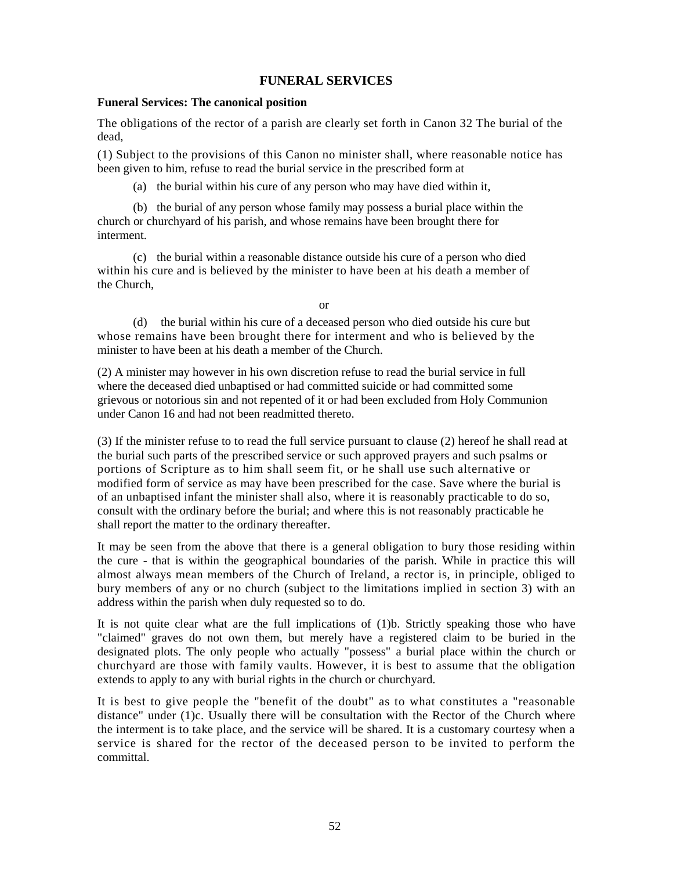# **FUNERAL SERVICES**

#### **Funeral Services: The canonical position**

The obligations of the rector of a parish are clearly set forth in Canon 32 The burial of the dead,

(1) Subject to the provisions of this Canon no minister shall, where reasonable notice has been given to him, refuse to read the burial service in the prescribed form at

(a) the burial within his cure of any person who may have died within it,

(b) the burial of any person whose family may possess a burial place within the church or churchyard of his parish, and whose remains have been brought there for interment.

(c) the burial within a reasonable distance outside his cure of a person who died within his cure and is believed by the minister to have been at his death a member of the Church,

or

(d) the burial within his cure of a deceased person who died outside his cure but whose remains have been brought there for interment and who is believed by the minister to have been at his death a member of the Church.

(2) A minister may however in his own discretion refuse to read the burial service in full where the deceased died unbaptised or had committed suicide or had committed some grievous or notorious sin and not repented of it or had been excluded from Holy Communion under Canon 16 and had not been readmitted thereto.

(3) If the minister refuse to to read the full service pursuant to clause (2) hereof he shall read at the burial such parts of the prescribed service or such approved prayers and such psalms or portions of Scripture as to him shall seem fit, or he shall use such alternative or modified form of service as may have been prescribed for the case. Save where the burial is of an unbaptised infant the minister shall also, where it is reasonably practicable to do so, consult with the ordinary before the burial; and where this is not reasonably practicable he shall report the matter to the ordinary thereafter.

It may be seen from the above that there is a general obligation to bury those residing within the cure - that is within the geographical boundaries of the parish. While in practice this will almost always mean members of the Church of Ireland, a rector is, in principle, obliged to bury members of any or no church (subject to the limitations implied in section 3) with an address within the parish when duly requested so to do.

It is not quite clear what are the full implications of (1)b. Strictly speaking those who have "claimed" graves do not own them, but merely have a registered claim to be buried in the designated plots. The only people who actually "possess" a burial place within the church or churchyard are those with family vaults. However, it is best to assume that the obligation extends to apply to any with burial rights in the church or churchyard.

It is best to give people the "benefit of the doubt" as to what constitutes a "reasonable distance" under (1)c. Usually there will be consultation with the Rector of the Church where the interment is to take place, and the service will be shared. It is a customary courtesy when a service is shared for the rector of the deceased person to be invited to perform the committal.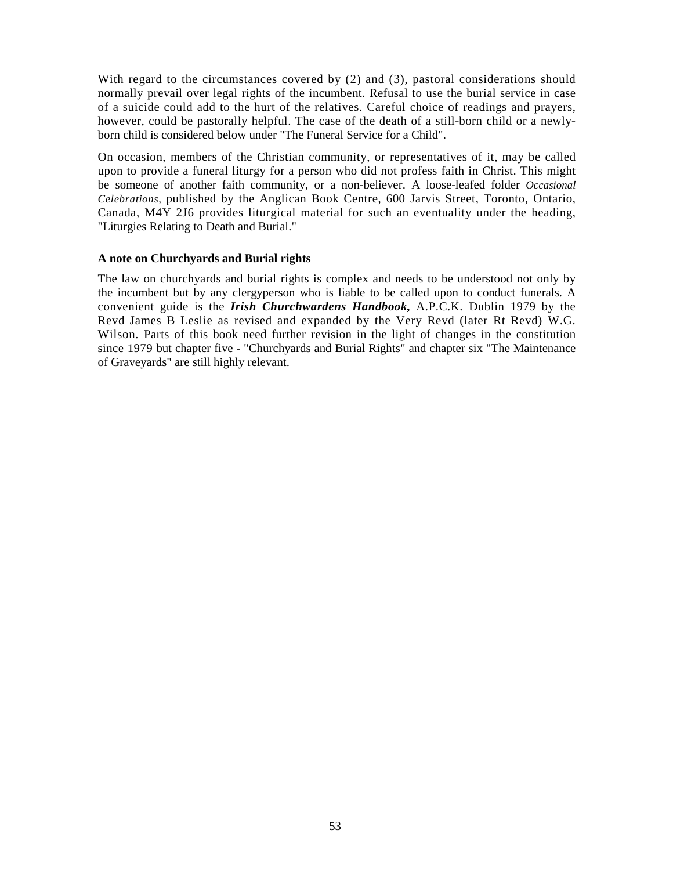With regard to the circumstances covered by (2) and (3), pastoral considerations should normally prevail over legal rights of the incumbent. Refusal to use the burial service in case of a suicide could add to the hurt of the relatives. Careful choice of readings and prayers, however, could be pastorally helpful. The case of the death of a still-born child or a newlyborn child is considered below under "The Funeral Service for a Child".

On occasion, members of the Christian community, or representatives of it, may be called upon to provide a funeral liturgy for a person who did not profess faith in Christ. This might be someone of another faith community, or a non-believer. A loose-leafed folder *Occasional Celebrations,* published by the Anglican Book Centre, 600 Jarvis Street, Toronto, Ontario, Canada, M4Y 2J6 provides liturgical material for such an eventuality under the heading, "Liturgies Relating to Death and Burial."

### **A note on Churchyards and Burial rights**

The law on churchyards and burial rights is complex and needs to be understood not only by the incumbent but by any clergyperson who is liable to be called upon to conduct funerals. A convenient guide is the *Irish Churchwardens Handbook,* A.P.C.K. Dublin 1979 by the Revd James B Leslie as revised and expanded by the Very Revd (later Rt Revd) W.G. Wilson. Parts of this book need further revision in the light of changes in the constitution since 1979 but chapter five - "Churchyards and Burial Rights" and chapter six "The Maintenance of Graveyards" are still highly relevant.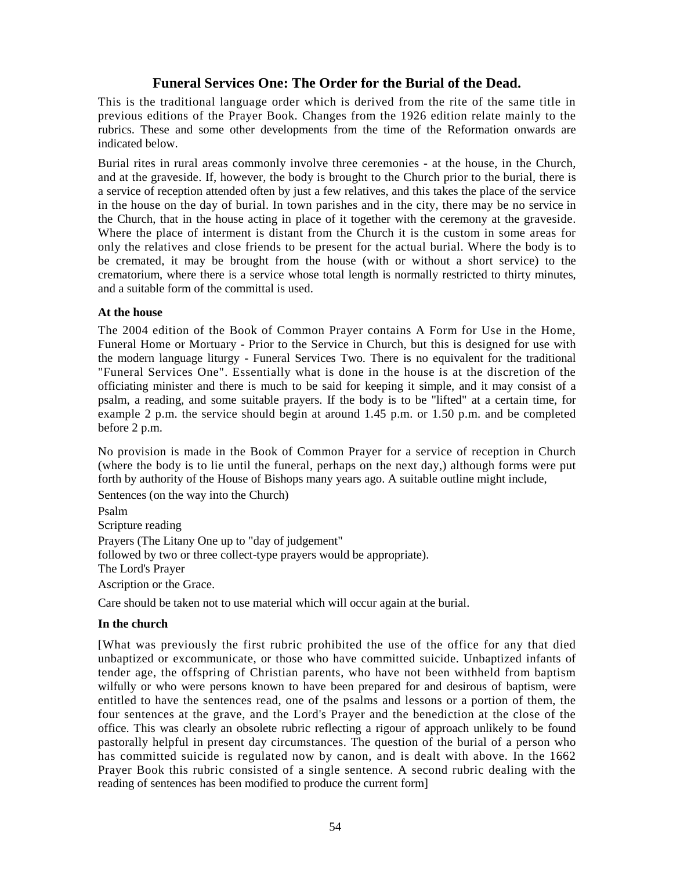# **Funeral Services One: The Order for the Burial of the Dead.**

This is the traditional language order which is derived from the rite of the same title in previous editions of the Prayer Book. Changes from the 1926 edition relate mainly to the rubrics. These and some other developments from the time of the Reformation onwards are indicated below.

Burial rites in rural areas commonly involve three ceremonies - at the house, in the Church, and at the graveside. If, however, the body is brought to the Church prior to the burial, there is a service of reception attended often by just a few relatives, and this takes the place of the service in the house on the day of burial. In town parishes and in the city, there may be no service in the Church, that in the house acting in place of it together with the ceremony at the graveside. Where the place of interment is distant from the Church it is the custom in some areas for only the relatives and close friends to be present for the actual burial. Where the body is to be cremated, it may be brought from the house (with or without a short service) to the crematorium, where there is a service whose total length is normally restricted to thirty minutes, and a suitable form of the committal is used.

# **At the house**

The 2004 edition of the Book of Common Prayer contains A Form for Use in the Home, Funeral Home or Mortuary - Prior to the Service in Church, but this is designed for use with the modern language liturgy - Funeral Services Two. There is no equivalent for the traditional "Funeral Services One". Essentially what is done in the house is at the discretion of the officiating minister and there is much to be said for keeping it simple, and it may consist of a psalm, a reading, and some suitable prayers. If the body is to be "lifted" at a certain time, for example 2 p.m. the service should begin at around 1.45 p.m. or 1.50 p.m. and be completed before 2 p.m.

No provision is made in the Book of Common Prayer for a service of reception in Church (where the body is to lie until the funeral, perhaps on the next day,) although forms were put forth by authority of the House of Bishops many years ago. A suitable outline might include,

Sentences (on the way into the Church)

Psalm Scripture reading Prayers (The Litany One up to "day of judgement" followed by two or three collect-type prayers would be appropriate). The Lord's Prayer Ascription or the Grace.

Care should be taken not to use material which will occur again at the burial.

# **In the church**

[What was previously the first rubric prohibited the use of the office for any that died unbaptized or excommunicate, or those who have committed suicide. Unbaptized infants of tender age, the offspring of Christian parents, who have not been withheld from baptism wilfully or who were persons known to have been prepared for and desirous of baptism, were entitled to have the sentences read, one of the psalms and lessons or a portion of them, the four sentences at the grave, and the Lord's Prayer and the benediction at the close of the office. This was clearly an obsolete rubric reflecting a rigour of approach unlikely to be found pastorally helpful in present day circumstances. The question of the burial of a person who has committed suicide is regulated now by canon, and is dealt with above. In the 1662 Prayer Book this rubric consisted of a single sentence. A second rubric dealing with the reading of sentences has been modified to produce the current form]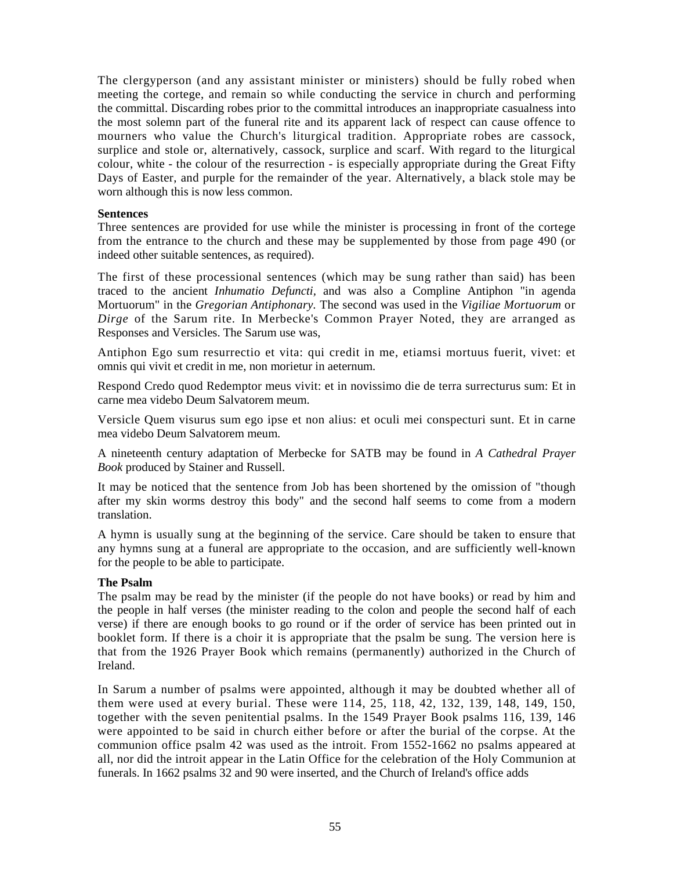The clergyperson (and any assistant minister or ministers) should be fully robed when meeting the cortege, and remain so while conducting the service in church and performing the committal. Discarding robes prior to the committal introduces an inappropriate casualness into the most solemn part of the funeral rite and its apparent lack of respect can cause offence to mourners who value the Church's liturgical tradition. Appropriate robes are cassock, surplice and stole or, alternatively, cassock, surplice and scarf. With regard to the liturgical colour, white - the colour of the resurrection - is especially appropriate during the Great Fifty Days of Easter, and purple for the remainder of the year. Alternatively, a black stole may be worn although this is now less common.

### **Sentences**

Three sentences are provided for use while the minister is processing in front of the cortege from the entrance to the church and these may be supplemented by those from page 490 (or indeed other suitable sentences, as required).

The first of these processional sentences (which may be sung rather than said) has been traced to the ancient *Inhumatio Defuncti,* and was also a Compline Antiphon "in agenda Mortuorum" in the *Gregorian Antiphonary.* The second was used in the *Vigiliae Mortuorum* or *Dirge* of the Sarum rite. In Merbecke's Common Prayer Noted, they are arranged as Responses and Versicles. The Sarum use was,

Antiphon Ego sum resurrectio et vita: qui credit in me, etiamsi mortuus fuerit, vivet: et omnis qui vivit et credit in me, non morietur in aeternum.

Respond Credo quod Redemptor meus vivit: et in novissimo die de terra surrecturus sum: Et in carne mea videbo Deum Salvatorem meum.

Versicle Quem visurus sum ego ipse et non alius: et oculi mei conspecturi sunt. Et in carne mea videbo Deum Salvatorem meum.

A nineteenth century adaptation of Merbecke for SATB may be found in *A Cathedral Prayer Book* produced by Stainer and Russell.

It may be noticed that the sentence from Job has been shortened by the omission of "though after my skin worms destroy this body" and the second half seems to come from a modern translation.

A hymn is usually sung at the beginning of the service. Care should be taken to ensure that any hymns sung at a funeral are appropriate to the occasion, and are sufficiently well-known for the people to be able to participate.

# **The Psalm**

The psalm may be read by the minister (if the people do not have books) or read by him and the people in half verses (the minister reading to the colon and people the second half of each verse) if there are enough books to go round or if the order of service has been printed out in booklet form. If there is a choir it is appropriate that the psalm be sung. The version here is that from the 1926 Prayer Book which remains (permanently) authorized in the Church of Ireland.

In Sarum a number of psalms were appointed, although it may be doubted whether all of them were used at every burial. These were 114, 25, 118, 42, 132, 139, 148, 149, 150, together with the seven penitential psalms. In the 1549 Prayer Book psalms 116, 139, 146 were appointed to be said in church either before or after the burial of the corpse. At the communion office psalm 42 was used as the introit. From 1552-1662 no psalms appeared at all, nor did the introit appear in the Latin Office for the celebration of the Holy Communion at funerals. In 1662 psalms 32 and 90 were inserted, and the Church of Ireland's office adds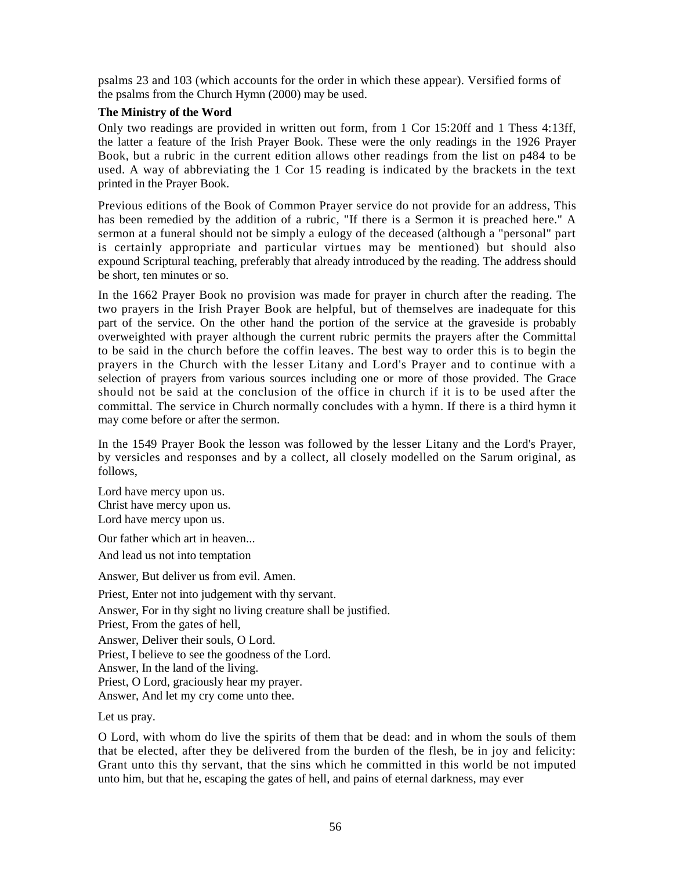psalms 23 and 103 (which accounts for the order in which these appear). Versified forms of the psalms from the Church Hymn (2000) may be used.

# **The Ministry of the Word**

Only two readings are provided in written out form, from 1 Cor 15:20ff and 1 Thess 4:13ff, the latter a feature of the Irish Prayer Book. These were the only readings in the 1926 Prayer Book, but a rubric in the current edition allows other readings from the list on p484 to be used. A way of abbreviating the 1 Cor 15 reading is indicated by the brackets in the text printed in the Prayer Book.

Previous editions of the Book of Common Prayer service do not provide for an address, This has been remedied by the addition of a rubric, "If there is a Sermon it is preached here." A sermon at a funeral should not be simply a eulogy of the deceased (although a "personal" part is certainly appropriate and particular virtues may be mentioned) but should also expound Scriptural teaching, preferably that already introduced by the reading. The address should be short, ten minutes or so.

In the 1662 Prayer Book no provision was made for prayer in church after the reading. The two prayers in the Irish Prayer Book are helpful, but of themselves are inadequate for this part of the service. On the other hand the portion of the service at the graveside is probably overweighted with prayer although the current rubric permits the prayers after the Committal to be said in the church before the coffin leaves. The best way to order this is to begin the prayers in the Church with the lesser Litany and Lord's Prayer and to continue with a selection of prayers from various sources including one or more of those provided. The Grace should not be said at the conclusion of the office in church if it is to be used after the committal. The service in Church normally concludes with a hymn. If there is a third hymn it may come before or after the sermon.

In the 1549 Prayer Book the lesson was followed by the lesser Litany and the Lord's Prayer, by versicles and responses and by a collect, all closely modelled on the Sarum original, as follows,

Lord have mercy upon us. Christ have mercy upon us. Lord have mercy upon us.

Our father which art in heaven...

And lead us not into temptation

Answer, But deliver us from evil. Amen.

Priest, Enter not into judgement with thy servant. Answer, For in thy sight no living creature shall be justified. Priest, From the gates of hell, Answer, Deliver their souls, O Lord. Priest, I believe to see the goodness of the Lord. Answer, In the land of the living. Priest, O Lord, graciously hear my prayer. Answer, And let my cry come unto thee.

Let us pray.

O Lord, with whom do live the spirits of them that be dead: and in whom the souls of them that be elected, after they be delivered from the burden of the flesh, be in joy and felicity: Grant unto this thy servant, that the sins which he committed in this world be not imputed unto him, but that he, escaping the gates of hell, and pains of eternal darkness, may ever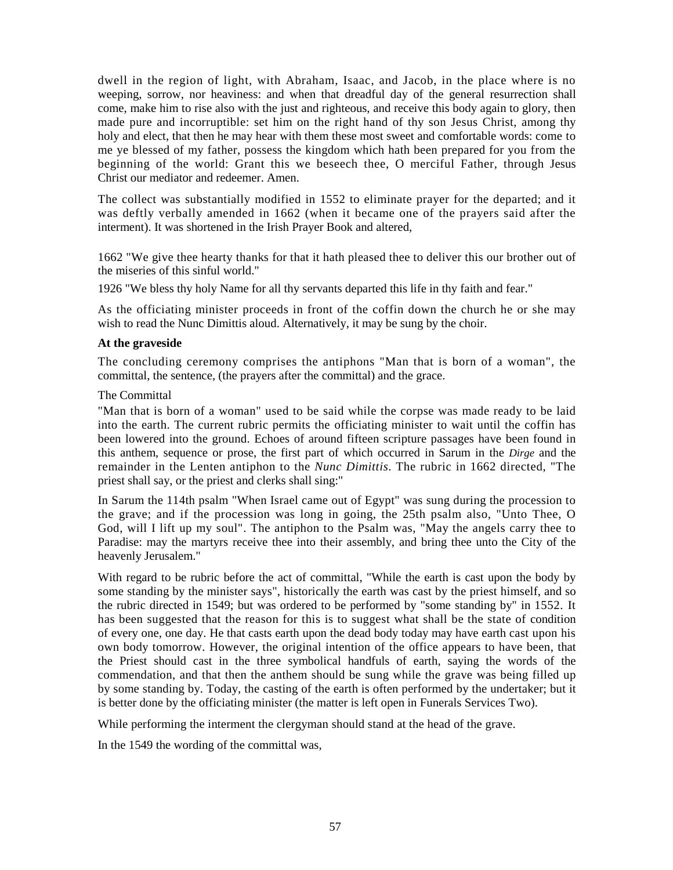dwell in the region of light, with Abraham, Isaac, and Jacob, in the place where is no weeping, sorrow, nor heaviness: and when that dreadful day of the general resurrection shall come, make him to rise also with the just and righteous, and receive this body again to glory, then made pure and incorruptible: set him on the right hand of thy son Jesus Christ, among thy holy and elect, that then he may hear with them these most sweet and comfortable words: come to me ye blessed of my father, possess the kingdom which hath been prepared for you from the beginning of the world: Grant this we beseech thee, O merciful Father, through Jesus Christ our mediator and redeemer. Amen.

The collect was substantially modified in 1552 to eliminate prayer for the departed; and it was deftly verbally amended in 1662 (when it became one of the prayers said after the interment). It was shortened in the Irish Prayer Book and altered,

1662 "We give thee hearty thanks for that it hath pleased thee to deliver this our brother out of the miseries of this sinful world."

1926 "We bless thy holy Name for all thy servants departed this life in thy faith and fear."

As the officiating minister proceeds in front of the coffin down the church he or she may wish to read the Nunc Dimittis aloud. Alternatively, it may be sung by the choir.

### **At the graveside**

The concluding ceremony comprises the antiphons "Man that is born of a woman", the committal, the sentence, (the prayers after the committal) and the grace.

The Committal

"Man that is born of a woman" used to be said while the corpse was made ready to be laid into the earth. The current rubric permits the officiating minister to wait until the coffin has been lowered into the ground. Echoes of around fifteen scripture passages have been found in this anthem, sequence or prose, the first part of which occurred in Sarum in the *Dirge* and the remainder in the Lenten antiphon to the *Nunc Dimittis.* The rubric in 1662 directed, "The priest shall say, or the priest and clerks shall sing:"

In Sarum the 114th psalm "When Israel came out of Egypt" was sung during the procession to the grave; and if the procession was long in going, the 25th psalm also, "Unto Thee, O God, will I lift up my soul". The antiphon to the Psalm was, "May the angels carry thee to Paradise: may the martyrs receive thee into their assembly, and bring thee unto the City of the heavenly Jerusalem."

With regard to be rubric before the act of committal, "While the earth is cast upon the body by some standing by the minister says", historically the earth was cast by the priest himself, and so the rubric directed in 1549; but was ordered to be performed by "some standing by" in 1552. It has been suggested that the reason for this is to suggest what shall be the state of condition of every one, one day. He that casts earth upon the dead body today may have earth cast upon his own body tomorrow. However, the original intention of the office appears to have been, that the Priest should cast in the three symbolical handfuls of earth, saying the words of the commendation, and that then the anthem should be sung while the grave was being filled up by some standing by. Today, the casting of the earth is often performed by the undertaker; but it is better done by the officiating minister (the matter is left open in Funerals Services Two).

While performing the interment the clergyman should stand at the head of the grave.

In the 1549 the wording of the committal was,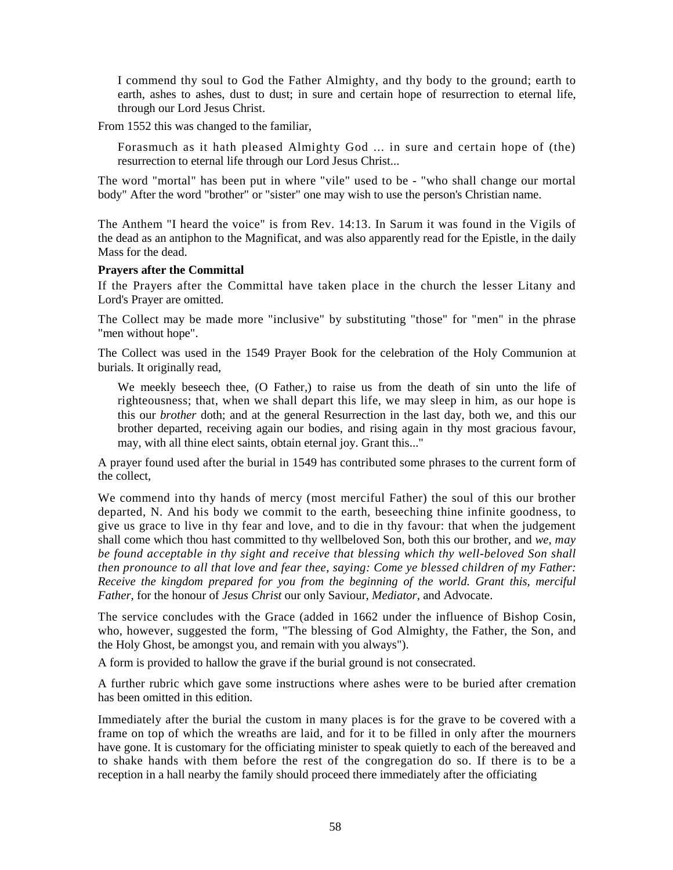I commend thy soul to God the Father Almighty, and thy body to the ground; earth to earth, ashes to ashes, dust to dust; in sure and certain hope of resurrection to eternal life, through our Lord Jesus Christ.

From 1552 this was changed to the familiar,

Forasmuch as it hath pleased Almighty God ... in sure and certain hope of (the) resurrection to eternal life through our Lord Jesus Christ...

The word "mortal" has been put in where "vile" used to be - "who shall change our mortal body" After the word "brother" or "sister" one may wish to use the person's Christian name.

The Anthem "I heard the voice" is from Rev. 14:13. In Sarum it was found in the Vigils of the dead as an antiphon to the Magnificat, and was also apparently read for the Epistle, in the daily Mass for the dead.

### **Prayers after the Committal**

If the Prayers after the Committal have taken place in the church the lesser Litany and Lord's Prayer are omitted.

The Collect may be made more "inclusive" by substituting "those" for "men" in the phrase "men without hope".

The Collect was used in the 1549 Prayer Book for the celebration of the Holy Communion at burials. It originally read,

We meekly beseech thee, (O Father,) to raise us from the death of sin unto the life of righteousness; that, when we shall depart this life, we may sleep in him, as our hope is this our *brother* doth; and at the general Resurrection in the last day, both we, and this our brother departed, receiving again our bodies, and rising again in thy most gracious favour, may, with all thine elect saints, obtain eternal joy. Grant this..."

A prayer found used after the burial in 1549 has contributed some phrases to the current form of the collect,

We commend into thy hands of mercy (most merciful Father) the soul of this our brother departed, N. And his body we commit to the earth, beseeching thine infinite goodness, to give us grace to live in thy fear and love, and to die in thy favour: that when the judgement shall come which thou hast committed to thy wellbeloved Son, both this our brother, and *we, may be found acceptable in thy sight and receive that blessing which thy well-beloved Son shall then pronounce to all that love and fear thee, saying: Come ye blessed children of my Father: Receive the kingdom prepared for you from the beginning of the world. Grant this, merciful Father,* for the honour of *Jesus Christ* our only Saviour, *Mediator,* and Advocate.

The service concludes with the Grace (added in 1662 under the influence of Bishop Cosin, who, however, suggested the form, "The blessing of God Almighty, the Father, the Son, and the Holy Ghost, be amongst you, and remain with you always").

A form is provided to hallow the grave if the burial ground is not consecrated.

A further rubric which gave some instructions where ashes were to be buried after cremation has been omitted in this edition.

Immediately after the burial the custom in many places is for the grave to be covered with a frame on top of which the wreaths are laid, and for it to be filled in only after the mourners have gone. It is customary for the officiating minister to speak quietly to each of the bereaved and to shake hands with them before the rest of the congregation do so. If there is to be a reception in a hall nearby the family should proceed there immediately after the officiating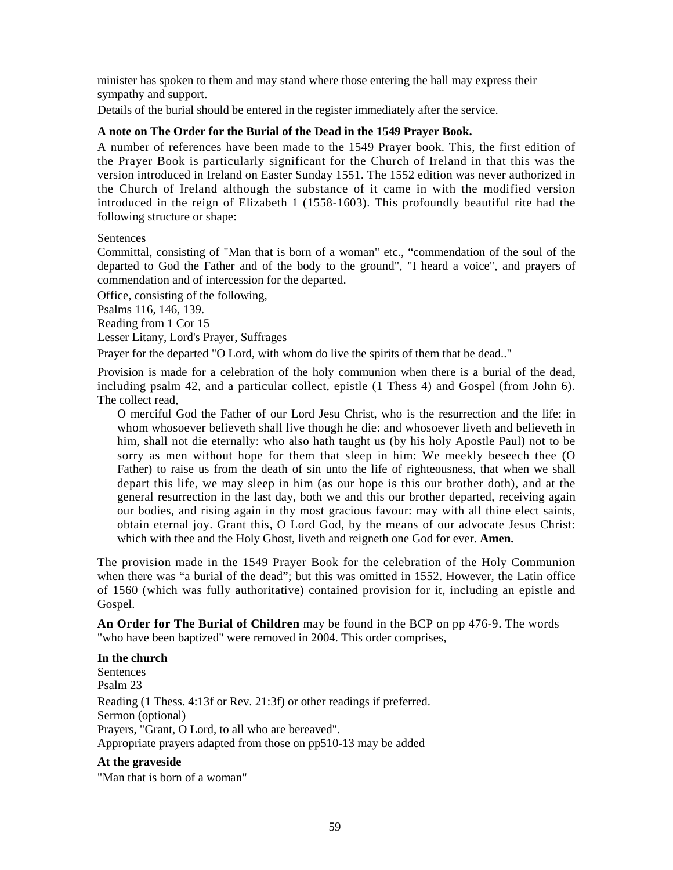minister has spoken to them and may stand where those entering the hall may express their sympathy and support.

Details of the burial should be entered in the register immediately after the service.

# **A note on The Order for the Burial of the Dead in the 1549 Prayer Book.**

A number of references have been made to the 1549 Prayer book. This, the first edition of the Prayer Book is particularly significant for the Church of Ireland in that this was the version introduced in Ireland on Easter Sunday 1551. The 1552 edition was never authorized in the Church of Ireland although the substance of it came in with the modified version introduced in the reign of Elizabeth 1 (1558-1603). This profoundly beautiful rite had the following structure or shape:

# **Sentences**

Committal, consisting of "Man that is born of a woman" etc., "commendation of the soul of the departed to God the Father and of the body to the ground", "I heard a voice", and prayers of commendation and of intercession for the departed.

Office, consisting of the following,

Psalms 116, 146, 139.

Reading from 1 Cor 15

Lesser Litany, Lord's Prayer, Suffrages

Prayer for the departed "O Lord, with whom do live the spirits of them that be dead.."

Provision is made for a celebration of the holy communion when there is a burial of the dead, including psalm 42, and a particular collect, epistle (1 Thess 4) and Gospel (from John 6). The collect read,

O merciful God the Father of our Lord Jesu Christ, who is the resurrection and the life: in whom whosoever believeth shall live though he die: and whosoever liveth and believeth in him, shall not die eternally: who also hath taught us (by his holy Apostle Paul) not to be sorry as men without hope for them that sleep in him: We meekly beseech thee (O Father) to raise us from the death of sin unto the life of righteousness, that when we shall depart this life, we may sleep in him (as our hope is this our brother doth), and at the general resurrection in the last day, both we and this our brother departed, receiving again our bodies, and rising again in thy most gracious favour: may with all thine elect saints, obtain eternal joy. Grant this, O Lord God, by the means of our advocate Jesus Christ: which with thee and the Holy Ghost, liveth and reigneth one God for ever. **Amen.** 

The provision made in the 1549 Prayer Book for the celebration of the Holy Communion when there was "a burial of the dead"; but this was omitted in 1552. However, the Latin office of 1560 (which was fully authoritative) contained provision for it, including an epistle and Gospel.

**An Order for The Burial of Children** may be found in the BCP on pp 476-9. The words "who have been baptized" were removed in 2004. This order comprises,

# **In the church**

Sentences Psalm 23 Reading (1 Thess. 4:13f or Rev. 21:3f) or other readings if preferred. Sermon (optional) Prayers, "Grant, O Lord, to all who are bereaved". Appropriate prayers adapted from those on pp510-13 may be added

# **At the graveside**

"Man that is born of a woman"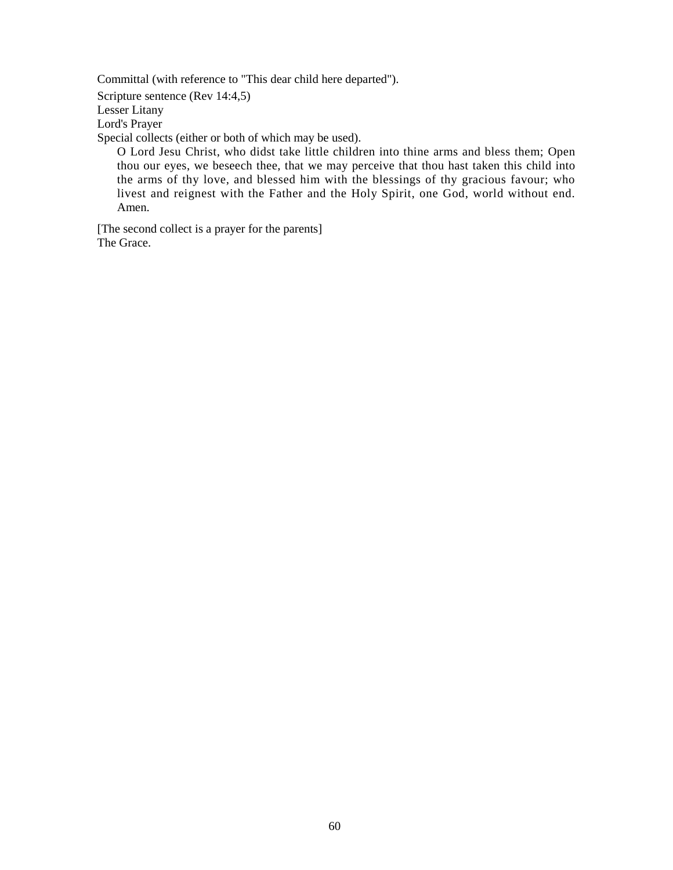Committal (with reference to "This dear child here departed"). Scripture sentence (Rev 14:4,5) Lesser Litany Lord's Prayer Special collects (either or both of which may be used).

O Lord Jesu Christ, who didst take little children into thine arms and bless them; Open thou our eyes, we beseech thee, that we may perceive that thou hast taken this child into the arms of thy love, and blessed him with the blessings of thy gracious favour; who livest and reignest with the Father and the Holy Spirit, one God, world without end. Amen.

[The second collect is a prayer for the parents] The Grace.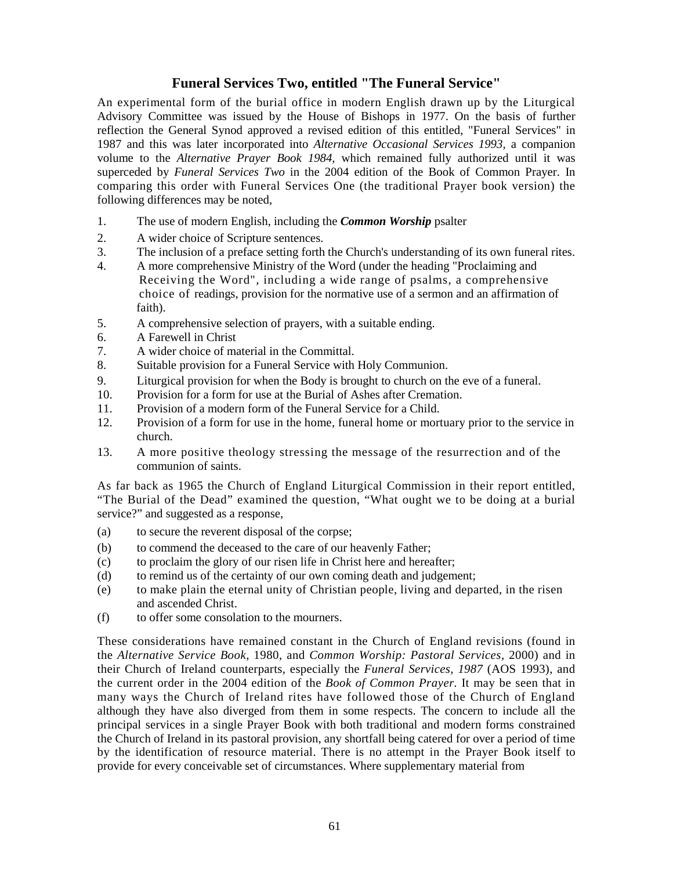# **Funeral Services Two, entitled "The Funeral Service"**

An experimental form of the burial office in modern English drawn up by the Liturgical Advisory Committee was issued by the House of Bishops in 1977. On the basis of further reflection the General Synod approved a revised edition of this entitled, "Funeral Services" in 1987 and this was later incorporated into *Alternative Occasional Services 1993,* a companion volume to the *Alternative Prayer Book 1984,* which remained fully authorized until it was superceded by *Funeral Services Two* in the 2004 edition of the Book of Common Prayer. In comparing this order with Funeral Services One (the traditional Prayer book version) the following differences may be noted,

- 1. The use of modern English, including the *Common Worship* psalter
- 2. A wider choice of Scripture sentences.
- 3. The inclusion of a preface setting forth the Church's understanding of its own funeral rites.
- 4. A more comprehensive Ministry of the Word (under the heading "Proclaiming and Receiving the Word", including a wide range of psalms, a comprehensive choice of readings, provision for the normative use of a sermon and an affirmation of faith).
- 5. A comprehensive selection of prayers, with a suitable ending.
- 6. A Farewell in Christ
- 7. A wider choice of material in the Committal.
- 8. Suitable provision for a Funeral Service with Holy Communion.
- 9. Liturgical provision for when the Body is brought to church on the eve of a funeral.
- 10. Provision for a form for use at the Burial of Ashes after Cremation.
- 11. Provision of a modern form of the Funeral Service for a Child.
- 12. Provision of a form for use in the home, funeral home or mortuary prior to the service in church.
- 13. A more positive theology stressing the message of the resurrection and of the communion of saints.

As far back as 1965 the Church of England Liturgical Commission in their report entitled, "The Burial of the Dead" examined the question, "What ought we to be doing at a burial service?" and suggested as a response,

- (a) to secure the reverent disposal of the corpse;
- (b) to commend the deceased to the care of our heavenly Father;
- (c) to proclaim the glory of our risen life in Christ here and hereafter;
- (d) to remind us of the certainty of our own coming death and judgement;
- (e) to make plain the eternal unity of Christian people, living and departed, in the risen and ascended Christ.
- (f) to offer some consolation to the mourners.

These considerations have remained constant in the Church of England revisions (found in the *Alternative Service Book,* 1980, and *Common Worship: Pastoral Services,* 2000) and in their Church of Ireland counterparts, especially the *Funeral Services, 1987* (AOS 1993), and the current order in the 2004 edition of the *Book of Common Prayer.* It may be seen that in many ways the Church of Ireland rites have followed those of the Church of England although they have also diverged from them in some respects. The concern to include all the principal services in a single Prayer Book with both traditional and modern forms constrained the Church of Ireland in its pastoral provision, any shortfall being catered for over a period of time by the identification of resource material. There is no attempt in the Prayer Book itself to provide for every conceivable set of circumstances. Where supplementary material from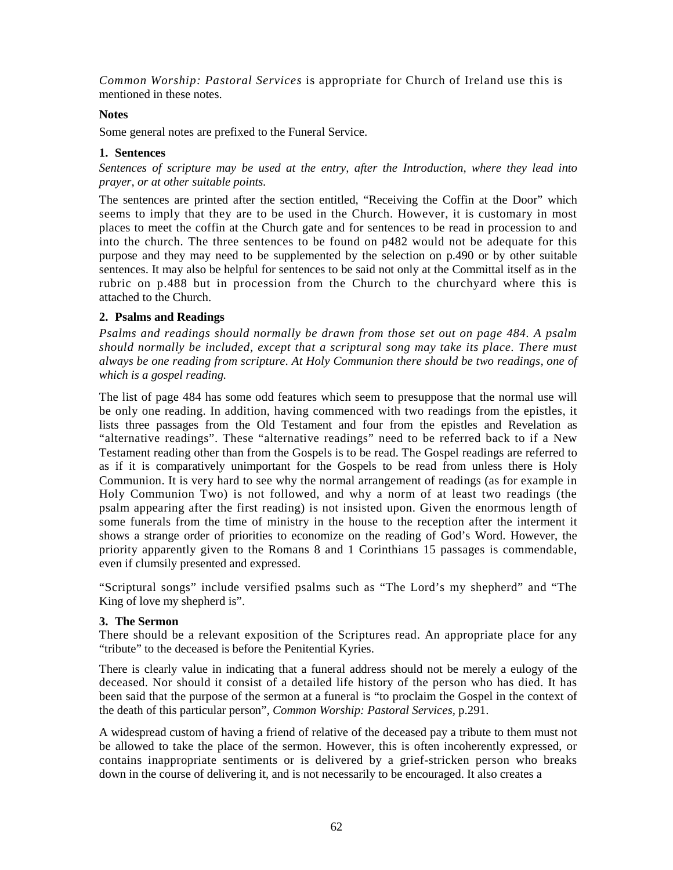*Common Worship: Pastoral Services* is appropriate for Church of Ireland use this is mentioned in these notes.

### **Notes**

Some general notes are prefixed to the Funeral Service.

# **1. Sentences**

*Sentences of scripture may be used at the entry, after the Introduction, where they lead into prayer, or at other suitable points.* 

The sentences are printed after the section entitled, "Receiving the Coffin at the Door" which seems to imply that they are to be used in the Church. However, it is customary in most places to meet the coffin at the Church gate and for sentences to be read in procession to and into the church. The three sentences to be found on p482 would not be adequate for this purpose and they may need to be supplemented by the selection on p.490 or by other suitable sentences. It may also be helpful for sentences to be said not only at the Committal itself as in the rubric on p.488 but in procession from the Church to the churchyard where this is attached to the Church.

# **2. Psalms and Readings**

*Psalms and readings should normally be drawn from those set out on page 484. A psalm should normally be included, except that a scriptural song may take its place. There must always be one reading from scripture. At Holy Communion there should be two readings, one of which is a gospel reading.* 

The list of page 484 has some odd features which seem to presuppose that the normal use will be only one reading. In addition, having commenced with two readings from the epistles, it lists three passages from the Old Testament and four from the epistles and Revelation as "alternative readings". These "alternative readings" need to be referred back to if a New Testament reading other than from the Gospels is to be read. The Gospel readings are referred to as if it is comparatively unimportant for the Gospels to be read from unless there is Holy Communion. It is very hard to see why the normal arrangement of readings (as for example in Holy Communion Two) is not followed, and why a norm of at least two readings (the psalm appearing after the first reading) is not insisted upon. Given the enormous length of some funerals from the time of ministry in the house to the reception after the interment it shows a strange order of priorities to economize on the reading of God's Word. However, the priority apparently given to the Romans 8 and 1 Corinthians 15 passages is commendable, even if clumsily presented and expressed.

"Scriptural songs" include versified psalms such as "The Lord's my shepherd" and "The King of love my shepherd is".

# **3. The Sermon**

There should be a relevant exposition of the Scriptures read. An appropriate place for any "tribute" to the deceased is before the Penitential Kyries.

There is clearly value in indicating that a funeral address should not be merely a eulogy of the deceased. Nor should it consist of a detailed life history of the person who has died. It has been said that the purpose of the sermon at a funeral is "to proclaim the Gospel in the context of the death of this particular person", *Common Worship: Pastoral Services,* p.291.

A widespread custom of having a friend of relative of the deceased pay a tribute to them must not be allowed to take the place of the sermon. However, this is often incoherently expressed, or contains inappropriate sentiments or is delivered by a grief-stricken person who breaks down in the course of delivering it, and is not necessarily to be encouraged. It also creates a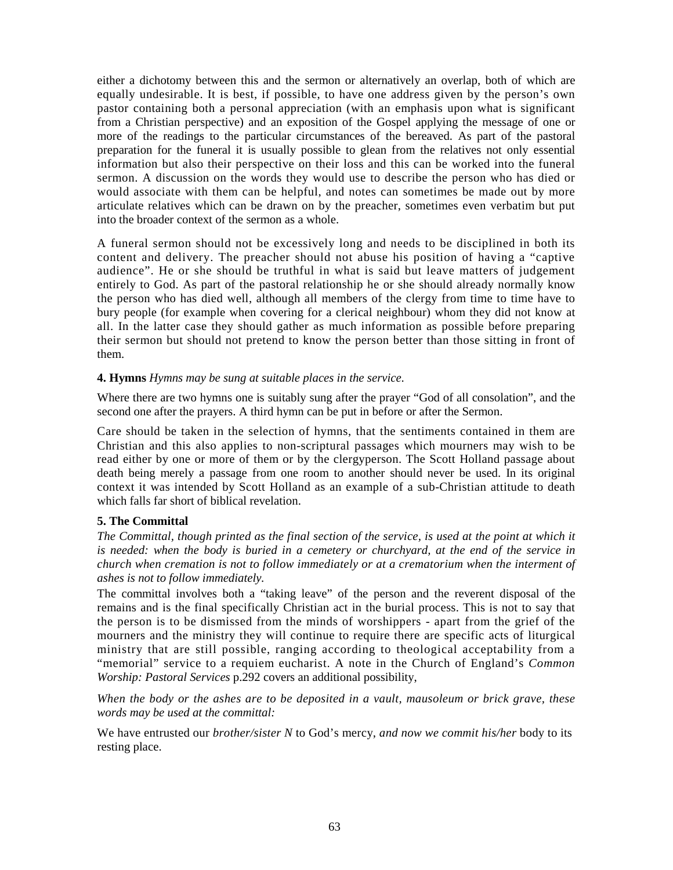either a dichotomy between this and the sermon or alternatively an overlap, both of which are equally undesirable. It is best, if possible, to have one address given by the person's own pastor containing both a personal appreciation (with an emphasis upon what is significant from a Christian perspective) and an exposition of the Gospel applying the message of one or more of the readings to the particular circumstances of the bereaved. As part of the pastoral preparation for the funeral it is usually possible to glean from the relatives not only essential information but also their perspective on their loss and this can be worked into the funeral sermon. A discussion on the words they would use to describe the person who has died or would associate with them can be helpful, and notes can sometimes be made out by more articulate relatives which can be drawn on by the preacher, sometimes even verbatim but put into the broader context of the sermon as a whole.

A funeral sermon should not be excessively long and needs to be disciplined in both its content and delivery. The preacher should not abuse his position of having a "captive audience". He or she should be truthful in what is said but leave matters of judgement entirely to God. As part of the pastoral relationship he or she should already normally know the person who has died well, although all members of the clergy from time to time have to bury people (for example when covering for a clerical neighbour) whom they did not know at all. In the latter case they should gather as much information as possible before preparing their sermon but should not pretend to know the person better than those sitting in front of them.

# **4. Hymns** *Hymns may be sung at suitable places in the service.*

Where there are two hymns one is suitably sung after the prayer "God of all consolation", and the second one after the prayers. A third hymn can be put in before or after the Sermon.

Care should be taken in the selection of hymns, that the sentiments contained in them are Christian and this also applies to non-scriptural passages which mourners may wish to be read either by one or more of them or by the clergyperson. The Scott Holland passage about death being merely a passage from one room to another should never be used. In its original context it was intended by Scott Holland as an example of a sub-Christian attitude to death which falls far short of biblical revelation.

# **5. The Committal**

*The Committal, though printed as the final section of the service, is used at the point at which it is needed: when the body is buried in a cemetery or churchyard, at the end of the service in church when cremation is not to follow immediately or at a crematorium when the interment of ashes is not to follow immediately.* 

The committal involves both a "taking leave" of the person and the reverent disposal of the remains and is the final specifically Christian act in the burial process. This is not to say that the person is to be dismissed from the minds of worshippers - apart from the grief of the mourners and the ministry they will continue to require there are specific acts of liturgical ministry that are still possible, ranging according to theological acceptability from a "memorial" service to a requiem eucharist. A note in the Church of England's *Common Worship: Pastoral Services* p.292 covers an additional possibility,

*When the body or the ashes are to be deposited in a vault, mausoleum or brick grave, these words may be used at the committal:* 

We have entrusted our *brother/sister N* to God's mercy, *and now we commit his/her* body to its resting place.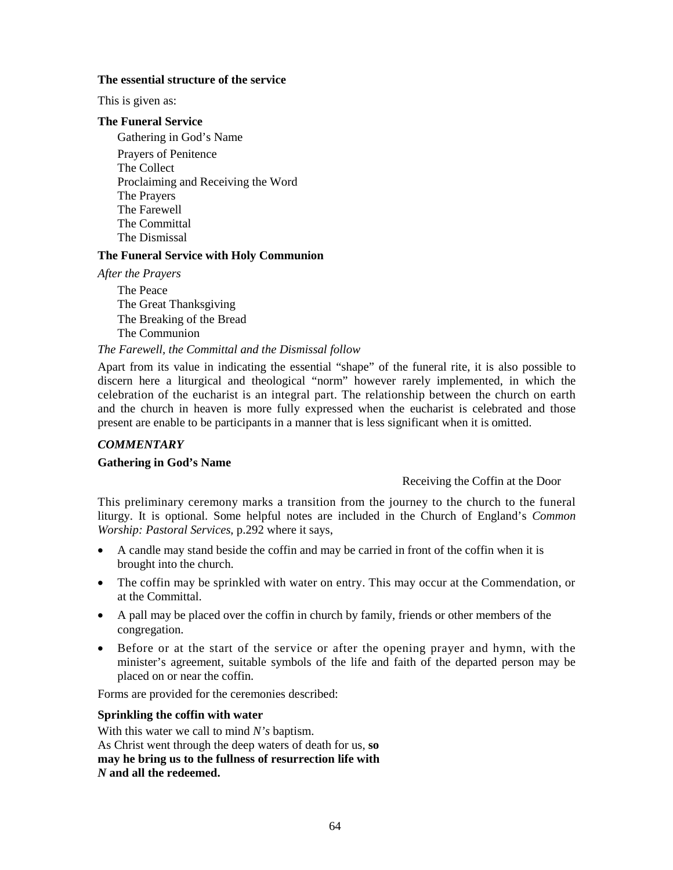#### **The essential structure of the service**

This is given as:

# **The Funeral Service**

Gathering in God's Name Prayers of Penitence The Collect Proclaiming and Receiving the Word The Prayers The Farewell The Committal The Dismissal

# **The Funeral Service with Holy Communion**

*After the Prayers* 

The Peace The Great Thanksgiving The Breaking of the Bread The Communion

### *The Farewell, the Committal and the Dismissal follow*

Apart from its value in indicating the essential "shape" of the funeral rite, it is also possible to discern here a liturgical and theological "norm" however rarely implemented, in which the celebration of the eucharist is an integral part. The relationship between the church on earth and the church in heaven is more fully expressed when the eucharist is celebrated and those present are enable to be participants in a manner that is less significant when it is omitted.

# *COMMENTARY*

# **Gathering in God's Name**

# Receiving the Coffin at the Door

This preliminary ceremony marks a transition from the journey to the church to the funeral liturgy. It is optional. Some helpful notes are included in the Church of England's *Common Worship: Pastoral Services,* p.292 where it says,

- A candle may stand beside the coffin and may be carried in front of the coffin when it is brought into the church.
- The coffin may be sprinkled with water on entry. This may occur at the Commendation, or at the Committal.
- A pall may be placed over the coffin in church by family, friends or other members of the congregation.
- Before or at the start of the service or after the opening prayer and hymn, with the minister's agreement, suitable symbols of the life and faith of the departed person may be placed on or near the coffin.

Forms are provided for the ceremonies described:

# **Sprinkling the coffin with water**

With this water we call to mind *N's* baptism. As Christ went through the deep waters of death for us, **so may he bring us to the fullness of resurrection life with**  *N* **and all the redeemed.**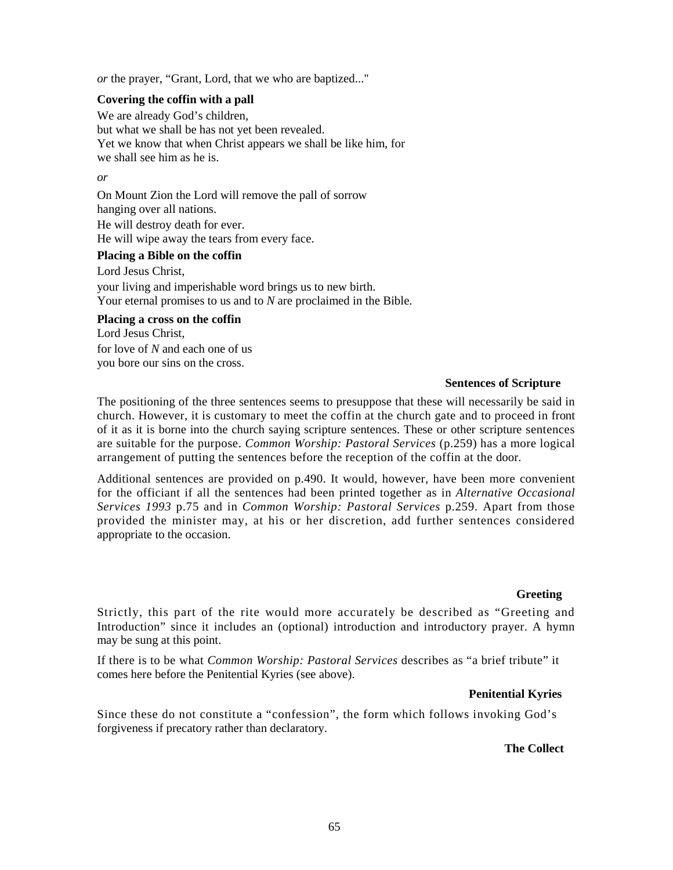*or* the prayer, "Grant, Lord, that we who are baptized..."

# **Covering the coffin with a pall**

We are already God's children, but what we shall be has not yet been revealed. Yet we know that when Christ appears we shall be like him, for we shall see him as he is.

#### *or*

On Mount Zion the Lord will remove the pall of sorrow hanging over all nations. He will destroy death for ever.

He will wipe away the tears from every face.

### **Placing a Bible on the coffin**

Lord Jesus Christ, your living and imperishable word brings us to new birth. Your eternal promises to us and to *N* are proclaimed in the Bible.

### **Placing a cross on the coffin**

Lord Jesus Christ, for love of *N* and each one of us you bore our sins on the cross.

### **Sentences of Scripture**

The positioning of the three sentences seems to presuppose that these will necessarily be said in church. However, it is customary to meet the coffin at the church gate and to proceed in front of it as it is borne into the church saying scripture sentences. These or other scripture sentences are suitable for the purpose. *Common Worship: Pastoral Services* (p.259) has a more logical arrangement of putting the sentences before the reception of the coffin at the door.

Additional sentences are provided on p.490. It would, however, have been more convenient for the officiant if all the sentences had been printed together as in *Alternative Occasional Services 1993* p.75 and in *Common Worship: Pastoral Services* p.259. Apart from those provided the minister may, at his or her discretion, add further sentences considered appropriate to the occasion.

#### **Greeting**

Strictly, this part of the rite would more accurately be described as "Greeting and Introduction" since it includes an (optional) introduction and introductory prayer. A hymn may be sung at this point.

If there is to be what *Common Worship: Pastoral Services* describes as "a brief tribute" it comes here before the Penitential Kyries (see above).

#### **Penitential Kyries**

Since these do not constitute a "confession", the form which follows invoking God's forgiveness if precatory rather than declaratory.

#### **The Collect**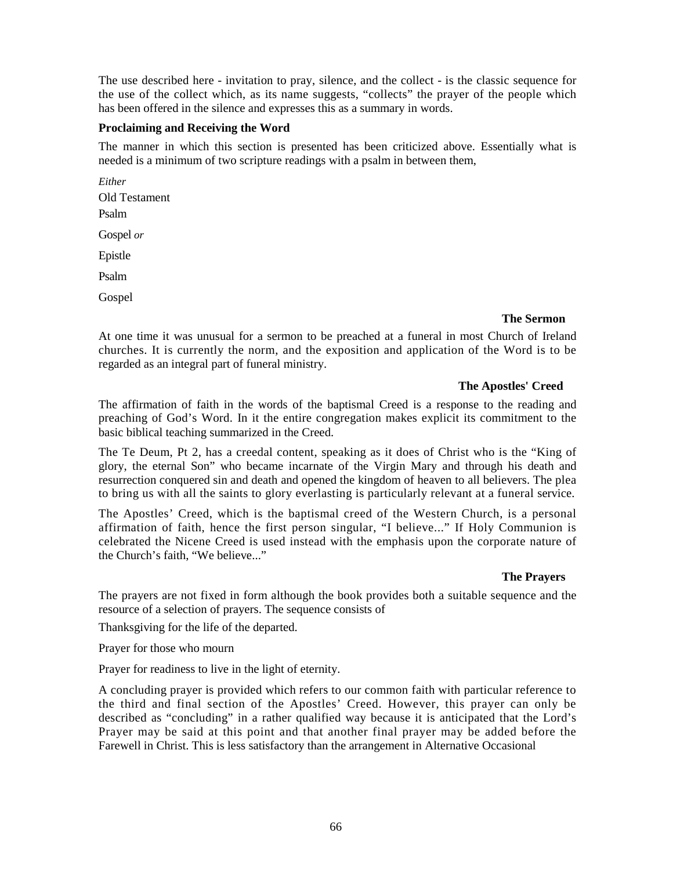The use described here - invitation to pray, silence, and the collect - is the classic sequence for the use of the collect which, as its name suggests, "collects" the prayer of the people which has been offered in the silence and expresses this as a summary in words.

# **Proclaiming and Receiving the Word**

The manner in which this section is presented has been criticized above. Essentially what is needed is a minimum of two scripture readings with a psalm in between them,

*Either*  Old Testament Psalm Gospel *or*  Epistle Psalm Gospel

# **The Sermon**

At one time it was unusual for a sermon to be preached at a funeral in most Church of Ireland churches. It is currently the norm, and the exposition and application of the Word is to be regarded as an integral part of funeral ministry.

### **The Apostles' Creed**

The affirmation of faith in the words of the baptismal Creed is a response to the reading and preaching of God's Word. In it the entire congregation makes explicit its commitment to the basic biblical teaching summarized in the Creed.

The Te Deum, Pt 2, has a creedal content, speaking as it does of Christ who is the "King of glory, the eternal Son" who became incarnate of the Virgin Mary and through his death and resurrection conquered sin and death and opened the kingdom of heaven to all believers. The plea to bring us with all the saints to glory everlasting is particularly relevant at a funeral service.

The Apostles' Creed, which is the baptismal creed of the Western Church, is a personal affirmation of faith, hence the first person singular, "I believe..." If Holy Communion is celebrated the Nicene Creed is used instead with the emphasis upon the corporate nature of the Church's faith, "We believe..."

# **The Prayers**

The prayers are not fixed in form although the book provides both a suitable sequence and the resource of a selection of prayers. The sequence consists of

Thanksgiving for the life of the departed.

Prayer for those who mourn

Prayer for readiness to live in the light of eternity.

A concluding prayer is provided which refers to our common faith with particular reference to the third and final section of the Apostles' Creed. However, this prayer can only be described as "concluding" in a rather qualified way because it is anticipated that the Lord's Prayer may be said at this point and that another final prayer may be added before the Farewell in Christ. This is less satisfactory than the arrangement in Alternative Occasional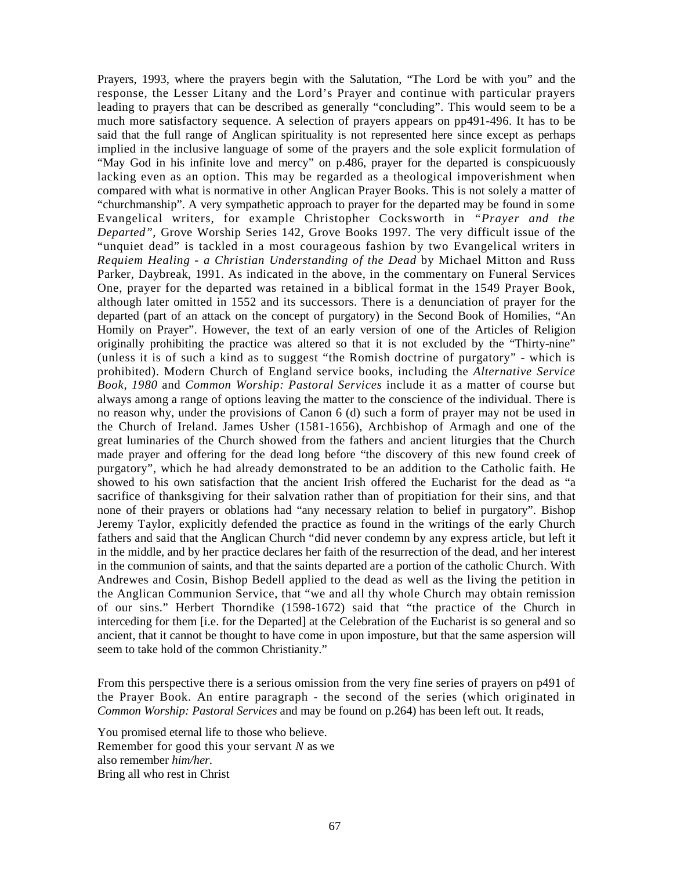Prayers, 1993, where the prayers begin with the Salutation, "The Lord be with you" and the response, the Lesser Litany and the Lord's Prayer and continue with particular prayers leading to prayers that can be described as generally "concluding". This would seem to be a much more satisfactory sequence. A selection of prayers appears on pp491-496. It has to be said that the full range of Anglican spirituality is not represented here since except as perhaps implied in the inclusive language of some of the prayers and the sole explicit formulation of "May God in his infinite love and mercy" on p.486, prayer for the departed is conspicuously lacking even as an option. This may be regarded as a theological impoverishment when compared with what is normative in other Anglican Prayer Books. This is not solely a matter of "churchmanship". A very sympathetic approach to prayer for the departed may be found in some Evangelical writers, for example Christopher Cocksworth in *"Prayer and the Departed",* Grove Worship Series 142, Grove Books 1997. The very difficult issue of the "unquiet dead" is tackled in a most courageous fashion by two Evangelical writers in *Requiem Healing - a Christian Understanding of the Dead* by Michael Mitton and Russ Parker, Daybreak, 1991. As indicated in the above, in the commentary on Funeral Services One, prayer for the departed was retained in a biblical format in the 1549 Prayer Book, although later omitted in 1552 and its successors. There is a denunciation of prayer for the departed (part of an attack on the concept of purgatory) in the Second Book of Homilies, "An Homily on Prayer". However, the text of an early version of one of the Articles of Religion originally prohibiting the practice was altered so that it is not excluded by the "Thirty-nine" (unless it is of such a kind as to suggest "the Romish doctrine of purgatory" - which is prohibited). Modern Church of England service books, including the *Alternative Service Book, 1980* and *Common Worship: Pastoral Services* include it as a matter of course but always among a range of options leaving the matter to the conscience of the individual. There is no reason why, under the provisions of Canon 6 (d) such a form of prayer may not be used in the Church of Ireland. James Usher (1581-1656), Archbishop of Armagh and one of the great luminaries of the Church showed from the fathers and ancient liturgies that the Church made prayer and offering for the dead long before "the discovery of this new found creek of purgatory", which he had already demonstrated to be an addition to the Catholic faith. He showed to his own satisfaction that the ancient Irish offered the Eucharist for the dead as "a sacrifice of thanksgiving for their salvation rather than of propitiation for their sins, and that none of their prayers or oblations had "any necessary relation to belief in purgatory". Bishop Jeremy Taylor, explicitly defended the practice as found in the writings of the early Church fathers and said that the Anglican Church "did never condemn by any express article, but left it in the middle, and by her practice declares her faith of the resurrection of the dead, and her interest in the communion of saints, and that the saints departed are a portion of the catholic Church. With Andrewes and Cosin, Bishop Bedell applied to the dead as well as the living the petition in the Anglican Communion Service, that "we and all thy whole Church may obtain remission of our sins." Herbert Thorndike (1598-1672) said that "the practice of the Church in interceding for them [i.e. for the Departed] at the Celebration of the Eucharist is so general and so ancient, that it cannot be thought to have come in upon imposture, but that the same aspersion will seem to take hold of the common Christianity."

From this perspective there is a serious omission from the very fine series of prayers on p491 of the Prayer Book. An entire paragraph - the second of the series (which originated in *Common Worship: Pastoral Services* and may be found on p.264) has been left out. It reads,

You promised eternal life to those who believe. Remember for good this your servant *N* as we also remember *him/her.*  Bring all who rest in Christ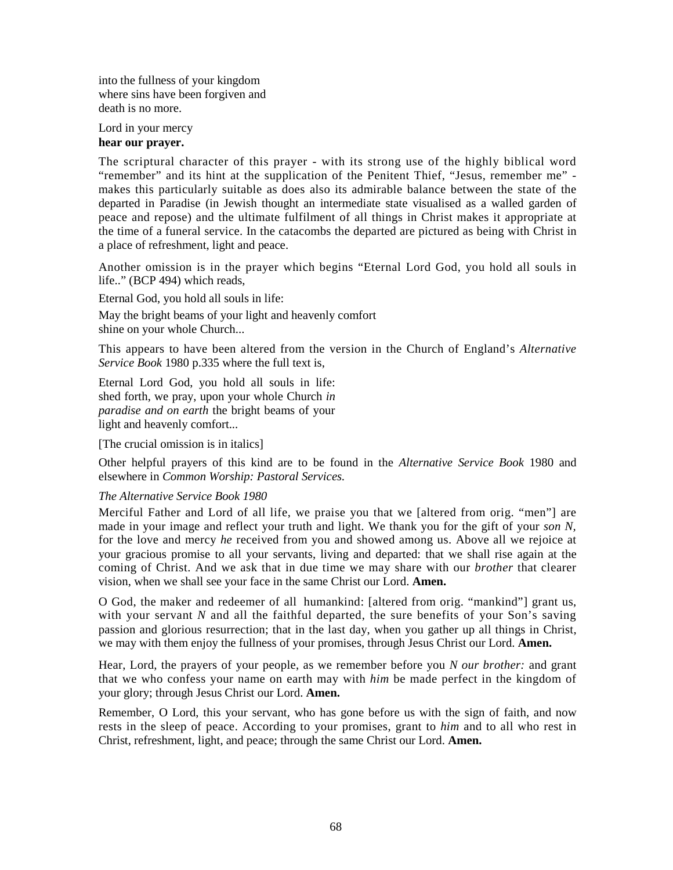into the fullness of your kingdom where sins have been forgiven and death is no more.

Lord in your mercy **hear our prayer.** 

The scriptural character of this prayer - with its strong use of the highly biblical word "remember" and its hint at the supplication of the Penitent Thief, "Jesus, remember me" makes this particularly suitable as does also its admirable balance between the state of the departed in Paradise (in Jewish thought an intermediate state visualised as a walled garden of peace and repose) and the ultimate fulfilment of all things in Christ makes it appropriate at the time of a funeral service. In the catacombs the departed are pictured as being with Christ in a place of refreshment, light and peace.

Another omission is in the prayer which begins "Eternal Lord God, you hold all souls in life.." (BCP 494) which reads,

Eternal God, you hold all souls in life:

May the bright beams of your light and heavenly comfort shine on your whole Church...

This appears to have been altered from the version in the Church of England's *Alternative Service Book* 1980 p.335 where the full text is,

Eternal Lord God, you hold all souls in life: shed forth, we pray, upon your whole Church *in paradise and on earth* the bright beams of your light and heavenly comfort...

[The crucial omission is in italics]

Other helpful prayers of this kind are to be found in the *Alternative Service Book* 1980 and elsewhere in *Common Worship: Pastoral Services.* 

# *The Alternative Service Book 1980*

Merciful Father and Lord of all life, we praise you that we [altered from orig. "men"] are made in your image and reflect your truth and light. We thank you for the gift of your *son N,*  for the love and mercy *he* received from you and showed among us. Above all we rejoice at your gracious promise to all your servants, living and departed: that we shall rise again at the coming of Christ. And we ask that in due time we may share with our *brother* that clearer vision, when we shall see your face in the same Christ our Lord. **Amen.** 

O God, the maker and redeemer of all humankind: [altered from orig. "mankind"] grant us, with your servant *N* and all the faithful departed, the sure benefits of your Son's saving passion and glorious resurrection; that in the last day, when you gather up all things in Christ, we may with them enjoy the fullness of your promises, through Jesus Christ our Lord. **Amen.** 

Hear, Lord, the prayers of your people, as we remember before you *N our brother:* and grant that we who confess your name on earth may with *him* be made perfect in the kingdom of your glory; through Jesus Christ our Lord. **Amen.** 

Remember, O Lord, this your servant, who has gone before us with the sign of faith, and now rests in the sleep of peace. According to your promises, grant to *him* and to all who rest in Christ, refreshment, light, and peace; through the same Christ our Lord. **Amen.**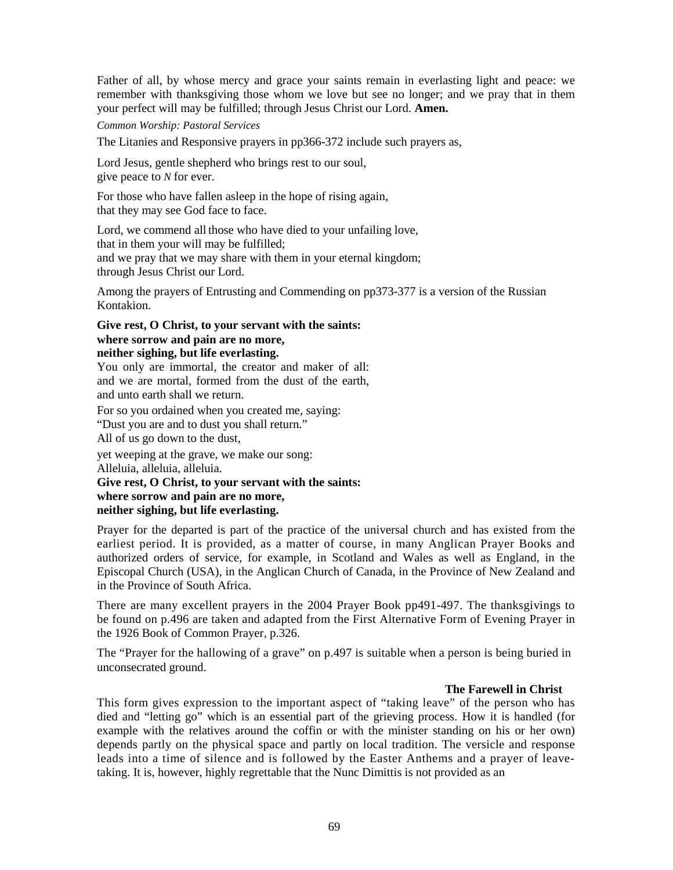Father of all, by whose mercy and grace your saints remain in everlasting light and peace: we remember with thanksgiving those whom we love but see no longer; and we pray that in them your perfect will may be fulfilled; through Jesus Christ our Lord. **Amen.** 

*Common Worship: Pastoral Services* 

The Litanies and Responsive prayers in pp366-372 include such prayers as,

Lord Jesus, gentle shepherd who brings rest to our soul, give peace to *N* for ever.

For those who have fallen asleep in the hope of rising again, that they may see God face to face.

Lord, we commend all those who have died to your unfailing love, that in them your will may be fulfilled; and we pray that we may share with them in your eternal kingdom; through Jesus Christ our Lord.

Among the prayers of Entrusting and Commending on pp373-377 is a version of the Russian Kontakion.

**Give rest, O Christ, to your servant with the saints: where sorrow and pain are no more, neither sighing, but life everlasting.** 

You only are immortal, the creator and maker of all: and we are mortal, formed from the dust of the earth, and unto earth shall we return.

For so you ordained when you created me, saying: "Dust you are and to dust you shall return."

All of us go down to the dust,

yet weeping at the grave, we make our song:

Alleluia, alleluia, alleluia.

# **Give rest, O Christ, to your servant with the saints: where sorrow and pain are no more,**

# **neither sighing, but life everlasting.**

Prayer for the departed is part of the practice of the universal church and has existed from the earliest period. It is provided, as a matter of course, in many Anglican Prayer Books and authorized orders of service, for example, in Scotland and Wales as well as England, in the Episcopal Church (USA), in the Anglican Church of Canada, in the Province of New Zealand and in the Province of South Africa.

There are many excellent prayers in the 2004 Prayer Book pp491-497. The thanksgivings to be found on p.496 are taken and adapted from the First Alternative Form of Evening Prayer in the 1926 Book of Common Prayer, p.326.

The "Prayer for the hallowing of a grave" on p.497 is suitable when a person is being buried in unconsecrated ground.

# **The Farewell in Christ**

This form gives expression to the important aspect of "taking leave" of the person who has died and "letting go" which is an essential part of the grieving process. How it is handled (for example with the relatives around the coffin or with the minister standing on his or her own) depends partly on the physical space and partly on local tradition. The versicle and response leads into a time of silence and is followed by the Easter Anthems and a prayer of leavetaking. It is, however, highly regrettable that the Nunc Dimittis is not provided as an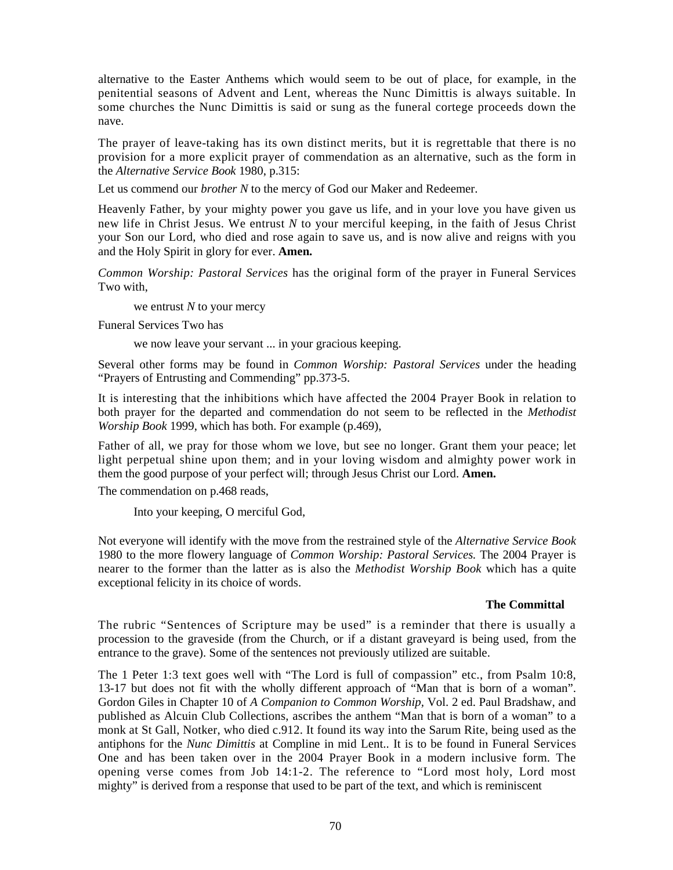alternative to the Easter Anthems which would seem to be out of place, for example, in the penitential seasons of Advent and Lent, whereas the Nunc Dimittis is always suitable. In some churches the Nunc Dimittis is said or sung as the funeral cortege proceeds down the nave.

The prayer of leave-taking has its own distinct merits, but it is regrettable that there is no provision for a more explicit prayer of commendation as an alternative, such as the form in the *Alternative Service Book* 1980, p.315:

Let us commend our *brother N* to the mercy of God our Maker and Redeemer.

Heavenly Father, by your mighty power you gave us life, and in your love you have given us new life in Christ Jesus. We entrust *N* to your merciful keeping, in the faith of Jesus Christ your Son our Lord, who died and rose again to save us, and is now alive and reigns with you and the Holy Spirit in glory for ever. **Amen.**

*Common Worship: Pastoral Services* has the original form of the prayer in Funeral Services Two with,

we entrust *N* to your mercy

Funeral Services Two has

we now leave your servant ... in your gracious keeping.

Several other forms may be found in *Common Worship: Pastoral Services* under the heading "Prayers of Entrusting and Commending" pp.373-5.

It is interesting that the inhibitions which have affected the 2004 Prayer Book in relation to both prayer for the departed and commendation do not seem to be reflected in the *Methodist Worship Book* 1999, which has both. For example (p.469),

Father of all, we pray for those whom we love, but see no longer. Grant them your peace; let light perpetual shine upon them; and in your loving wisdom and almighty power work in them the good purpose of your perfect will; through Jesus Christ our Lord. **Amen.**

The commendation on p.468 reads,

Into your keeping, O merciful God,

Not everyone will identify with the move from the restrained style of the *Alternative Service Book*  1980 to the more flowery language of *Common Worship: Pastoral Services.* The 2004 Prayer is nearer to the former than the latter as is also the *Methodist Worship Book* which has a quite exceptional felicity in its choice of words.

# **The Committal**

The rubric "Sentences of Scripture may be used" is a reminder that there is usually a procession to the graveside (from the Church, or if a distant graveyard is being used, from the entrance to the grave). Some of the sentences not previously utilized are suitable.

The 1 Peter 1:3 text goes well with "The Lord is full of compassion" etc., from Psalm 10:8, 13-17 but does not fit with the wholly different approach of "Man that is born of a woman". Gordon Giles in Chapter 10 of *A Companion to Common Worship,* Vol. 2 ed. Paul Bradshaw, and published as Alcuin Club Collections, ascribes the anthem "Man that is born of a woman" to a monk at St Gall, Notker, who died c.912. It found its way into the Sarum Rite, being used as the antiphons for the *Nunc Dimittis* at Compline in mid Lent.. It is to be found in Funeral Services One and has been taken over in the 2004 Prayer Book in a modern inclusive form. The opening verse comes from Job 14:1-2. The reference to "Lord most holy, Lord most mighty" is derived from a response that used to be part of the text, and which is reminiscent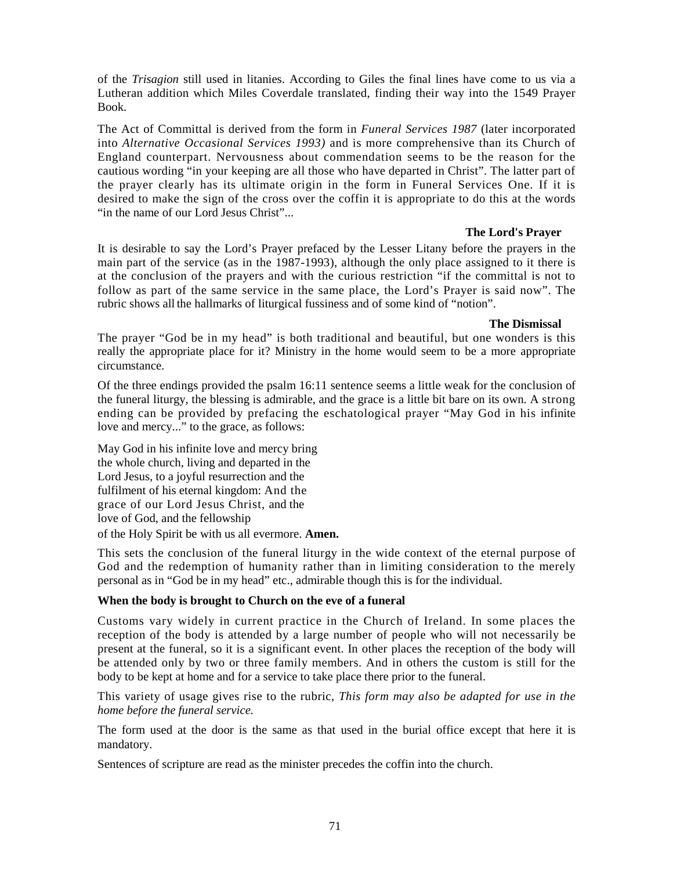of the *Trisagion* still used in litanies. According to Giles the final lines have come to us via a Lutheran addition which Miles Coverdale translated, finding their way into the 1549 Prayer Book.

The Act of Committal is derived from the form in *Funeral Services 1987* (later incorporated into *Alternative Occasional Services 1993)* and is more comprehensive than its Church of England counterpart. Nervousness about commendation seems to be the reason for the cautious wording "in your keeping are all those who have departed in Christ". The latter part of the prayer clearly has its ultimate origin in the form in Funeral Services One. If it is desired to make the sign of the cross over the coffin it is appropriate to do this at the words "in the name of our Lord Jesus Christ"...

# **The Lord's Prayer**

It is desirable to say the Lord's Prayer prefaced by the Lesser Litany before the prayers in the main part of the service (as in the 1987-1993), although the only place assigned to it there is at the conclusion of the prayers and with the curious restriction "if the committal is not to follow as part of the same service in the same place, the Lord's Prayer is said now". The rubric shows all the hallmarks of liturgical fussiness and of some kind of "notion".

# **The Dismissal**

The prayer "God be in my head" is both traditional and beautiful, but one wonders is this really the appropriate place for it? Ministry in the home would seem to be a more appropriate circumstance.

Of the three endings provided the psalm 16:11 sentence seems a little weak for the conclusion of the funeral liturgy, the blessing is admirable, and the grace is a little bit bare on its own. A strong ending can be provided by prefacing the eschatological prayer "May God in his infinite love and mercy..." to the grace, as follows:

May God in his infinite love and mercy bring the whole church, living and departed in the Lord Jesus, to a joyful resurrection and the fulfilment of his eternal kingdom: And the grace of our Lord Jesus Christ, and the love of God, and the fellowship

of the Holy Spirit be with us all evermore. **Amen.** 

This sets the conclusion of the funeral liturgy in the wide context of the eternal purpose of God and the redemption of humanity rather than in limiting consideration to the merely personal as in "God be in my head" etc., admirable though this is for the individual.

# **When the body is brought to Church on the eve of a funeral**

Customs vary widely in current practice in the Church of Ireland. In some places the reception of the body is attended by a large number of people who will not necessarily be present at the funeral, so it is a significant event. In other places the reception of the body will be attended only by two or three family members. And in others the custom is still for the body to be kept at home and for a service to take place there prior to the funeral.

This variety of usage gives rise to the rubric, *This form may also be adapted for use in the home before the funeral service.* 

The form used at the door is the same as that used in the burial office except that here it is mandatory.

Sentences of scripture are read as the minister precedes the coffin into the church.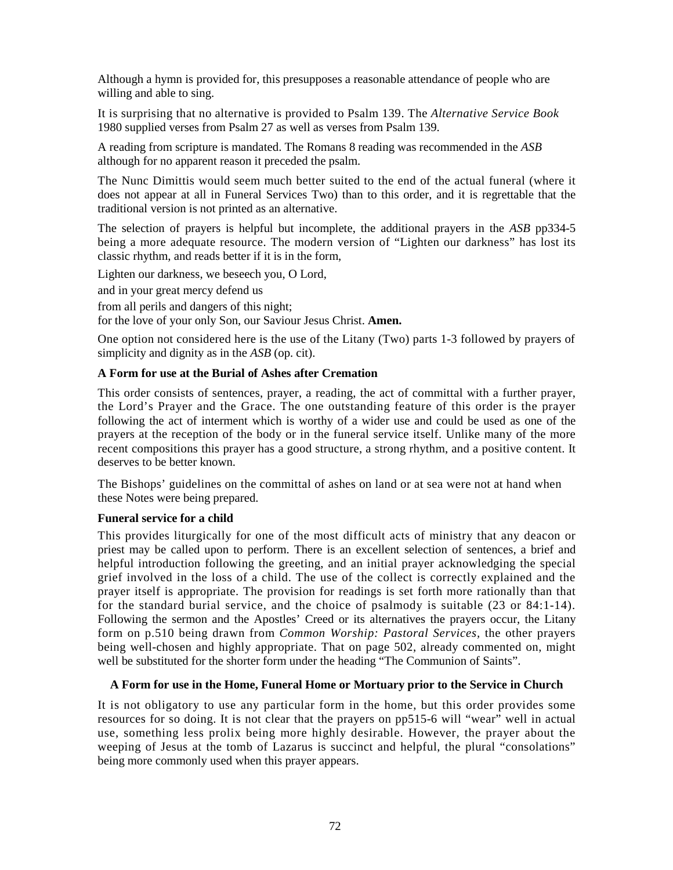Although a hymn is provided for, this presupposes a reasonable attendance of people who are willing and able to sing.

It is surprising that no alternative is provided to Psalm 139. The *Alternative Service Book*  1980 supplied verses from Psalm 27 as well as verses from Psalm 139.

A reading from scripture is mandated. The Romans 8 reading was recommended in the *ASB*  although for no apparent reason it preceded the psalm.

The Nunc Dimittis would seem much better suited to the end of the actual funeral (where it does not appear at all in Funeral Services Two) than to this order, and it is regrettable that the traditional version is not printed as an alternative.

The selection of prayers is helpful but incomplete, the additional prayers in the *ASB* pp334-5 being a more adequate resource. The modern version of "Lighten our darkness" has lost its classic rhythm, and reads better if it is in the form,

Lighten our darkness, we beseech you, O Lord,

and in your great mercy defend us

from all perils and dangers of this night;

for the love of your only Son, our Saviour Jesus Christ. **Amen.** 

One option not considered here is the use of the Litany (Two) parts 1-3 followed by prayers of simplicity and dignity as in the *ASB* (op. cit).

### **A Form for use at the Burial of Ashes after Cremation**

This order consists of sentences, prayer, a reading, the act of committal with a further prayer, the Lord's Prayer and the Grace. The one outstanding feature of this order is the prayer following the act of interment which is worthy of a wider use and could be used as one of the prayers at the reception of the body or in the funeral service itself. Unlike many of the more recent compositions this prayer has a good structure, a strong rhythm, and a positive content. It deserves to be better known.

The Bishops' guidelines on the committal of ashes on land or at sea were not at hand when these Notes were being prepared.

#### **Funeral service for a child**

This provides liturgically for one of the most difficult acts of ministry that any deacon or priest may be called upon to perform. There is an excellent selection of sentences, a brief and helpful introduction following the greeting, and an initial prayer acknowledging the special grief involved in the loss of a child. The use of the collect is correctly explained and the prayer itself is appropriate. The provision for readings is set forth more rationally than that for the standard burial service, and the choice of psalmody is suitable (23 or 84:1-14). Following the sermon and the Apostles' Creed or its alternatives the prayers occur, the Litany form on p.510 being drawn from *Common Worship: Pastoral Services,* the other prayers being well-chosen and highly appropriate. That on page 502, already commented on, might well be substituted for the shorter form under the heading "The Communion of Saints".

# **A Form for use in the Home, Funeral Home or Mortuary prior to the Service in Church**

It is not obligatory to use any particular form in the home, but this order provides some resources for so doing. It is not clear that the prayers on pp515-6 will "wear" well in actual use, something less prolix being more highly desirable. However, the prayer about the weeping of Jesus at the tomb of Lazarus is succinct and helpful, the plural "consolations" being more commonly used when this prayer appears.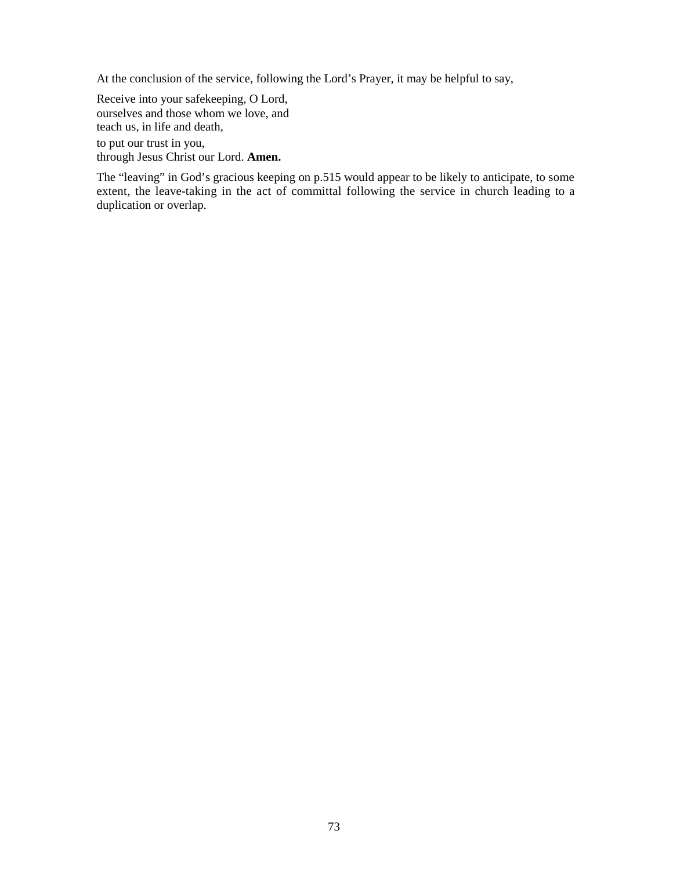At the conclusion of the service, following the Lord's Prayer, it may be helpful to say,

Receive into your safekeeping, O Lord, ourselves and those whom we love, and teach us, in life and death, to put our trust in you, through Jesus Christ our Lord. **Amen.** 

The "leaving" in God's gracious keeping on p.515 would appear to be likely to anticipate, to some extent, the leave-taking in the act of committal following the service in church leading to a duplication or overlap.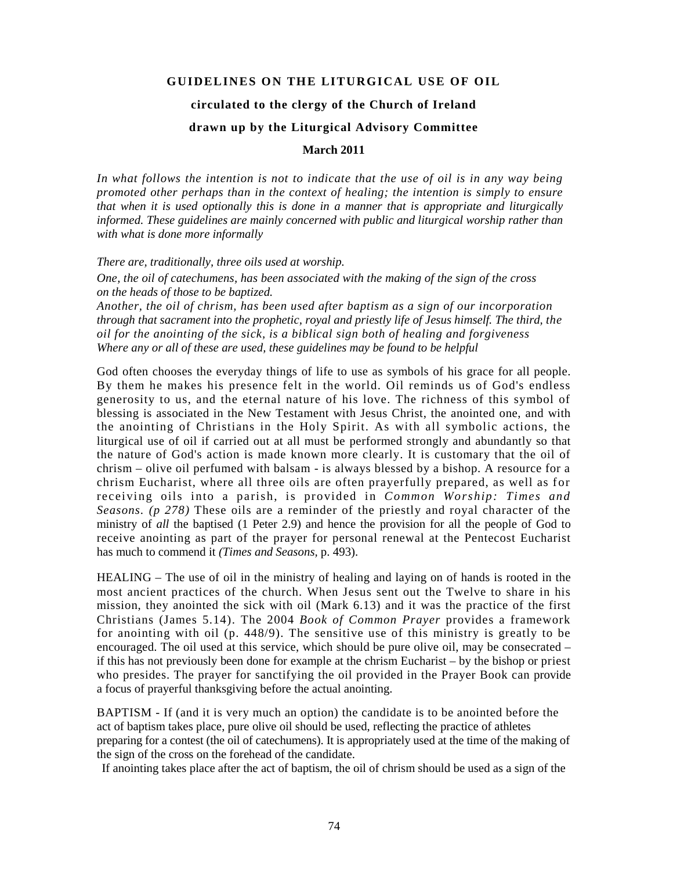## **GUIDELINES ON THE LITURGICAL USE OF OIL**

## **circulated to the clergy of the Church of Ireland drawn up by the Liturgical Advisory Committee**

## **March 2011**

*In what follows the intention is not to indicate that the use of oil is in any way being promoted other perhaps than in the context of healing; the intention is simply to ensure that when it is used optionally this is done in a manner that is appropriate and liturgically informed. These guidelines are mainly concerned with public and liturgical worship rather than with what is done more informally* 

*There are, traditionally, three oils used at worship.* 

*One, the oil of catechumens, has been associated with the making of the sign of the cross on the heads of those to be baptized.* 

*Another, the oil of chrism, has been used after baptism as a sign of our incorporation through that sacrament into the prophetic, royal and priestly life of Jesus himself. The third, the oil for the anointing of the sick, is a biblical sign both of healing and forgiveness Where any or all of these are used, these guidelines may be found to be helpful* 

God often chooses the everyday things of life to use as symbols of his grace for all people. By them he makes his presence felt in the world. Oil reminds us of God's endless generosity to us, and the eternal nature of his love. The richness of this symbol of blessing is associated in the New Testament with Jesus Christ, the anointed one, and with the anointing of Christians in the Holy Spirit. As with all symbolic actions, the liturgical use of oil if carried out at all must be performed strongly and abundantly so that the nature of God's action is made known more clearly. It is customary that the oil of chrism – olive oil perfumed with balsam - is always blessed by a bishop. A resource for a chrism Eucharist, where all three oils are often prayerfully prepared, as well as for receiving oils into a parish, is provided in *Common Worship: Times and Seasons. (p 278)* These oils are a reminder of the priestly and royal character of the ministry of *all* the baptised (1 Peter 2.9) and hence the provision for all the people of God to receive anointing as part of the prayer for personal renewal at the Pentecost Eucharist has much to commend it *(Times and Seasons,* p. 493).

HEALING – The use of oil in the ministry of healing and laying on of hands is rooted in the most ancient practices of the church. When Jesus sent out the Twelve to share in his mission, they anointed the sick with oil (Mark 6.13) and it was the practice of the first Christians (James 5.14). The 2004 *Book of Common Prayer* provides a framework for anointing with oil (p. 448/9). The sensitive use of this ministry is greatly to be encouraged. The oil used at this service, which should be pure olive oil, may be consecrated – if this has not previously been done for example at the chrism Eucharist – by the bishop or priest who presides. The prayer for sanctifying the oil provided in the Prayer Book can provide a focus of prayerful thanksgiving before the actual anointing.

BAPTISM - If (and it is very much an option) the candidate is to be anointed before the act of baptism takes place, pure olive oil should be used, reflecting the practice of athletes preparing for a contest (the oil of catechumens). It is appropriately used at the time of the making of the sign of the cross on the forehead of the candidate.

If anointing takes place after the act of baptism, the oil of chrism should be used as a sign of the